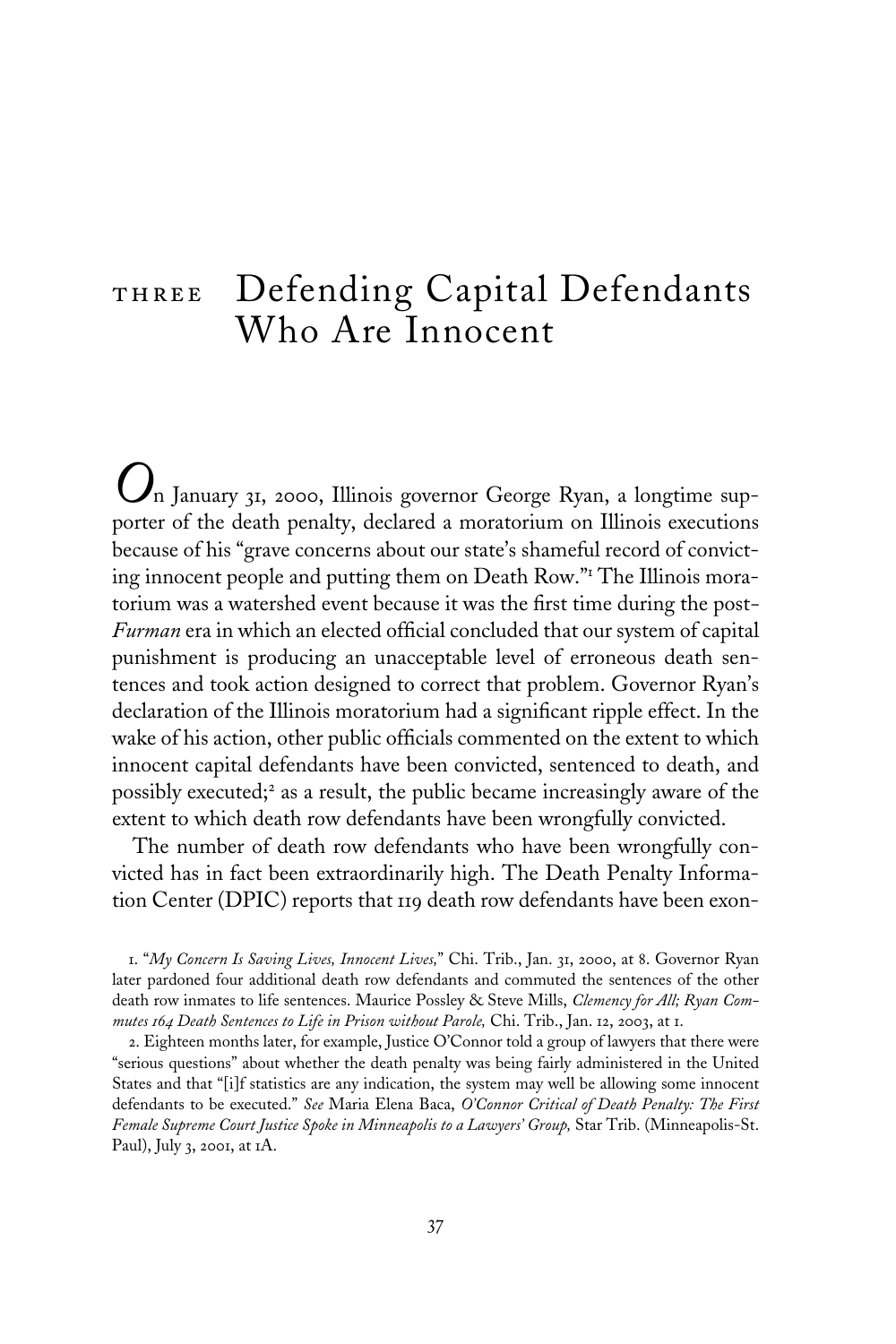# THREE Defending Capital Defendants Who Are Innocent

*O*n January 31, 2000, Illinois governor George Ryan, a longtime supporter of the death penalty, declared a moratorium on Illinois executions because of his "grave concerns about our state's shameful record of convicting innocent people and putting them on Death Row."1 The Illinois moratorium was a watershed event because it was the first time during the post-*Furman* era in which an elected official concluded that our system of capital punishment is producing an unacceptable level of erroneous death sentences and took action designed to correct that problem. Governor Ryan's declaration of the Illinois moratorium had a significant ripple effect. In the wake of his action, other public officials commented on the extent to which innocent capital defendants have been convicted, sentenced to death, and possibly executed;<sup>2</sup> as a result, the public became increasingly aware of the extent to which death row defendants have been wrongfully convicted.

The number of death row defendants who have been wrongfully convicted has in fact been extraordinarily high. The Death Penalty Information Center (DPIC) reports that 119 death row defendants have been exon-

1. "*My Concern Is Saving Lives, Innocent Lives,*" Chi. Trib., Jan. 31, 2000, at 8. Governor Ryan later pardoned four additional death row defendants and commuted the sentences of the other death row inmates to life sentences. Maurice Possley & Steve Mills, *Clemency for All; Ryan Commutes 164 Death Sentences to Life in Prison without Parole,* Chi. Trib., Jan. 12, 2003, at 1.

2. Eighteen months later, for example, Justice O'Connor told a group of lawyers that there were "serious questions" about whether the death penalty was being fairly administered in the United States and that "[i]f statistics are any indication, the system may well be allowing some innocent defendants to be executed." *See* Maria Elena Baca, *O'Connor Critical of Death Penalty: The First Female Supreme Court Justice Spoke in Minneapolis to a Lawyers' Group,* Star Trib. (Minneapolis-St. Paul), July 3, 2001, at 1A.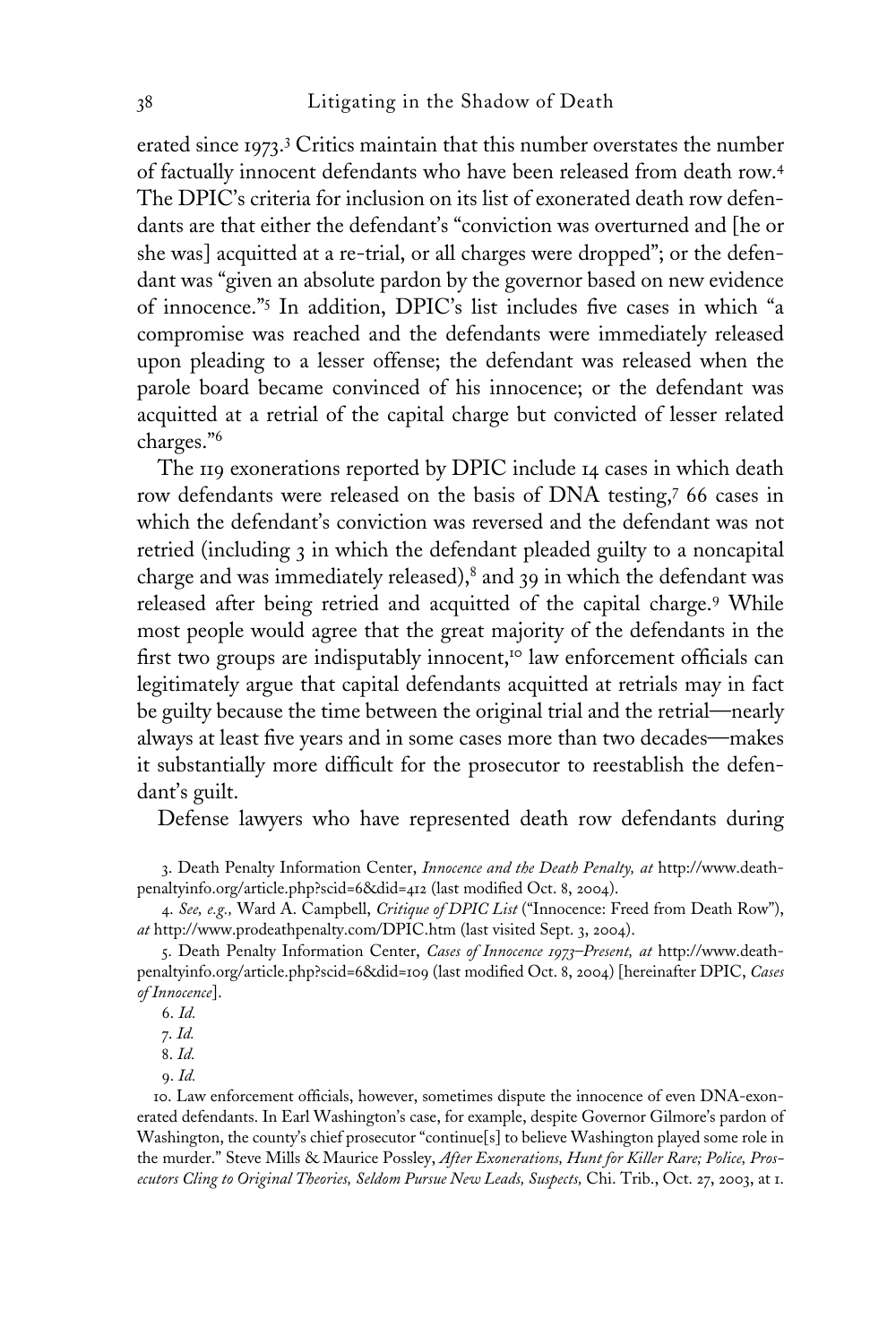erated since 1973.<sup>3</sup> Critics maintain that this number overstates the number of factually innocent defendants who have been released from death row.4 The DPIC's criteria for inclusion on its list of exonerated death row defendants are that either the defendant's "conviction was overturned and [he or she was] acquitted at a re-trial, or all charges were dropped"; or the defendant was "given an absolute pardon by the governor based on new evidence of innocence."<sup>5</sup> In addition, DPIC's list includes five cases in which "a compromise was reached and the defendants were immediately released upon pleading to a lesser offense; the defendant was released when the parole board became convinced of his innocence; or the defendant was acquitted at a retrial of the capital charge but convicted of lesser related charges."<sup>6</sup>

The 119 exonerations reported by DPIC include 14 cases in which death row defendants were released on the basis of DNA testing,7 66 cases in which the defendant's conviction was reversed and the defendant was not retried (including 3 in which the defendant pleaded guilty to a noncapital charge and was immediately released),<sup>8</sup> and 39 in which the defendant was released after being retried and acquitted of the capital charge.<sup>9</sup> While most people would agree that the great majority of the defendants in the first two groups are indisputably innocent,<sup>10</sup> law enforcement officials can legitimately argue that capital defendants acquitted at retrials may in fact be guilty because the time between the original trial and the retrial—nearly always at least five years and in some cases more than two decades—makes it substantially more difficult for the prosecutor to reestablish the defendant's guilt.

Defense lawyers who have represented death row defendants during

3. Death Penalty Information Center, *Innocence and the Death Penalty, at* http://www.deathpenaltyinfo.org/article.php?scid=6&did=412 (last modified Oct. 8, 2004).

4. *See, e.g.,* Ward A. Campbell, *Critique of DPIC List* ("Innocence: Freed from Death Row"), *at* http://www.prodeathpenalty.com/DPIC.htm (last visited Sept. 3, 2004).

5. Death Penalty Information Center, *Cases of Innocence 1973–Present, at* http://www.deathpenaltyinfo.org/article.php?scid=6&did=109 (last modified Oct. 8, 2004) [hereinafter DPIC, *Cases of Innocence*].

10. Law enforcement officials, however, sometimes dispute the innocence of even DNA-exonerated defendants. In Earl Washington's case, for example, despite Governor Gilmore's pardon of Washington, the county's chief prosecutor "continue[s] to believe Washington played some role in the murder." Steve Mills & Maurice Possley, *After Exonerations, Hunt for Killer Rare; Police, Prosecutors Cling to Original Theories, Seldom Pursue New Leads, Suspects,* Chi. Trib., Oct. 27, 2003, at 1.

<sup>6.</sup> *Id.*

<sup>7.</sup> *Id.*

<sup>8.</sup> *Id.*

<sup>9.</sup> *Id.*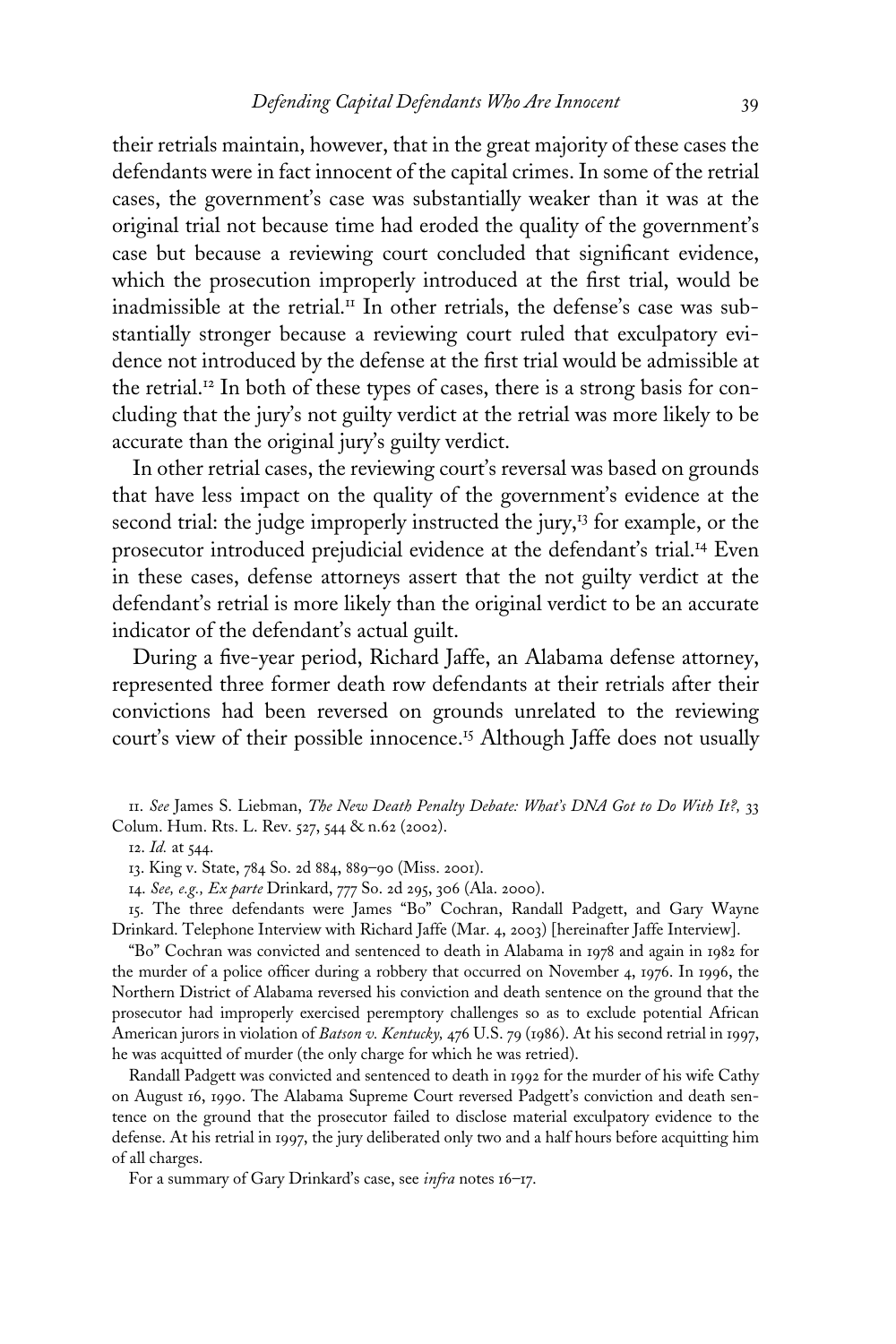their retrials maintain, however, that in the great majority of these cases the defendants were in fact innocent of the capital crimes. In some of the retrial cases, the government's case was substantially weaker than it was at the original trial not because time had eroded the quality of the government's case but because a reviewing court concluded that significant evidence, which the prosecution improperly introduced at the first trial, would be inadmissible at the retrial.<sup>11</sup> In other retrials, the defense's case was substantially stronger because a reviewing court ruled that exculpatory evidence not introduced by the defense at the first trial would be admissible at the retrial.<sup>12</sup> In both of these types of cases, there is a strong basis for concluding that the jury's not guilty verdict at the retrial was more likely to be accurate than the original jury's guilty verdict.

In other retrial cases, the reviewing court's reversal was based on grounds that have less impact on the quality of the government's evidence at the second trial: the judge improperly instructed the jury,<sup>13</sup> for example, or the prosecutor introduced prejudicial evidence at the defendant's trial.<sup>14</sup> Even in these cases, defense attorneys assert that the not guilty verdict at the defendant's retrial is more likely than the original verdict to be an accurate indicator of the defendant's actual guilt.

During a five-year period, Richard Jaffe, an Alabama defense attorney, represented three former death row defendants at their retrials after their convictions had been reversed on grounds unrelated to the reviewing court's view of their possible innocence.<sup>15</sup> Although Jaffe does not usually

15. The three defendants were James "Bo" Cochran, Randall Padgett, and Gary Wayne Drinkard. Telephone Interview with Richard Jaffe (Mar. 4, 2003) [hereinafter Jaffe Interview].

"Bo" Cochran was convicted and sentenced to death in Alabama in 1978 and again in 1982 for the murder of a police officer during a robbery that occurred on November 4, 1976. In 1996, the Northern District of Alabama reversed his conviction and death sentence on the ground that the prosecutor had improperly exercised peremptory challenges so as to exclude potential African American jurors in violation of *Batson v. Kentucky,* 476 U.S. 79 (1986). At his second retrial in 1997, he was acquitted of murder (the only charge for which he was retried).

Randall Padgett was convicted and sentenced to death in 1992 for the murder of his wife Cathy on August 16, 1990. The Alabama Supreme Court reversed Padgett's conviction and death sentence on the ground that the prosecutor failed to disclose material exculpatory evidence to the defense. At his retrial in 1997, the jury deliberated only two and a half hours before acquitting him of all charges.

For a summary of Gary Drinkard's case, see *infra* notes 16–17.

<sup>11.</sup> *See* James S. Liebman, *The New Death Penalty Debate: What's DNA Got to Do With It?,* 33 Colum. Hum. Rts. L. Rev. 527, 544 & n.62 (2002).

<sup>12.</sup> *Id.* at 544.

<sup>13.</sup> King v. State, 784 So. 2d 884, 889–90 (Miss. 2001).

<sup>14.</sup> *See, e.g., Ex parte* Drinkard, 777 So. 2d 295, 306 (Ala. 2000).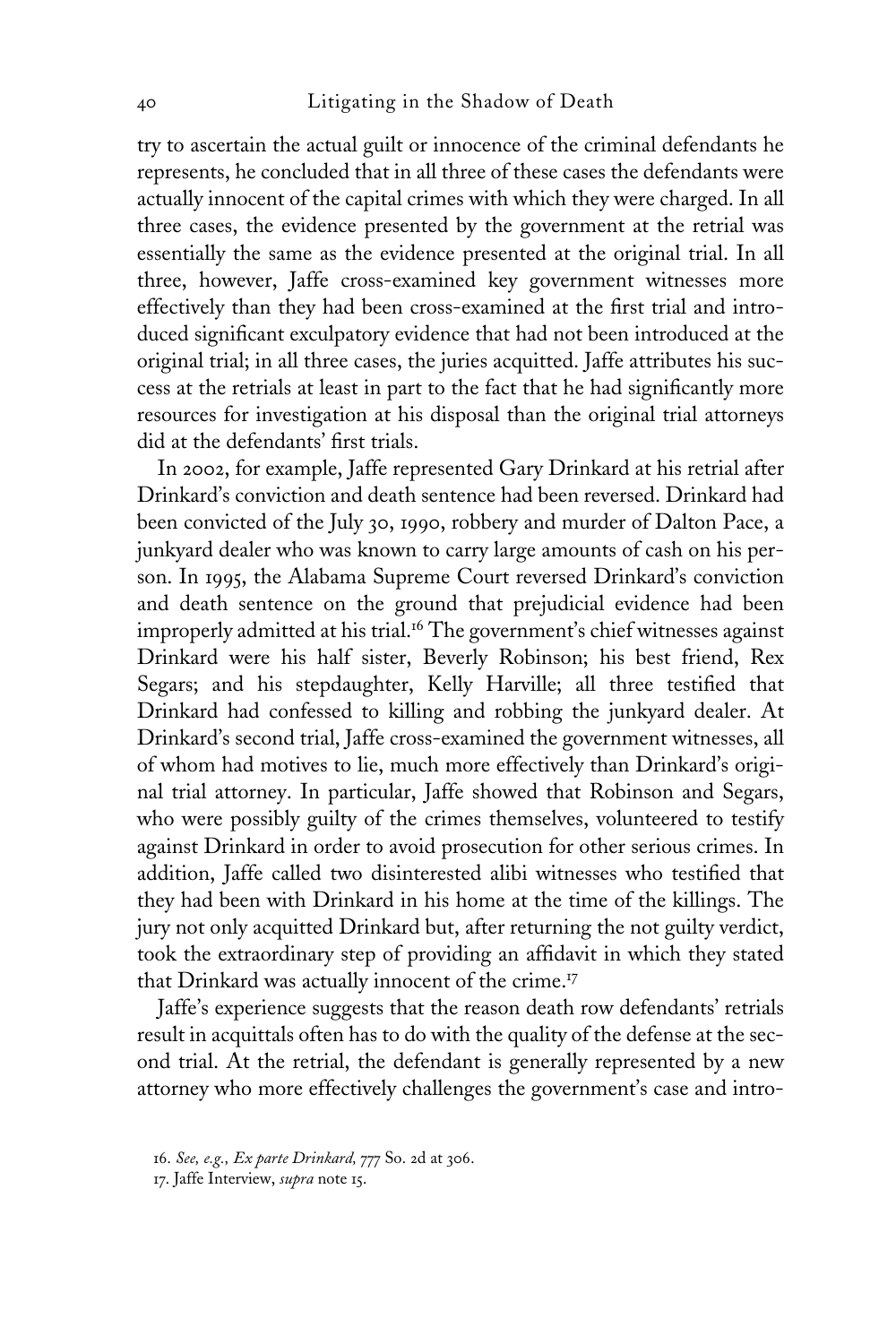try to ascertain the actual guilt or innocence of the criminal defendants he represents, he concluded that in all three of these cases the defendants were actually innocent of the capital crimes with which they were charged. In all three cases, the evidence presented by the government at the retrial was essentially the same as the evidence presented at the original trial. In all three, however, Jaffe cross-examined key government witnesses more effectively than they had been cross-examined at the first trial and introduced significant exculpatory evidence that had not been introduced at the original trial; in all three cases, the juries acquitted. Jaffe attributes his success at the retrials at least in part to the fact that he had significantly more resources for investigation at his disposal than the original trial attorneys did at the defendants' first trials.

In 2002, for example, Jaffe represented Gary Drinkard at his retrial after Drinkard's conviction and death sentence had been reversed. Drinkard had been convicted of the July 30, 1990, robbery and murder of Dalton Pace, a junkyard dealer who was known to carry large amounts of cash on his person. In 1995, the Alabama Supreme Court reversed Drinkard's conviction and death sentence on the ground that prejudicial evidence had been improperly admitted at his trial.<sup>16</sup> The government's chief witnesses against Drinkard were his half sister, Beverly Robinson; his best friend, Rex Segars; and his stepdaughter, Kelly Harville; all three testified that Drinkard had confessed to killing and robbing the junkyard dealer. At Drinkard's second trial, Jaffe cross-examined the government witnesses, all of whom had motives to lie, much more effectively than Drinkard's original trial attorney. In particular, Jaffe showed that Robinson and Segars, who were possibly guilty of the crimes themselves, volunteered to testify against Drinkard in order to avoid prosecution for other serious crimes. In addition, Jaffe called two disinterested alibi witnesses who testified that they had been with Drinkard in his home at the time of the killings. The jury not only acquitted Drinkard but, after returning the not guilty verdict, took the extraordinary step of providing an affidavit in which they stated that Drinkard was actually innocent of the crime.<sup>17</sup>

Jaffe's experience suggests that the reason death row defendants' retrials result in acquittals often has to do with the quality of the defense at the second trial. At the retrial, the defendant is generally represented by a new attorney who more effectively challenges the government's case and intro-

<sup>16.</sup> *See, e.g., Ex parte Drinkard,* 777 So. 2d at 306.

<sup>17.</sup> Jaffe Interview, *supra* note 15.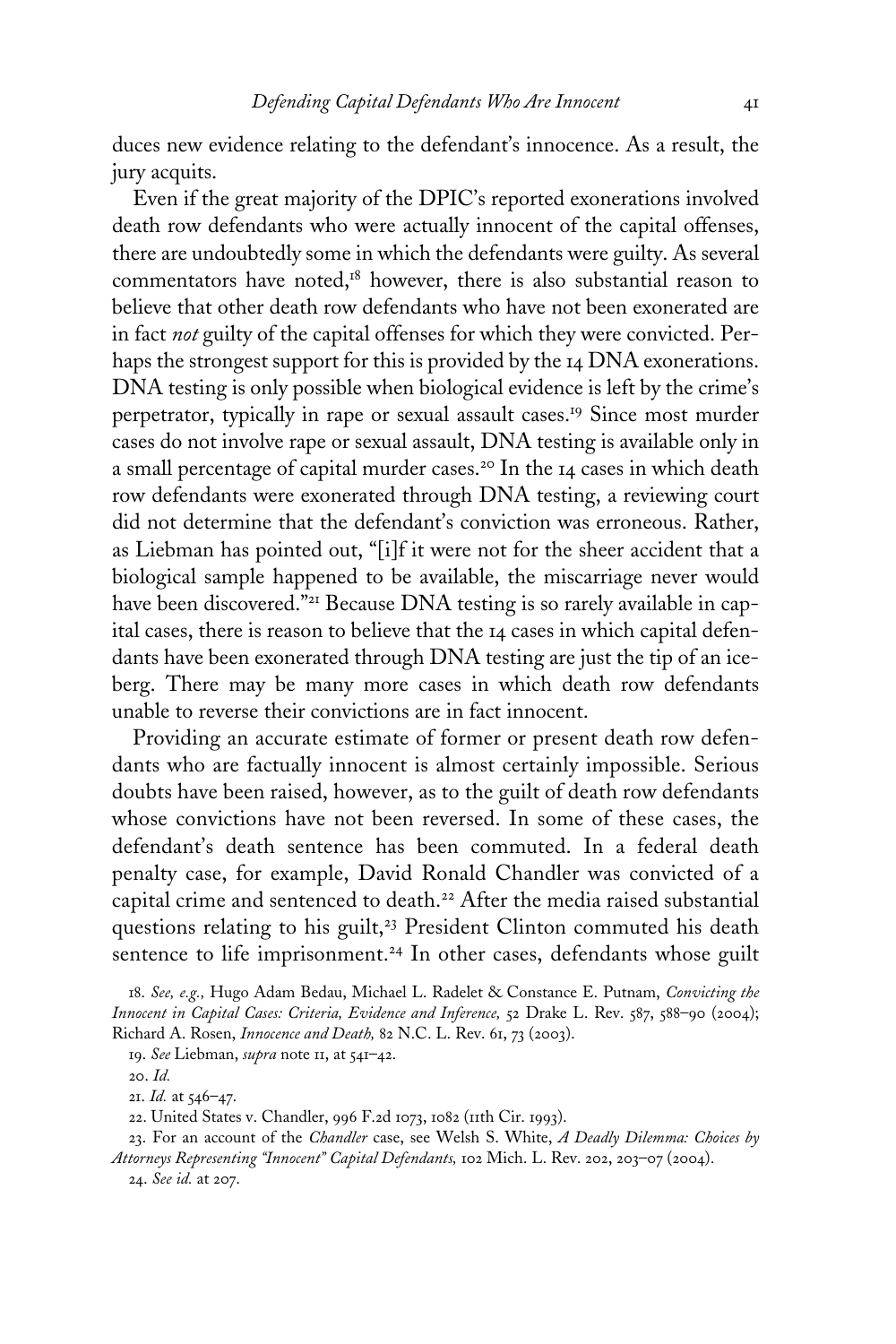duces new evidence relating to the defendant's innocence. As a result, the jury acquits.

Even if the great majority of the DPIC's reported exonerations involved death row defendants who were actually innocent of the capital offenses, there are undoubtedly some in which the defendants were guilty. As several commentators have noted, $18$  however, there is also substantial reason to believe that other death row defendants who have not been exonerated are in fact *not* guilty of the capital offenses for which they were convicted. Perhaps the strongest support for this is provided by the 14 DNA exonerations. DNA testing is only possible when biological evidence is left by the crime's perpetrator, typically in rape or sexual assault cases.19 Since most murder cases do not involve rape or sexual assault, DNA testing is available only in a small percentage of capital murder cases.<sup>20</sup> In the 14 cases in which death row defendants were exonerated through DNA testing, a reviewing court did not determine that the defendant's conviction was erroneous. Rather, as Liebman has pointed out, "[i]f it were not for the sheer accident that a biological sample happened to be available, the miscarriage never would have been discovered."<sup>21</sup> Because DNA testing is so rarely available in capital cases, there is reason to believe that the 14 cases in which capital defendants have been exonerated through DNA testing are just the tip of an iceberg. There may be many more cases in which death row defendants unable to reverse their convictions are in fact innocent.

Providing an accurate estimate of former or present death row defendants who are factually innocent is almost certainly impossible. Serious doubts have been raised, however, as to the guilt of death row defendants whose convictions have not been reversed. In some of these cases, the defendant's death sentence has been commuted. In a federal death penalty case, for example, David Ronald Chandler was convicted of a capital crime and sentenced to death.<sup>22</sup> After the media raised substantial questions relating to his guilt,<sup>23</sup> President Clinton commuted his death sentence to life imprisonment.<sup>24</sup> In other cases, defendants whose guilt

21. *Id.* at 546–47.

23. For an account of the *Chandler* case, see Welsh S. White, *A Deadly Dilemma: Choices by Attorneys Representing "Innocent" Capital Defendants,* 102 Mich. L. Rev. 202, 203–07 (2004).

24. *See id.* at 207.

<sup>18.</sup> *See, e.g.,* Hugo Adam Bedau, Michael L. Radelet & Constance E. Putnam, *Convicting the Innocent in Capital Cases: Criteria, Evidence and Inference,* 52 Drake L. Rev. 587, 588–90 (2004); Richard A. Rosen, *Innocence and Death,* 82 N.C. L. Rev. 61, 73 (2003).

<sup>19.</sup> *See* Liebman, *supra* note 11, at 541–42.

<sup>20.</sup> *Id.*

<sup>22.</sup> United States v. Chandler, 996 F.2d 1073, 1082 (11th Cir. 1993).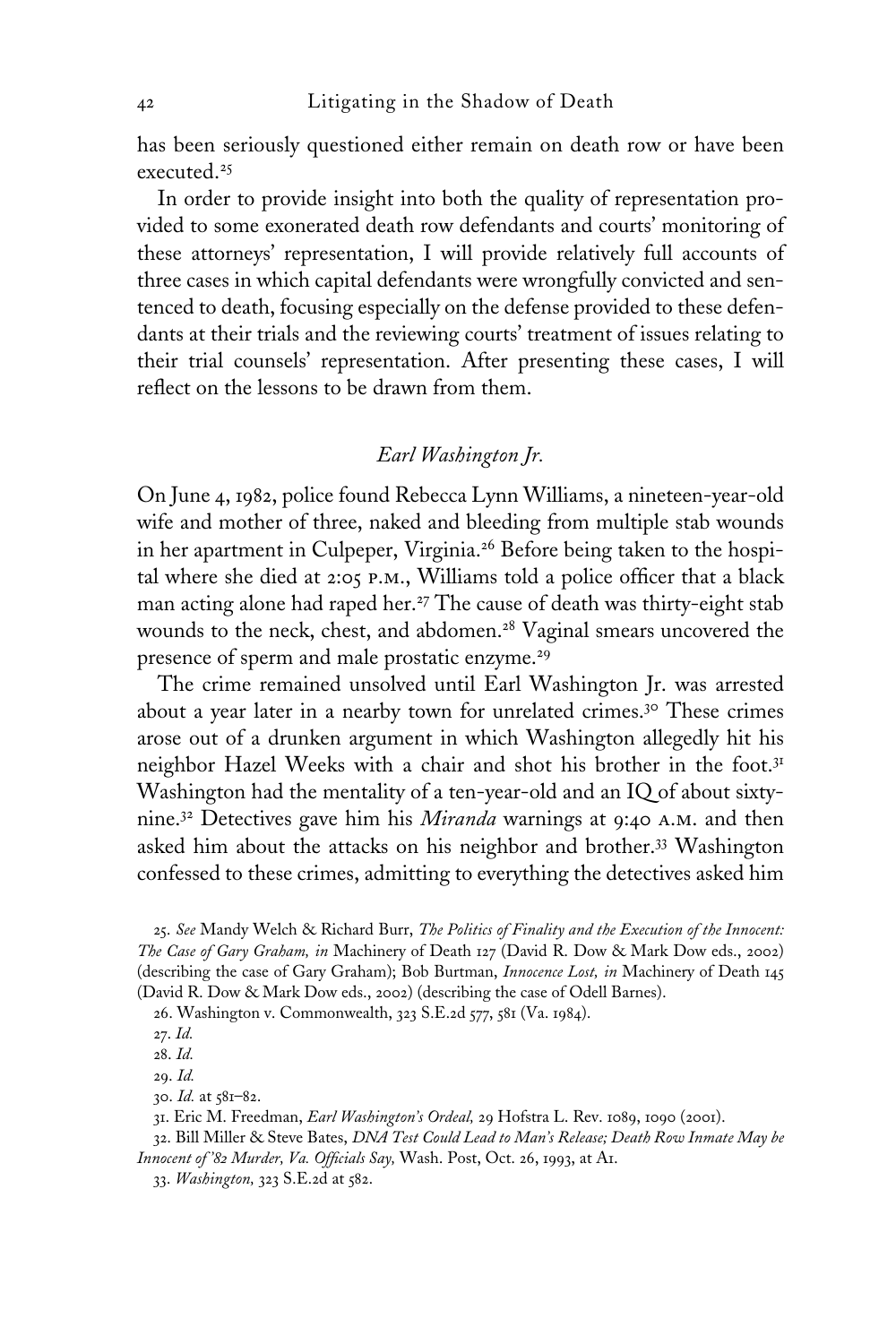has been seriously questioned either remain on death row or have been executed.<sup>25</sup>

In order to provide insight into both the quality of representation provided to some exonerated death row defendants and courts' monitoring of these attorneys' representation, I will provide relatively full accounts of three cases in which capital defendants were wrongfully convicted and sentenced to death, focusing especially on the defense provided to these defendants at their trials and the reviewing courts' treatment of issues relating to their trial counsels' representation. After presenting these cases, I will reflect on the lessons to be drawn from them.

## *Earl Washington Jr.*

On June 4, 1982, police found Rebecca Lynn Williams, a nineteen-year-old wife and mother of three, naked and bleeding from multiple stab wounds in her apartment in Culpeper, Virginia.26 Before being taken to the hospital where she died at 2:05 p.m., Williams told a police officer that a black man acting alone had raped her.<sup>27</sup> The cause of death was thirty-eight stab wounds to the neck, chest, and abdomen.<sup>28</sup> Vaginal smears uncovered the presence of sperm and male prostatic enzyme.29

The crime remained unsolved until Earl Washington Jr. was arrested about a year later in a nearby town for unrelated crimes.<sup>30</sup> These crimes arose out of a drunken argument in which Washington allegedly hit his neighbor Hazel Weeks with a chair and shot his brother in the foot.31 Washington had the mentality of a ten-year-old and an IQ of about sixtynine.32 Detectives gave him his *Miranda* warnings at 9:40 a.m. and then asked him about the attacks on his neighbor and brother.33 Washington confessed to these crimes, admitting to everything the detectives asked him

25. *See* Mandy Welch & Richard Burr, *The Politics of Finality and the Execution of the Innocent: The Case of Gary Graham, in* Machinery of Death 127 (David R. Dow & Mark Dow eds., 2002) (describing the case of Gary Graham); Bob Burtman, *Innocence Lost, in* Machinery of Death 145 (David R. Dow & Mark Dow eds., 2002) (describing the case of Odell Barnes).

26. Washington v. Commonwealth, 323 S.E.2d 577, 581 (Va. 1984).

30. *Id.* at 581–82.

31. Eric M. Freedman, *Earl Washington's Ordeal,* 29 Hofstra L. Rev. 1089, 1090 (2001).

32. Bill Miller & Steve Bates, *DNA Test Could Lead to Man's Release; Death Row Inmate May be Innocent of '82 Murder, Va. Officials Say, Wash. Post, Oct. 26, 1993, at A1.* 

33. *Washington,* 323 S.E.2d at 582.

<sup>27.</sup> *Id.*

<sup>28.</sup> *Id.*

<sup>29.</sup> *Id.*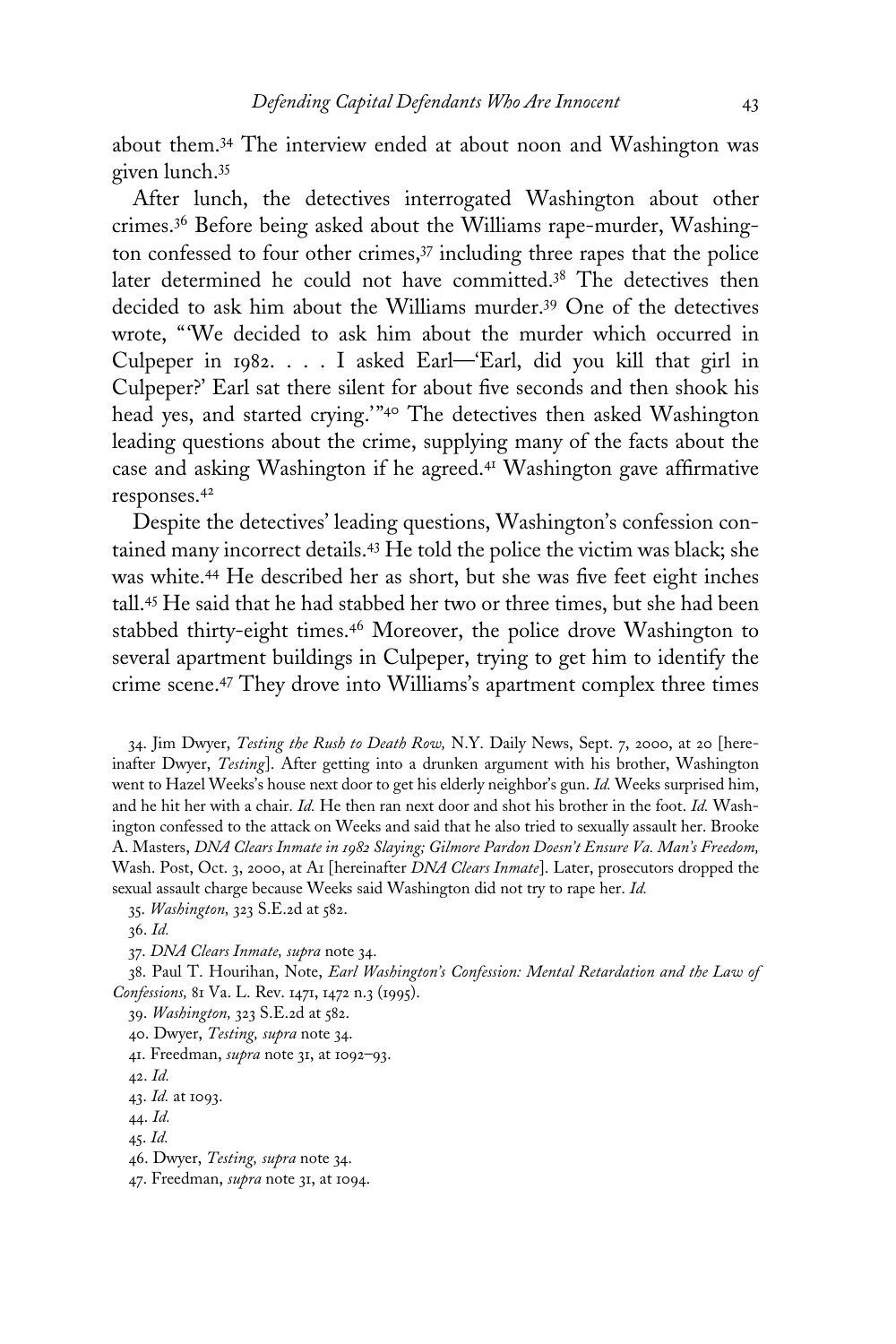about them.<sup>34</sup> The interview ended at about noon and Washington was given lunch.35

After lunch, the detectives interrogated Washington about other crimes.<sup>36</sup> Before being asked about the Williams rape-murder, Washington confessed to four other crimes,<sup>37</sup> including three rapes that the police later determined he could not have committed.<sup>38</sup> The detectives then decided to ask him about the Williams murder.39 One of the detectives wrote, "'We decided to ask him about the murder which occurred in Culpeper in 1982. . . . I asked Earl—'Earl, did you kill that girl in Culpeper?' Earl sat there silent for about five seconds and then shook his head yes, and started crying.'"40 The detectives then asked Washington leading questions about the crime, supplying many of the facts about the case and asking Washington if he agreed.<sup>41</sup> Washington gave affirmative responses.42

Despite the detectives' leading questions, Washington's confession contained many incorrect details.43 He told the police the victim was black; she was white.<sup>44</sup> He described her as short, but she was five feet eight inches tall.<sup>45</sup> He said that he had stabbed her two or three times, but she had been stabbed thirty-eight times.46 Moreover, the police drove Washington to several apartment buildings in Culpeper, trying to get him to identify the crime scene.47 They drove into Williams's apartment complex three times

34. Jim Dwyer, *Testing the Rush to Death Row,* N.Y. Daily News, Sept. 7, 2000, at 20 [hereinafter Dwyer, *Testing*]. After getting into a drunken argument with his brother, Washington went to Hazel Weeks's house next door to get his elderly neighbor's gun. *Id.* Weeks surprised him, and he hit her with a chair. *Id.* He then ran next door and shot his brother in the foot. *Id.* Washington confessed to the attack on Weeks and said that he also tried to sexually assault her. Brooke A. Masters, *DNA Clears Inmate in 1982 Slaying; Gilmore Pardon Doesn't Ensure Va. Man's Freedom,* Wash. Post, Oct. 3, 2000, at A1 [hereinafter *DNA Clears Inmate*]. Later, prosecutors dropped the sexual assault charge because Weeks said Washington did not try to rape her. *Id.*

35. *Washington,* 323 S.E.2d at 582.

38. Paul T. Hourihan, Note, *Earl Washington's Confession: Mental Retardation and the Law of Confessions,* 81 Va. L. Rev. 1471, 1472 n.3 (1995).

39. *Washington,* 323 S.E.2d at 582.

40. Dwyer, *Testing, supra* note 34.

41. Freedman, *supra* note 31, at 1092–93.

42. *Id.*

43. *Id.* at 1093.

44. *Id.*

45. *Id.*

46. Dwyer, *Testing, supra* note 34.

47. Freedman, *supra* note 31, at 1094.

<sup>36.</sup> *Id.*

<sup>37.</sup> *DNA Clears Inmate, supra* note 34.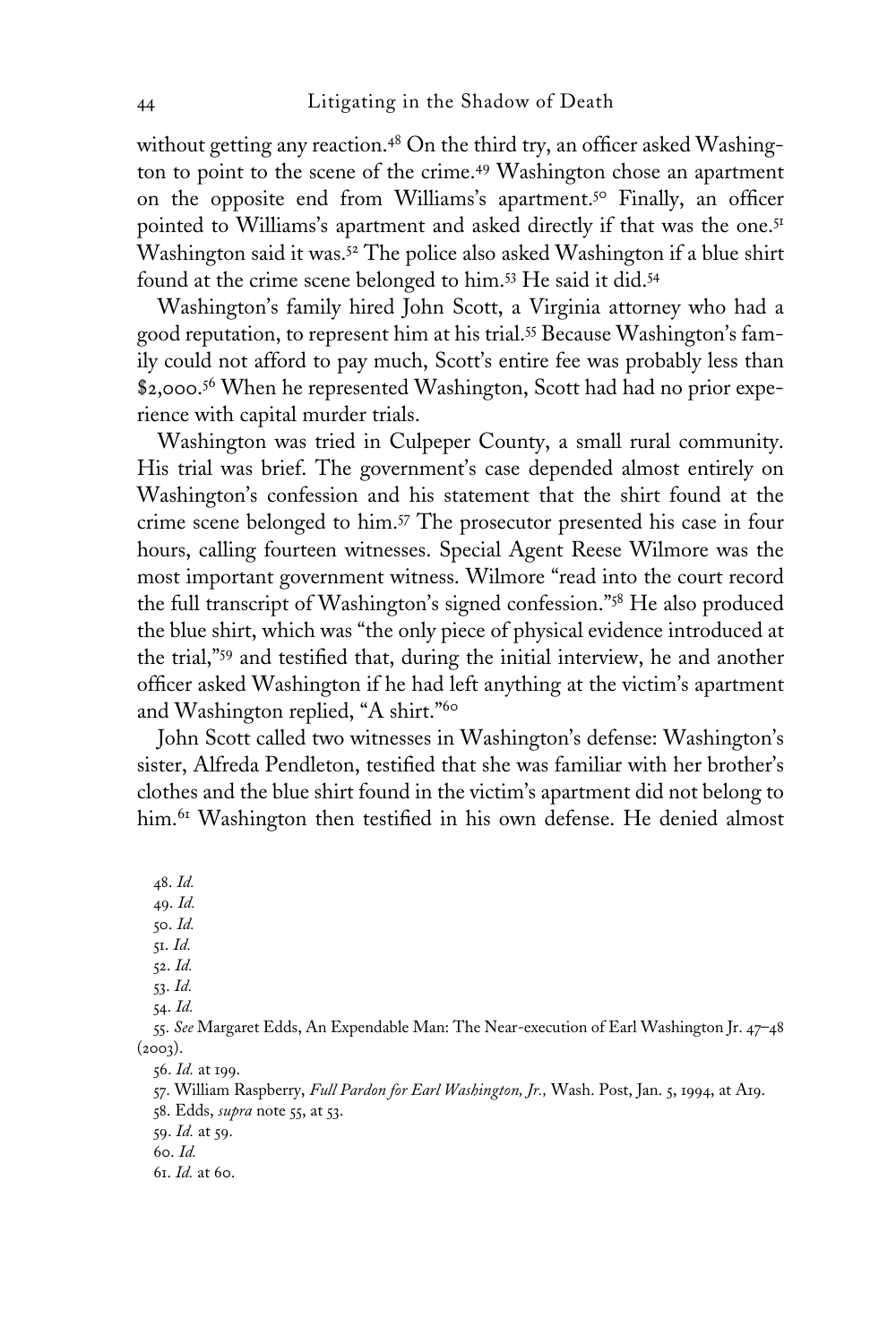without getting any reaction.<sup>48</sup> On the third try, an officer asked Washington to point to the scene of the crime.49 Washington chose an apartment on the opposite end from Williams's apartment.<sup>50</sup> Finally, an officer pointed to Williams's apartment and asked directly if that was the one.<sup>51</sup> Washington said it was.<sup>52</sup> The police also asked Washington if a blue shirt found at the crime scene belonged to him.53 He said it did.54

Washington's family hired John Scott, a Virginia attorney who had a good reputation, to represent him at his trial.55 Because Washington's family could not afford to pay much, Scott's entire fee was probably less than \$2,000.<sup>56</sup> When he represented Washington, Scott had had no prior experience with capital murder trials.

Washington was tried in Culpeper County, a small rural community. His trial was brief. The government's case depended almost entirely on Washington's confession and his statement that the shirt found at the crime scene belonged to him.57 The prosecutor presented his case in four hours, calling fourteen witnesses. Special Agent Reese Wilmore was the most important government witness. Wilmore "read into the court record the full transcript of Washington's signed confession."58 He also produced the blue shirt, which was "the only piece of physical evidence introduced at the trial,"<sup>59</sup> and testified that, during the initial interview, he and another officer asked Washington if he had left anything at the victim's apartment and Washington replied, "A shirt."60

John Scott called two witnesses in Washington's defense: Washington's sister, Alfreda Pendleton, testified that she was familiar with her brother's clothes and the blue shirt found in the victim's apartment did not belong to him.<sup>61</sup> Washington then testified in his own defense. He denied almost

48. *Id.* 49. *Id.* 50. *Id.* 51. *Id.* 52. *Id.* 53. *Id.* 54. *Id.* 55. *See* Margaret Edds, An Expendable Man: The Near-execution of Earl Washington Jr. 47–48  $(2003)$ . 56. *Id.* at 199. 57. William Raspberry, *Full Pardon for Earl Washington, Jr.,* Wash. Post, Jan. 5, 1994, at A19. 58. Edds, *supra* note 55, at 53. 59. *Id.* at 59. 60. *Id.*

61. *Id.* at 60.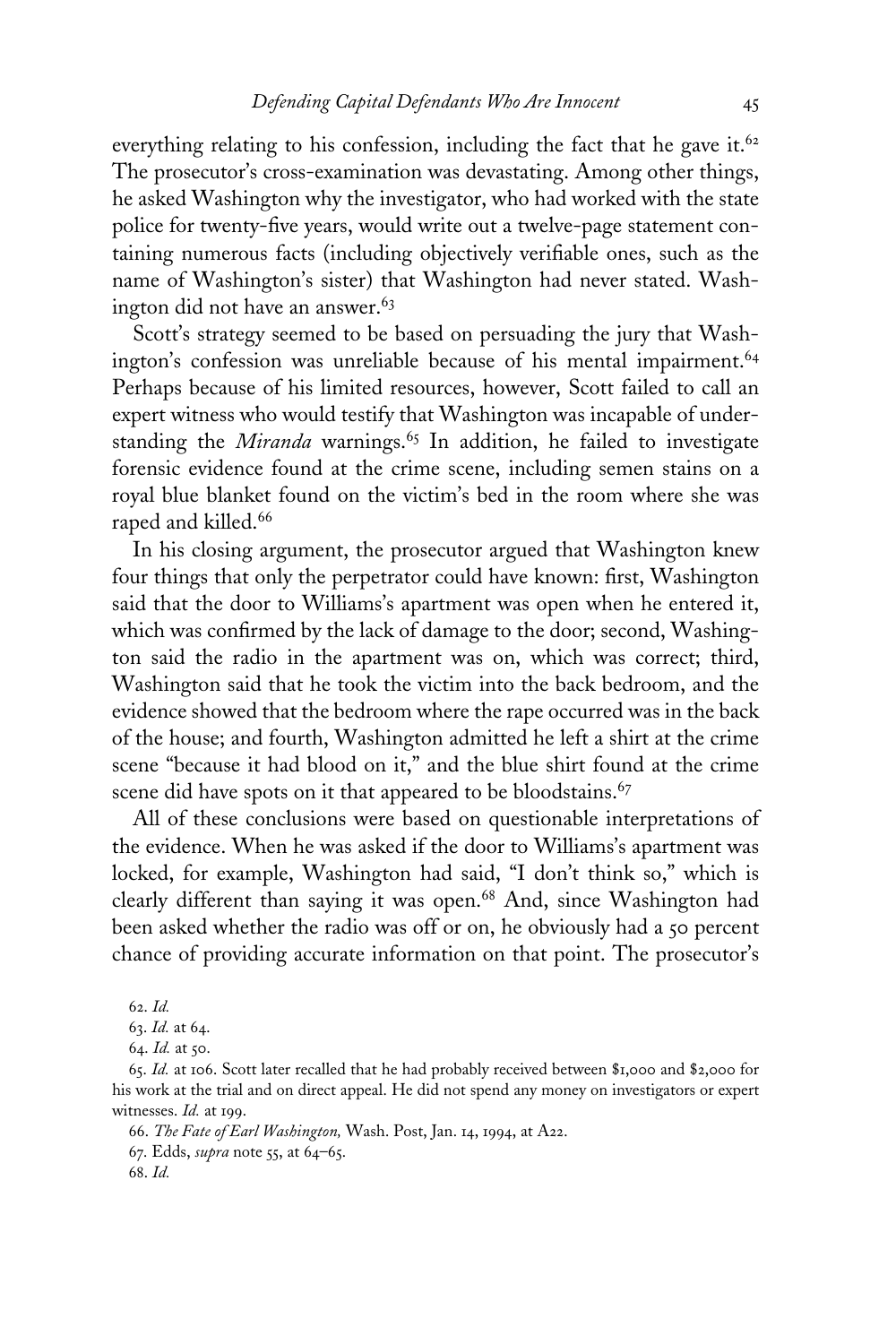everything relating to his confession, including the fact that he gave it.<sup>62</sup> The prosecutor's cross-examination was devastating. Among other things, he asked Washington why the investigator, who had worked with the state police for twenty-five years, would write out a twelve-page statement containing numerous facts (including objectively verifiable ones, such as the name of Washington's sister) that Washington had never stated. Washington did not have an answer.<sup>63</sup>

Scott's strategy seemed to be based on persuading the jury that Washington's confession was unreliable because of his mental impairment.<sup>64</sup> Perhaps because of his limited resources, however, Scott failed to call an expert witness who would testify that Washington was incapable of understanding the *Miranda* warnings.<sup>65</sup> In addition, he failed to investigate forensic evidence found at the crime scene, including semen stains on a royal blue blanket found on the victim's bed in the room where she was raped and killed.<sup>66</sup>

In his closing argument, the prosecutor argued that Washington knew four things that only the perpetrator could have known: first, Washington said that the door to Williams's apartment was open when he entered it, which was confirmed by the lack of damage to the door; second, Washington said the radio in the apartment was on, which was correct; third, Washington said that he took the victim into the back bedroom, and the evidence showed that the bedroom where the rape occurred was in the back of the house; and fourth, Washington admitted he left a shirt at the crime scene "because it had blood on it," and the blue shirt found at the crime scene did have spots on it that appeared to be bloodstains.<sup>67</sup>

All of these conclusions were based on questionable interpretations of the evidence. When he was asked if the door to Williams's apartment was locked, for example, Washington had said, "I don't think so," which is clearly different than saying it was open.<sup>68</sup> And, since Washington had been asked whether the radio was off or on, he obviously had a 50 percent chance of providing accurate information on that point. The prosecutor's

<sup>62.</sup> *Id.* 63. *Id.* at 64. 64. *Id.* at 50.

<sup>65.</sup> *Id.* at 106. Scott later recalled that he had probably received between \$1,000 and \$2,000 for his work at the trial and on direct appeal. He did not spend any money on investigators or expert witnesses. *Id.* at 199.

<sup>66.</sup> *The Fate of Earl Washington,* Wash. Post, Jan. 14, 1994, at A22.

<sup>67.</sup> Edds, *supra* note 55, at 64–65.

<sup>68.</sup> *Id.*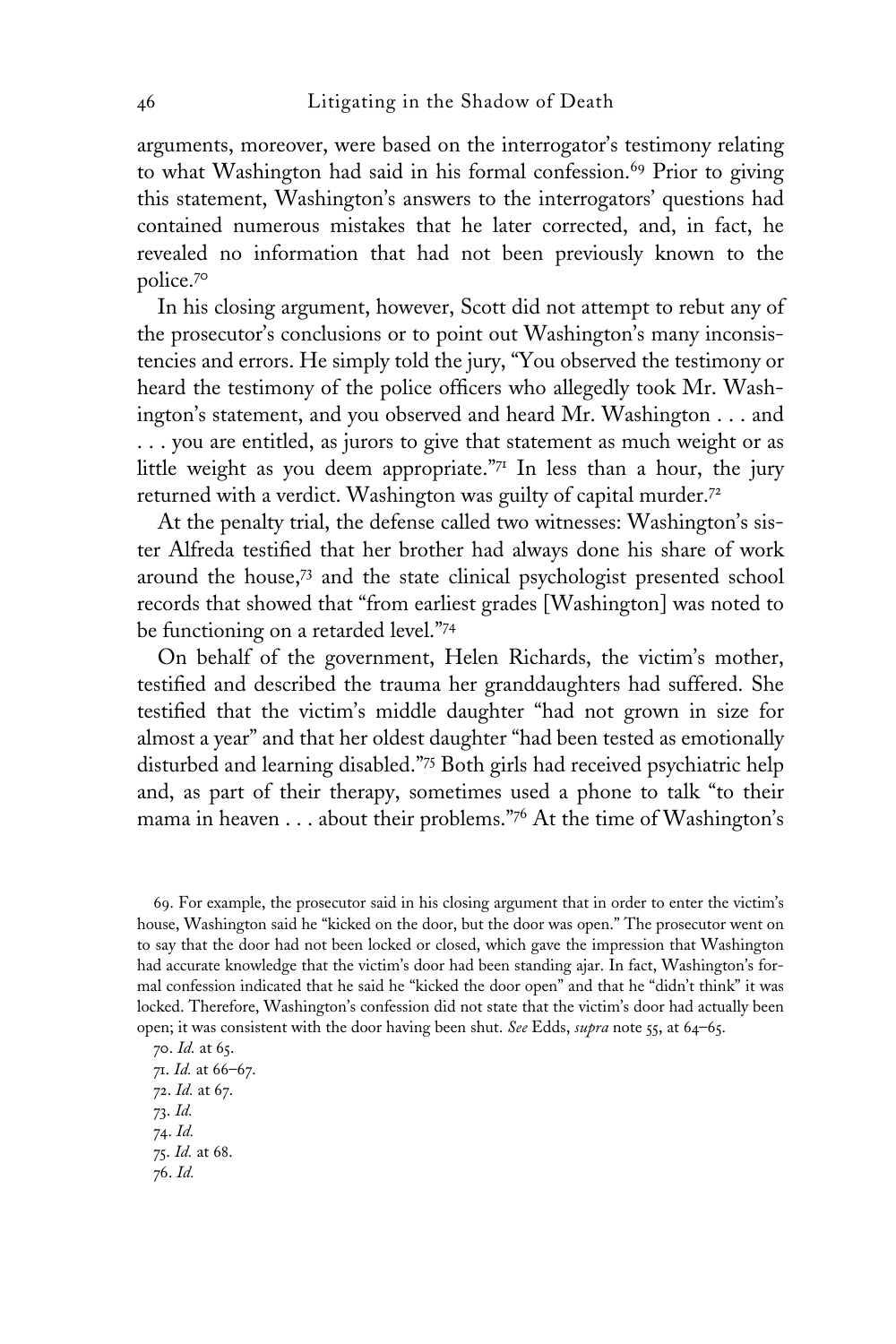arguments, moreover, were based on the interrogator's testimony relating to what Washington had said in his formal confession.<sup>69</sup> Prior to giving this statement, Washington's answers to the interrogators' questions had contained numerous mistakes that he later corrected, and, in fact, he revealed no information that had not been previously known to the police.<sup>70</sup>

In his closing argument, however, Scott did not attempt to rebut any of the prosecutor's conclusions or to point out Washington's many inconsistencies and errors. He simply told the jury, "You observed the testimony or heard the testimony of the police officers who allegedly took Mr. Washington's statement, and you observed and heard Mr. Washington . . . and . . . you are entitled, as jurors to give that statement as much weight or as little weight as you deem appropriate."<sup>71</sup> In less than a hour, the jury returned with a verdict. Washington was guilty of capital murder.72

At the penalty trial, the defense called two witnesses: Washington's sister Alfreda testified that her brother had always done his share of work around the house,73 and the state clinical psychologist presented school records that showed that "from earliest grades [Washington] was noted to be functioning on a retarded level."74

On behalf of the government, Helen Richards, the victim's mother, testified and described the trauma her granddaughters had suffered. She testified that the victim's middle daughter "had not grown in size for almost a year" and that her oldest daughter "had been tested as emotionally disturbed and learning disabled."75 Both girls had received psychiatric help and, as part of their therapy, sometimes used a phone to talk "to their mama in heaven . . . about their problems."76 At the time of Washington's

69. For example, the prosecutor said in his closing argument that in order to enter the victim's house, Washington said he "kicked on the door, but the door was open." The prosecutor went on to say that the door had not been locked or closed, which gave the impression that Washington had accurate knowledge that the victim's door had been standing ajar. In fact, Washington's formal confession indicated that he said he "kicked the door open" and that he "didn't think" it was locked. Therefore, Washington's confession did not state that the victim's door had actually been open; it was consistent with the door having been shut. *See* Edds, *supra* note 55, at 64–65.

70. *Id.* at 65. 71. *Id.* at 66–67. 72. *Id.* at 67. 73. *Id.* 74. *Id.* 75. *Id.* at 68. 76. *Id.*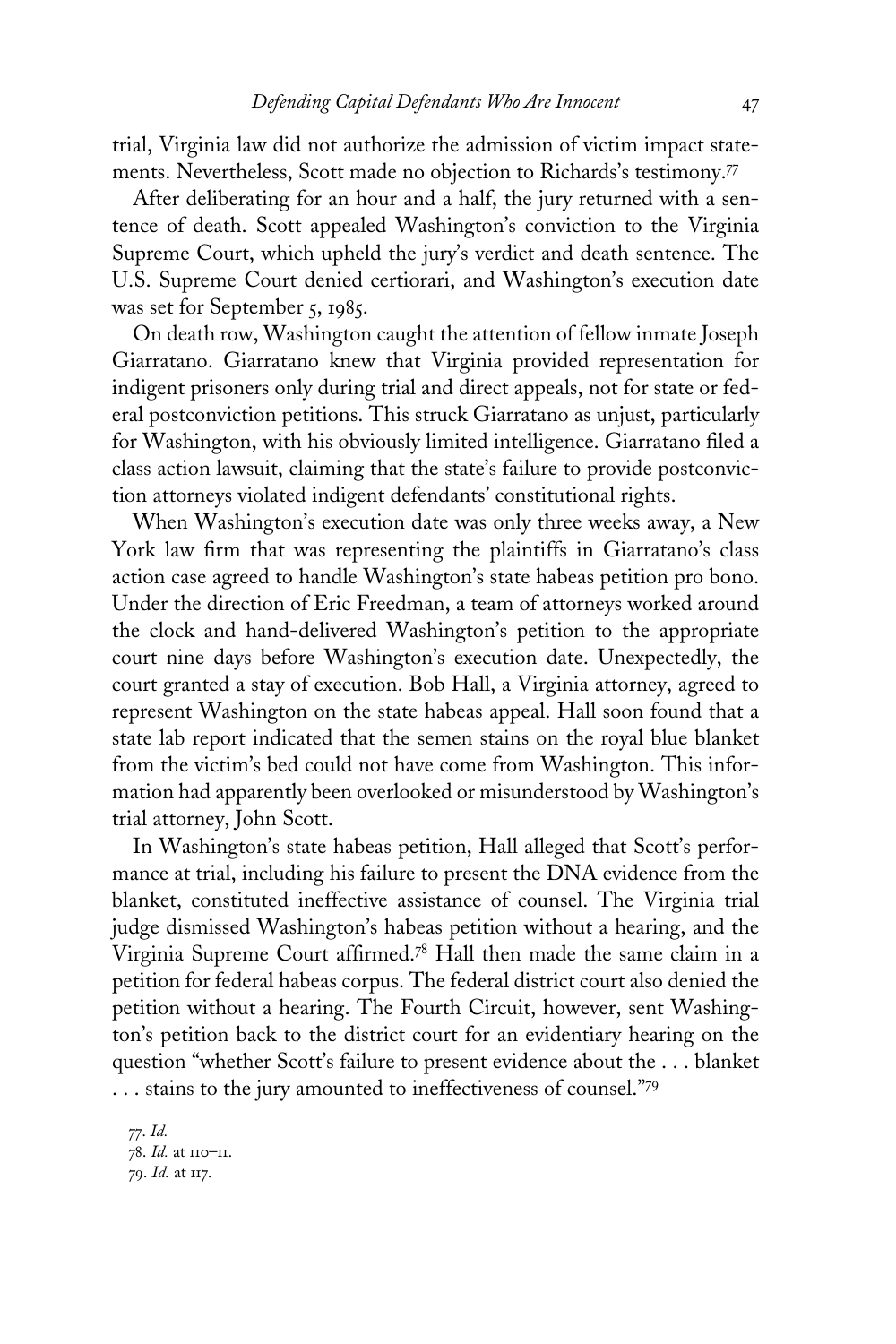trial, Virginia law did not authorize the admission of victim impact statements. Nevertheless, Scott made no objection to Richards's testimony.77

After deliberating for an hour and a half, the jury returned with a sentence of death. Scott appealed Washington's conviction to the Virginia Supreme Court, which upheld the jury's verdict and death sentence. The U.S. Supreme Court denied certiorari, and Washington's execution date was set for September 5, 1985.

On death row, Washington caught the attention of fellow inmate Joseph Giarratano. Giarratano knew that Virginia provided representation for indigent prisoners only during trial and direct appeals, not for state or federal postconviction petitions. This struck Giarratano as unjust, particularly for Washington, with his obviously limited intelligence. Giarratano filed a class action lawsuit, claiming that the state's failure to provide postconviction attorneys violated indigent defendants' constitutional rights.

When Washington's execution date was only three weeks away, a New York law firm that was representing the plaintiffs in Giarratano's class action case agreed to handle Washington's state habeas petition pro bono. Under the direction of Eric Freedman, a team of attorneys worked around the clock and hand-delivered Washington's petition to the appropriate court nine days before Washington's execution date. Unexpectedly, the court granted a stay of execution. Bob Hall, a Virginia attorney, agreed to represent Washington on the state habeas appeal. Hall soon found that a state lab report indicated that the semen stains on the royal blue blanket from the victim's bed could not have come from Washington. This information had apparently been overlooked or misunderstood by Washington's trial attorney, John Scott.

In Washington's state habeas petition, Hall alleged that Scott's performance at trial, including his failure to present the DNA evidence from the blanket, constituted ineffective assistance of counsel. The Virginia trial judge dismissed Washington's habeas petition without a hearing, and the Virginia Supreme Court affirmed.<sup>78</sup> Hall then made the same claim in a petition for federal habeas corpus. The federal district court also denied the petition without a hearing. The Fourth Circuit, however, sent Washington's petition back to the district court for an evidentiary hearing on the question "whether Scott's failure to present evidence about the . . . blanket . . . stains to the jury amounted to ineffectiveness of counsel."79

77. *Id.* 78. *Id.* at 110–11. 79. *Id.* at 117.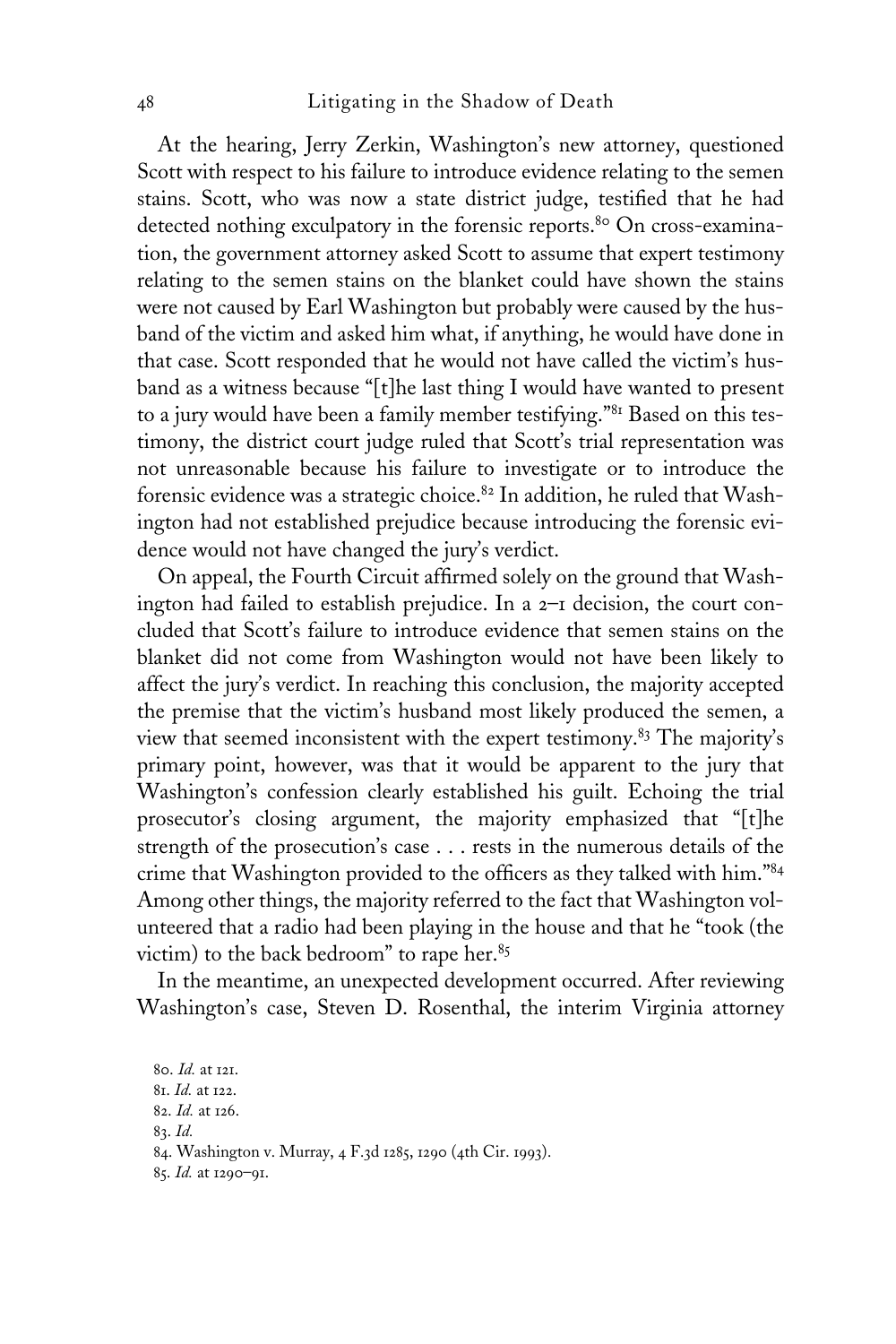At the hearing, Jerry Zerkin, Washington's new attorney, questioned Scott with respect to his failure to introduce evidence relating to the semen stains. Scott, who was now a state district judge, testified that he had detected nothing exculpatory in the forensic reports.<sup>80</sup> On cross-examination, the government attorney asked Scott to assume that expert testimony relating to the semen stains on the blanket could have shown the stains were not caused by Earl Washington but probably were caused by the husband of the victim and asked him what, if anything, he would have done in that case. Scott responded that he would not have called the victim's husband as a witness because "[t]he last thing I would have wanted to present to a jury would have been a family member testifying."<sup>81</sup> Based on this testimony, the district court judge ruled that Scott's trial representation was not unreasonable because his failure to investigate or to introduce the forensic evidence was a strategic choice.<sup>82</sup> In addition, he ruled that Washington had not established prejudice because introducing the forensic evidence would not have changed the jury's verdict.

On appeal, the Fourth Circuit affirmed solely on the ground that Washington had failed to establish prejudice. In a  $2-1$  decision, the court concluded that Scott's failure to introduce evidence that semen stains on the blanket did not come from Washington would not have been likely to affect the jury's verdict. In reaching this conclusion, the majority accepted the premise that the victim's husband most likely produced the semen, a view that seemed inconsistent with the expert testimony.83 The majority's primary point, however, was that it would be apparent to the jury that Washington's confession clearly established his guilt. Echoing the trial prosecutor's closing argument, the majority emphasized that "[t]he strength of the prosecution's case . . . rests in the numerous details of the crime that Washington provided to the officers as they talked with him."84 Among other things, the majority referred to the fact that Washington volunteered that a radio had been playing in the house and that he "took (the victim) to the back bedroom" to rape her.<sup>85</sup>

In the meantime, an unexpected development occurred. After reviewing Washington's case, Steven D. Rosenthal, the interim Virginia attorney

<sup>80.</sup> *Id.* at 121. 81. *Id.* at 122. 82. *Id.* at 126. 83. *Id.* 84. Washington v. Murray, 4 F.3d 1285, 1290 (4th Cir. 1993).

<sup>85.</sup> *Id.* at 1290–91.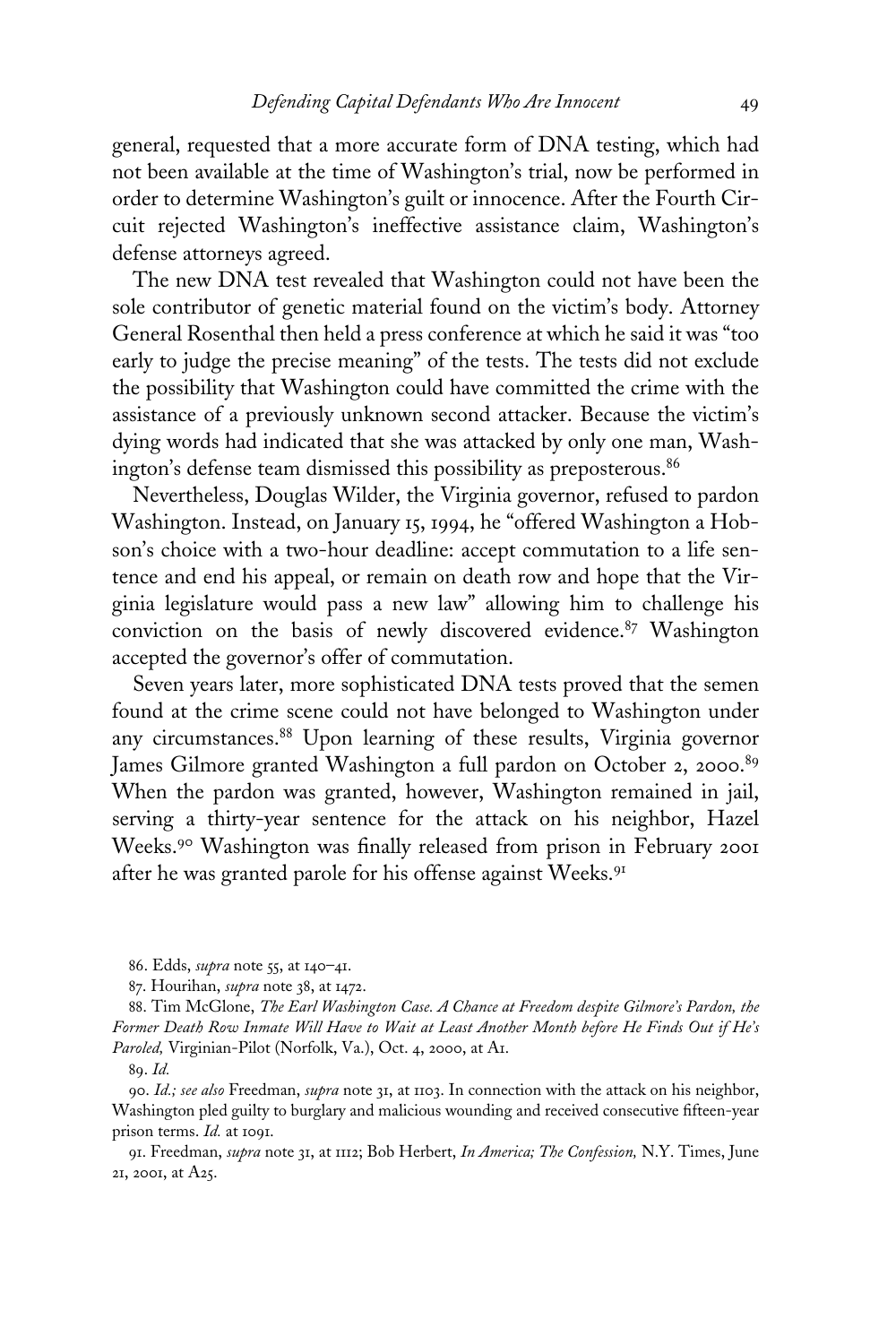general, requested that a more accurate form of DNA testing, which had not been available at the time of Washington's trial, now be performed in order to determine Washington's guilt or innocence. After the Fourth Circuit rejected Washington's ineffective assistance claim, Washington's defense attorneys agreed.

The new DNA test revealed that Washington could not have been the sole contributor of genetic material found on the victim's body. Attorney General Rosenthal then held a press conference at which he said it was "too early to judge the precise meaning" of the tests. The tests did not exclude the possibility that Washington could have committed the crime with the assistance of a previously unknown second attacker. Because the victim's dying words had indicated that she was attacked by only one man, Washington's defense team dismissed this possibility as preposterous.<sup>86</sup>

Nevertheless, Douglas Wilder, the Virginia governor, refused to pardon Washington. Instead, on January 15, 1994, he "offered Washington a Hobson's choice with a two-hour deadline: accept commutation to a life sentence and end his appeal, or remain on death row and hope that the Virginia legislature would pass a new law" allowing him to challenge his conviction on the basis of newly discovered evidence.87 Washington accepted the governor's offer of commutation.

Seven years later, more sophisticated DNA tests proved that the semen found at the crime scene could not have belonged to Washington under any circumstances.88 Upon learning of these results, Virginia governor James Gilmore granted Washington a full pardon on October 2, 2000.<sup>89</sup> When the pardon was granted, however, Washington remained in jail, serving a thirty-year sentence for the attack on his neighbor, Hazel Weeks.<sup>90</sup> Washington was finally released from prison in February 2001 after he was granted parole for his offense against Weeks.<sup>91</sup>

91. Freedman, *supra* note 31, at 1112; Bob Herbert, *In America; The Confession,* N.Y. Times, June 21, 2001, at A25.

<sup>86.</sup> Edds, *supra* note 55, at 140–41.

<sup>87.</sup> Hourihan, *supra* note 38, at 1472.

<sup>88.</sup> Tim McGlone, *The Earl Washington Case. A Chance at Freedom despite Gilmore's Pardon, the Former Death Row Inmate Will Have to Wait at Least Another Month before He Finds Out if He's Paroled,* Virginian-Pilot (Norfolk, Va.), Oct. 4, 2000, at A1.

<sup>89.</sup> *Id.*

<sup>90.</sup> *Id.; see also* Freedman, *supra* note 31, at 1103. In connection with the attack on his neighbor, Washington pled guilty to burglary and malicious wounding and received consecutive fifteen-year prison terms. *Id.* at 1091.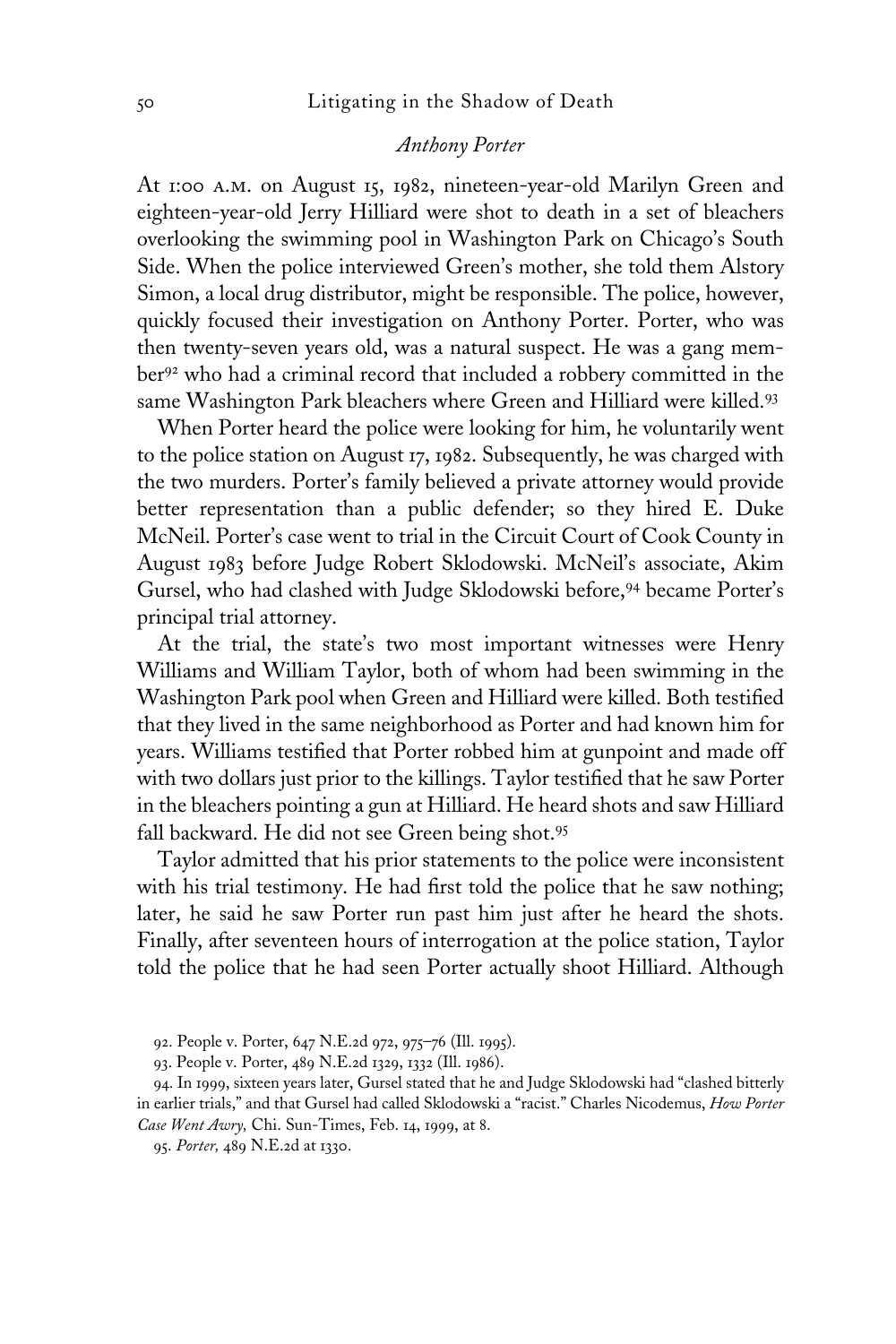#### *Anthony Porter*

At 1:00 a.m. on August 15, 1982, nineteen-year-old Marilyn Green and eighteen-year-old Jerry Hilliard were shot to death in a set of bleachers overlooking the swimming pool in Washington Park on Chicago's South Side. When the police interviewed Green's mother, she told them Alstory Simon, a local drug distributor, might be responsible. The police, however, quickly focused their investigation on Anthony Porter. Porter, who was then twenty-seven years old, was a natural suspect. He was a gang member<sup>92</sup> who had a criminal record that included a robbery committed in the same Washington Park bleachers where Green and Hilliard were killed.93

When Porter heard the police were looking for him, he voluntarily went to the police station on August 17, 1982. Subsequently, he was charged with the two murders. Porter's family believed a private attorney would provide better representation than a public defender; so they hired E. Duke McNeil. Porter's case went to trial in the Circuit Court of Cook County in August 1983 before Judge Robert Sklodowski. McNeil's associate, Akim Gursel, who had clashed with Judge Sklodowski before,<sup>94</sup> became Porter's principal trial attorney.

At the trial, the state's two most important witnesses were Henry Williams and William Taylor, both of whom had been swimming in the Washington Park pool when Green and Hilliard were killed. Both testified that they lived in the same neighborhood as Porter and had known him for years. Williams testified that Porter robbed him at gunpoint and made off with two dollars just prior to the killings. Taylor testified that he saw Porter in the bleachers pointing a gun at Hilliard. He heard shots and saw Hilliard fall backward. He did not see Green being shot.95

Taylor admitted that his prior statements to the police were inconsistent with his trial testimony. He had first told the police that he saw nothing; later, he said he saw Porter run past him just after he heard the shots. Finally, after seventeen hours of interrogation at the police station, Taylor told the police that he had seen Porter actually shoot Hilliard. Although

<sup>92.</sup> People v. Porter, 647 N.E.2d 972, 975–76 (Ill. 1995).

<sup>93.</sup> People v. Porter, 489 N.E.2d 1329, 1332 (Ill. 1986).

<sup>94.</sup> In 1999, sixteen years later, Gursel stated that he and Judge Sklodowski had "clashed bitterly in earlier trials," and that Gursel had called Sklodowski a "racist." Charles Nicodemus, *How Porter Case Went Awry,* Chi. Sun-Times, Feb. 14, 1999, at 8.

<sup>95.</sup> *Porter,* 489 N.E.2d at 1330.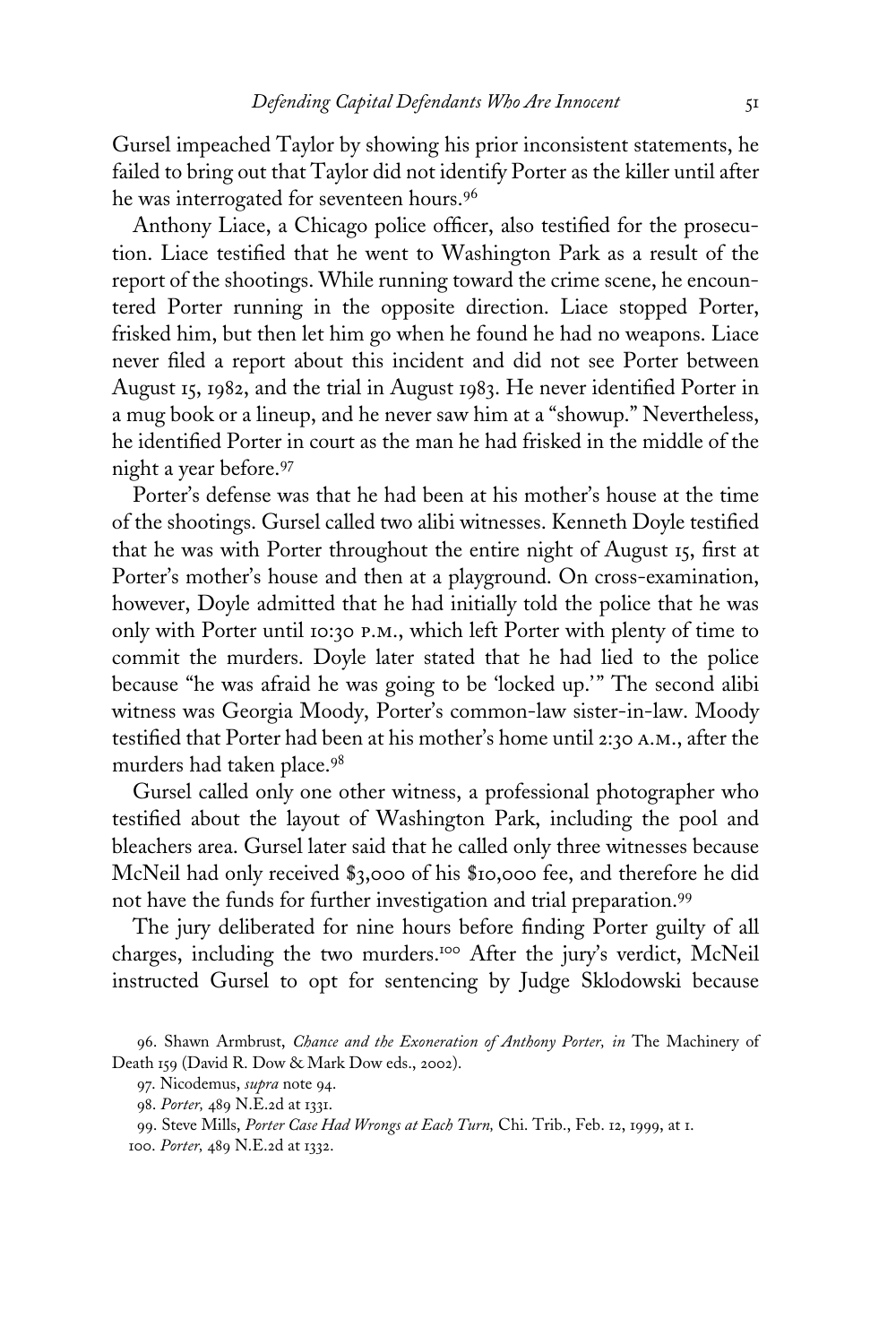Gursel impeached Taylor by showing his prior inconsistent statements, he failed to bring out that Taylor did not identify Porter as the killer until after he was interrogated for seventeen hours.<sup>96</sup>

Anthony Liace, a Chicago police officer, also testified for the prosecution. Liace testified that he went to Washington Park as a result of the report of the shootings. While running toward the crime scene, he encountered Porter running in the opposite direction. Liace stopped Porter, frisked him, but then let him go when he found he had no weapons. Liace never filed a report about this incident and did not see Porter between August 15, 1982, and the trial in August 1983. He never identified Porter in a mug book or a lineup, and he never saw him at a "showup." Nevertheless, he identified Porter in court as the man he had frisked in the middle of the night a year before.<sup>97</sup>

Porter's defense was that he had been at his mother's house at the time of the shootings. Gursel called two alibi witnesses. Kenneth Doyle testified that he was with Porter throughout the entire night of August 15, first at Porter's mother's house and then at a playground. On cross-examination, however, Doyle admitted that he had initially told the police that he was only with Porter until 10:30 p.m., which left Porter with plenty of time to commit the murders. Doyle later stated that he had lied to the police because "he was afraid he was going to be 'locked up.'" The second alibi witness was Georgia Moody, Porter's common-law sister-in-law. Moody testified that Porter had been at his mother's home until 2:30 A.M., after the murders had taken place.98

Gursel called only one other witness, a professional photographer who testified about the layout of Washington Park, including the pool and bleachers area. Gursel later said that he called only three witnesses because McNeil had only received \$3,000 of his \$10,000 fee, and therefore he did not have the funds for further investigation and trial preparation.99

The jury deliberated for nine hours before finding Porter guilty of all charges, including the two murders.100 After the jury's verdict, McNeil instructed Gursel to opt for sentencing by Judge Sklodowski because

96. Shawn Armbrust, *Chance and the Exoneration of Anthony Porter, in* The Machinery of Death 159 (David R. Dow & Mark Dow eds., 2002).

<sup>97.</sup> Nicodemus, *supra* note 94.

<sup>98.</sup> *Porter,* 489 N.E.2d at 1331.

<sup>99.</sup> Steve Mills, *Porter Case Had Wrongs at Each Turn,* Chi. Trib., Feb. 12, 1999, at 1.

<sup>100.</sup> *Porter,* 489 N.E.2d at 1332.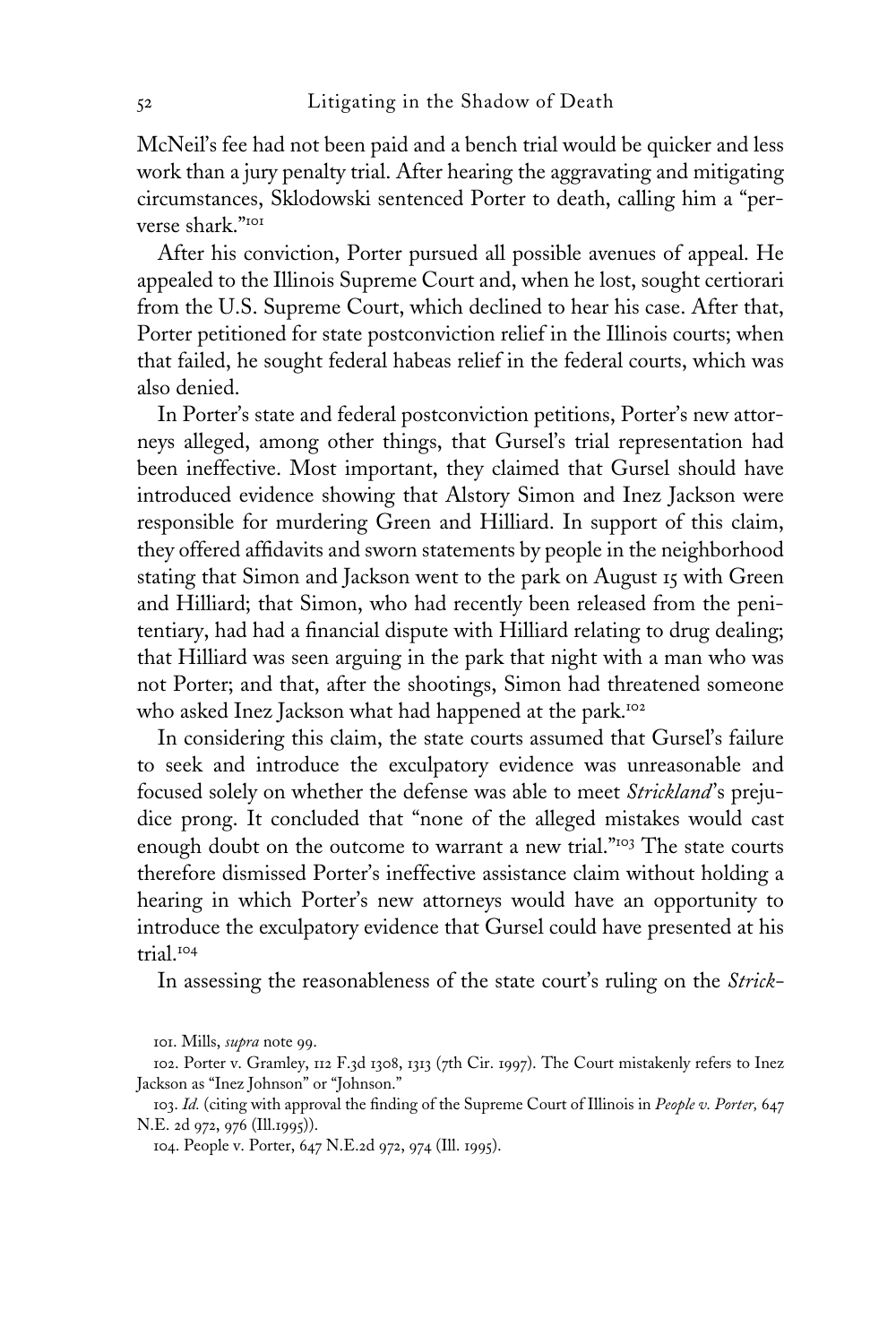McNeil's fee had not been paid and a bench trial would be quicker and less work than a jury penalty trial. After hearing the aggravating and mitigating circumstances, Sklodowski sentenced Porter to death, calling him a "perverse shark."<sup>101</sup>

After his conviction, Porter pursued all possible avenues of appeal. He appealed to the Illinois Supreme Court and, when he lost, sought certiorari from the U.S. Supreme Court, which declined to hear his case. After that, Porter petitioned for state postconviction relief in the Illinois courts; when that failed, he sought federal habeas relief in the federal courts, which was also denied.

In Porter's state and federal postconviction petitions, Porter's new attorneys alleged, among other things, that Gursel's trial representation had been ineffective. Most important, they claimed that Gursel should have introduced evidence showing that Alstory Simon and Inez Jackson were responsible for murdering Green and Hilliard. In support of this claim, they offered affidavits and sworn statements by people in the neighborhood stating that Simon and Jackson went to the park on August 15 with Green and Hilliard; that Simon, who had recently been released from the penitentiary, had had a financial dispute with Hilliard relating to drug dealing; that Hilliard was seen arguing in the park that night with a man who was not Porter; and that, after the shootings, Simon had threatened someone who asked Inez Jackson what had happened at the park.<sup>102</sup>

In considering this claim, the state courts assumed that Gursel's failure to seek and introduce the exculpatory evidence was unreasonable and focused solely on whether the defense was able to meet *Strickland*'s prejudice prong. It concluded that "none of the alleged mistakes would cast enough doubt on the outcome to warrant a new trial."<sup>103</sup> The state courts therefore dismissed Porter's ineffective assistance claim without holding a hearing in which Porter's new attorneys would have an opportunity to introduce the exculpatory evidence that Gursel could have presented at his trial.<sup>104</sup>

In assessing the reasonableness of the state court's ruling on the *Strick-*

<sup>101.</sup> Mills, *supra* note 99.

<sup>102.</sup> Porter v. Gramley, 112 F.3d 1308, 1313 (7th Cir. 1997). The Court mistakenly refers to Inez Jackson as "Inez Johnson" or "Johnson."

<sup>103.</sup> *Id.* (citing with approval the finding of the Supreme Court of Illinois in *People v. Porter*, 647 N.E. 2d 972, 976 (Ill.1995)).

<sup>104.</sup> People v. Porter, 647 N.E.2d 972, 974 (Ill. 1995).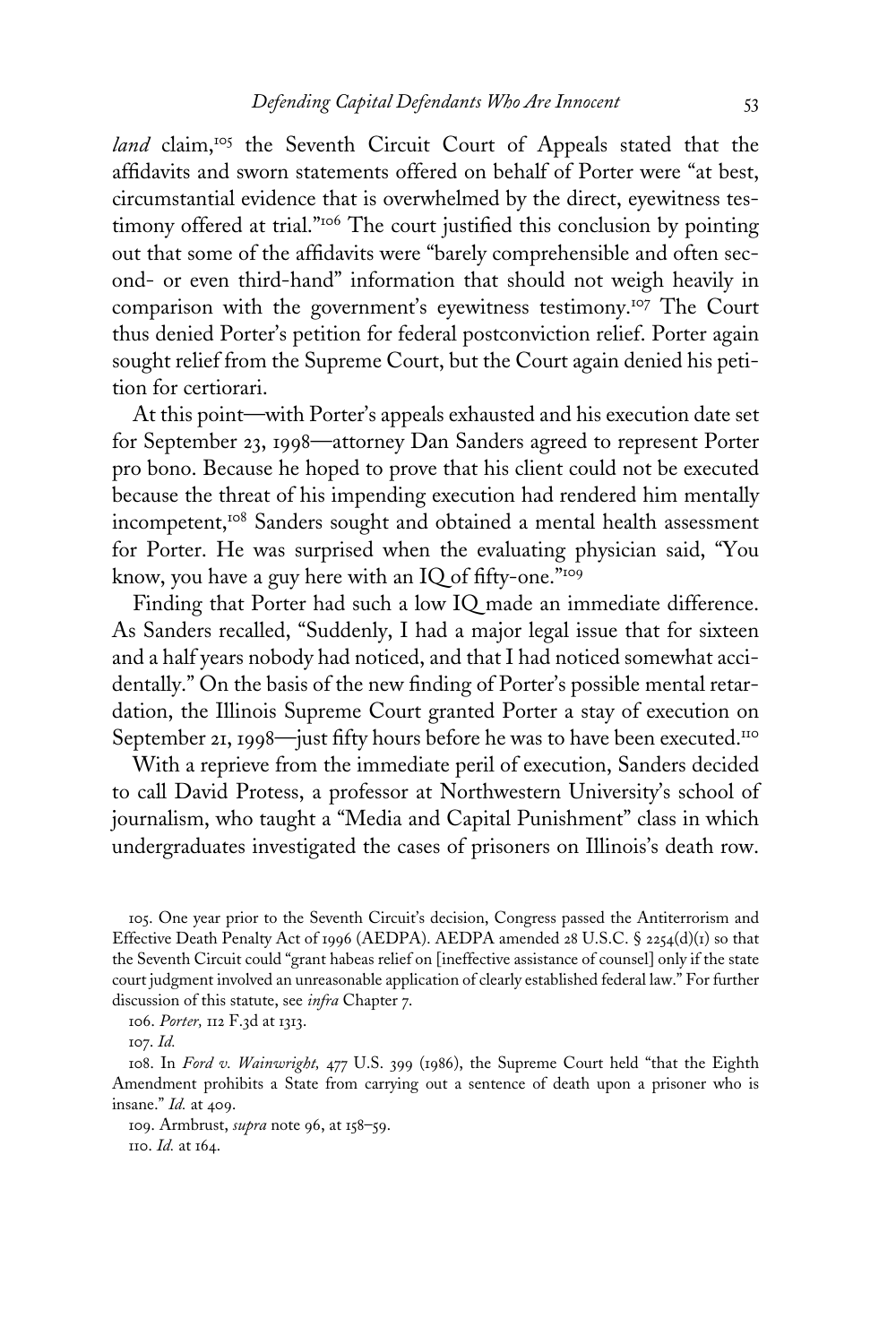land claim,<sup>105</sup> the Seventh Circuit Court of Appeals stated that the affidavits and sworn statements offered on behalf of Porter were "at best, circumstantial evidence that is overwhelmed by the direct, eyewitness testimony offered at trial."<sup>106</sup> The court justified this conclusion by pointing out that some of the affidavits were "barely comprehensible and often second- or even third-hand" information that should not weigh heavily in comparison with the government's eyewitness testimony.107 The Court thus denied Porter's petition for federal postconviction relief. Porter again sought relief from the Supreme Court, but the Court again denied his petition for certiorari.

At this point—with Porter's appeals exhausted and his execution date set for September 23, 1998—attorney Dan Sanders agreed to represent Porter pro bono. Because he hoped to prove that his client could not be executed because the threat of his impending execution had rendered him mentally incompetent,<sup>108</sup> Sanders sought and obtained a mental health assessment for Porter. He was surprised when the evaluating physician said, "You know, you have a guy here with an IQ of fifty-one." $109$ 

Finding that Porter had such a low IQ made an immediate difference. As Sanders recalled, "Suddenly, I had a major legal issue that for sixteen and a half years nobody had noticed, and that I had noticed somewhat accidentally." On the basis of the new finding of Porter's possible mental retardation, the Illinois Supreme Court granted Porter a stay of execution on September 21, 1998—just fifty hours before he was to have been executed.<sup>110</sup>

With a reprieve from the immediate peril of execution, Sanders decided to call David Protess, a professor at Northwestern University's school of journalism, who taught a "Media and Capital Punishment" class in which undergraduates investigated the cases of prisoners on Illinois's death row.

105. One year prior to the Seventh Circuit's decision, Congress passed the Antiterrorism and Effective Death Penalty Act of 1996 (AEDPA). AEDPA amended 28 U.S.C. § 2254(d)(1) so that the Seventh Circuit could "grant habeas relief on [ineffective assistance of counsel] only if the state court judgment involved an unreasonable application of clearly established federal law." For further discussion of this statute, see *infra* Chapter 7.

106. *Porter,* 112 F.3d at 1313.

107. *Id.*

108. In *Ford v. Wainwright,* 477 U.S. 399 (1986), the Supreme Court held "that the Eighth Amendment prohibits a State from carrying out a sentence of death upon a prisoner who is insane." *Id.* at 409.

109. Armbrust, *supra* note 96, at 158–59. 110. *Id.* at 164.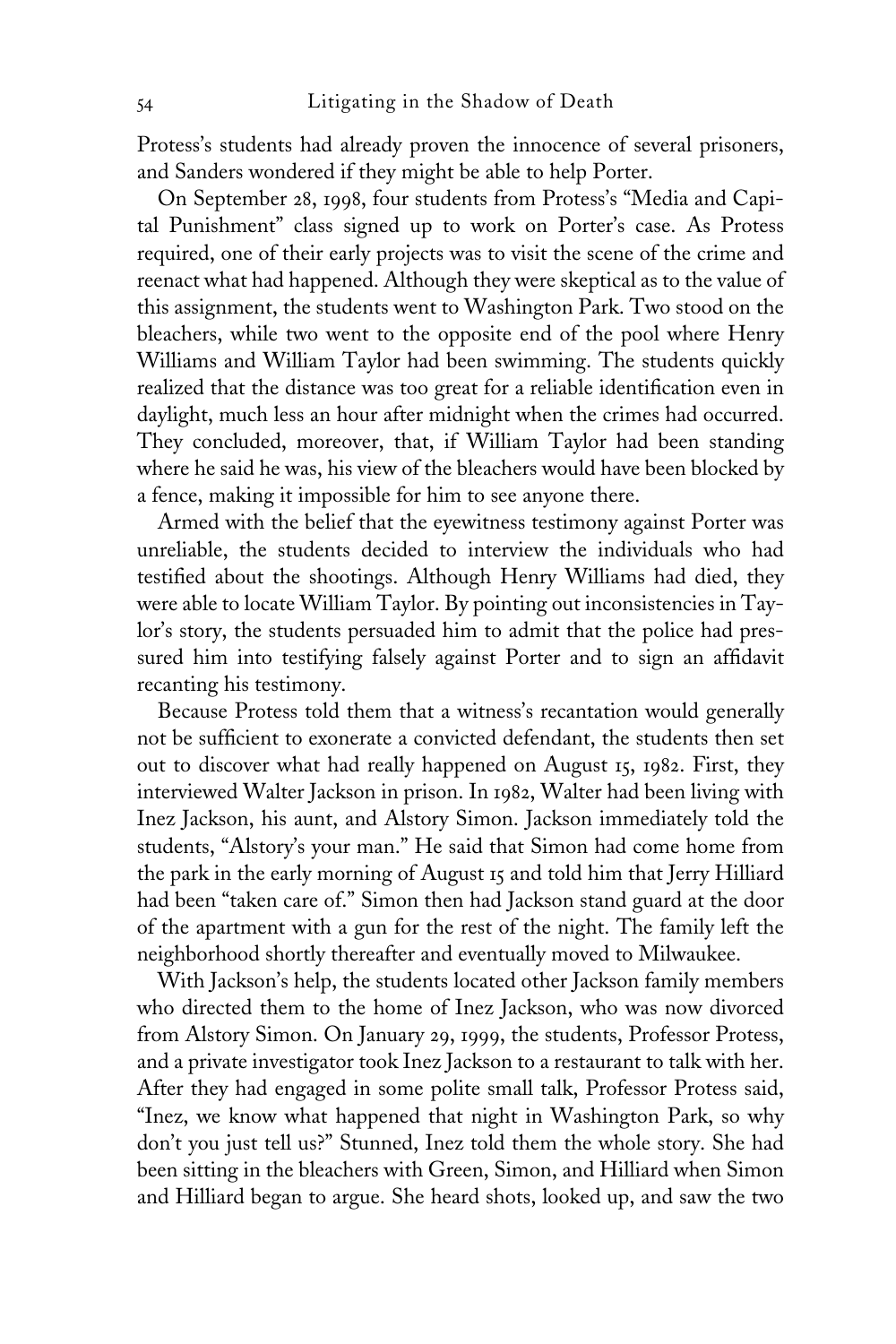Protess's students had already proven the innocence of several prisoners, and Sanders wondered if they might be able to help Porter.

On September 28, 1998, four students from Protess's "Media and Capital Punishment" class signed up to work on Porter's case. As Protess required, one of their early projects was to visit the scene of the crime and reenact what had happened. Although they were skeptical as to the value of this assignment, the students went to Washington Park. Two stood on the bleachers, while two went to the opposite end of the pool where Henry Williams and William Taylor had been swimming. The students quickly realized that the distance was too great for a reliable identification even in daylight, much less an hour after midnight when the crimes had occurred. They concluded, moreover, that, if William Taylor had been standing where he said he was, his view of the bleachers would have been blocked by a fence, making it impossible for him to see anyone there.

Armed with the belief that the eyewitness testimony against Porter was unreliable, the students decided to interview the individuals who had testified about the shootings. Although Henry Williams had died, they were able to locate William Taylor. By pointing out inconsistencies in Taylor's story, the students persuaded him to admit that the police had pressured him into testifying falsely against Porter and to sign an affidavit recanting his testimony.

Because Protess told them that a witness's recantation would generally not be sufficient to exonerate a convicted defendant, the students then set out to discover what had really happened on August 15, 1982. First, they interviewed Walter Jackson in prison. In 1982, Walter had been living with Inez Jackson, his aunt, and Alstory Simon. Jackson immediately told the students, "Alstory's your man." He said that Simon had come home from the park in the early morning of August 15 and told him that Jerry Hilliard had been "taken care of." Simon then had Jackson stand guard at the door of the apartment with a gun for the rest of the night. The family left the neighborhood shortly thereafter and eventually moved to Milwaukee.

With Jackson's help, the students located other Jackson family members who directed them to the home of Inez Jackson, who was now divorced from Alstory Simon. On January 29, 1999, the students, Professor Protess, and a private investigator took Inez Jackson to a restaurant to talk with her. After they had engaged in some polite small talk, Professor Protess said, "Inez, we know what happened that night in Washington Park, so why don't you just tell us?" Stunned, Inez told them the whole story. She had been sitting in the bleachers with Green, Simon, and Hilliard when Simon and Hilliard began to argue. She heard shots, looked up, and saw the two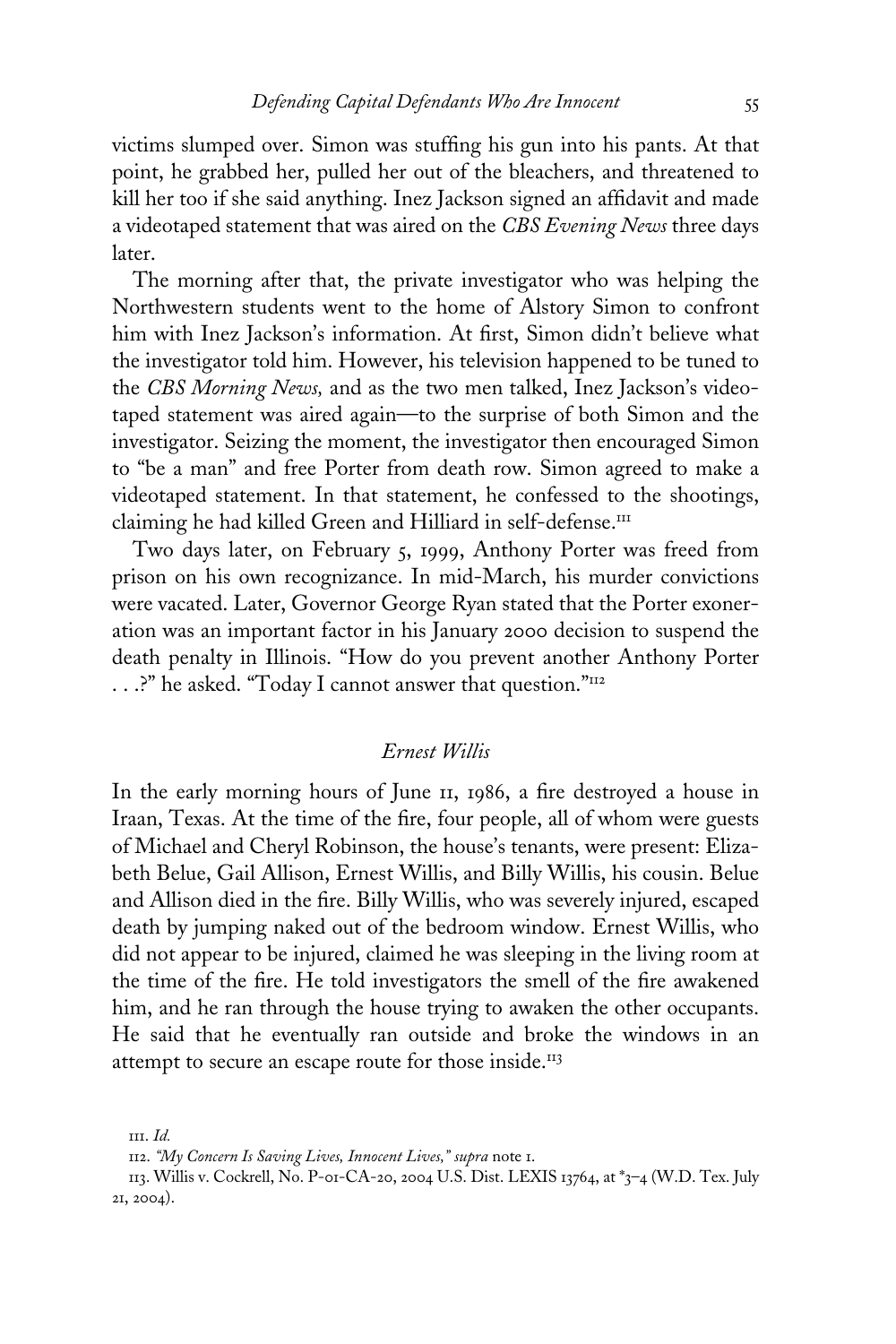victims slumped over. Simon was stuffing his gun into his pants. At that point, he grabbed her, pulled her out of the bleachers, and threatened to kill her too if she said anything. Inez Jackson signed an affidavit and made a videotaped statement that was aired on the *CBS Evening News* three days later.

The morning after that, the private investigator who was helping the Northwestern students went to the home of Alstory Simon to confront him with Inez Jackson's information. At first, Simon didn't believe what the investigator told him. However, his television happened to be tuned to the *CBS Morning News,* and as the two men talked, Inez Jackson's videotaped statement was aired again—to the surprise of both Simon and the investigator. Seizing the moment, the investigator then encouraged Simon to "be a man" and free Porter from death row. Simon agreed to make a videotaped statement. In that statement, he confessed to the shootings, claiming he had killed Green and Hilliard in self-defense.<sup>111</sup>

Two days later, on February 5, 1999, Anthony Porter was freed from prison on his own recognizance. In mid-March, his murder convictions were vacated. Later, Governor George Ryan stated that the Porter exoneration was an important factor in his January 2000 decision to suspend the death penalty in Illinois. "How do you prevent another Anthony Porter . . .?" he asked. "Today I cannot answer that question."112

#### *Ernest Willis*

In the early morning hours of June 11, 1986, a fire destroyed a house in Iraan, Texas. At the time of the fire, four people, all of whom were guests of Michael and Cheryl Robinson, the house's tenants, were present: Elizabeth Belue, Gail Allison, Ernest Willis, and Billy Willis, his cousin. Belue and Allison died in the fire. Billy Willis, who was severely injured, escaped death by jumping naked out of the bedroom window. Ernest Willis, who did not appear to be injured, claimed he was sleeping in the living room at the time of the fire. He told investigators the smell of the fire awakened him, and he ran through the house trying to awaken the other occupants. He said that he eventually ran outside and broke the windows in an attempt to secure an escape route for those inside.<sup>113</sup>

<sup>111.</sup> *Id.*

<sup>112.</sup> *"My Concern Is Saving Lives, Innocent Lives," supra* note 1.

<sup>113.</sup> Willis v. Cockrell, No. P-01-CA-20, 2004 U.S. Dist. LEXIS 13764, at \*3–4 (W.D. Tex. July 21, 2004).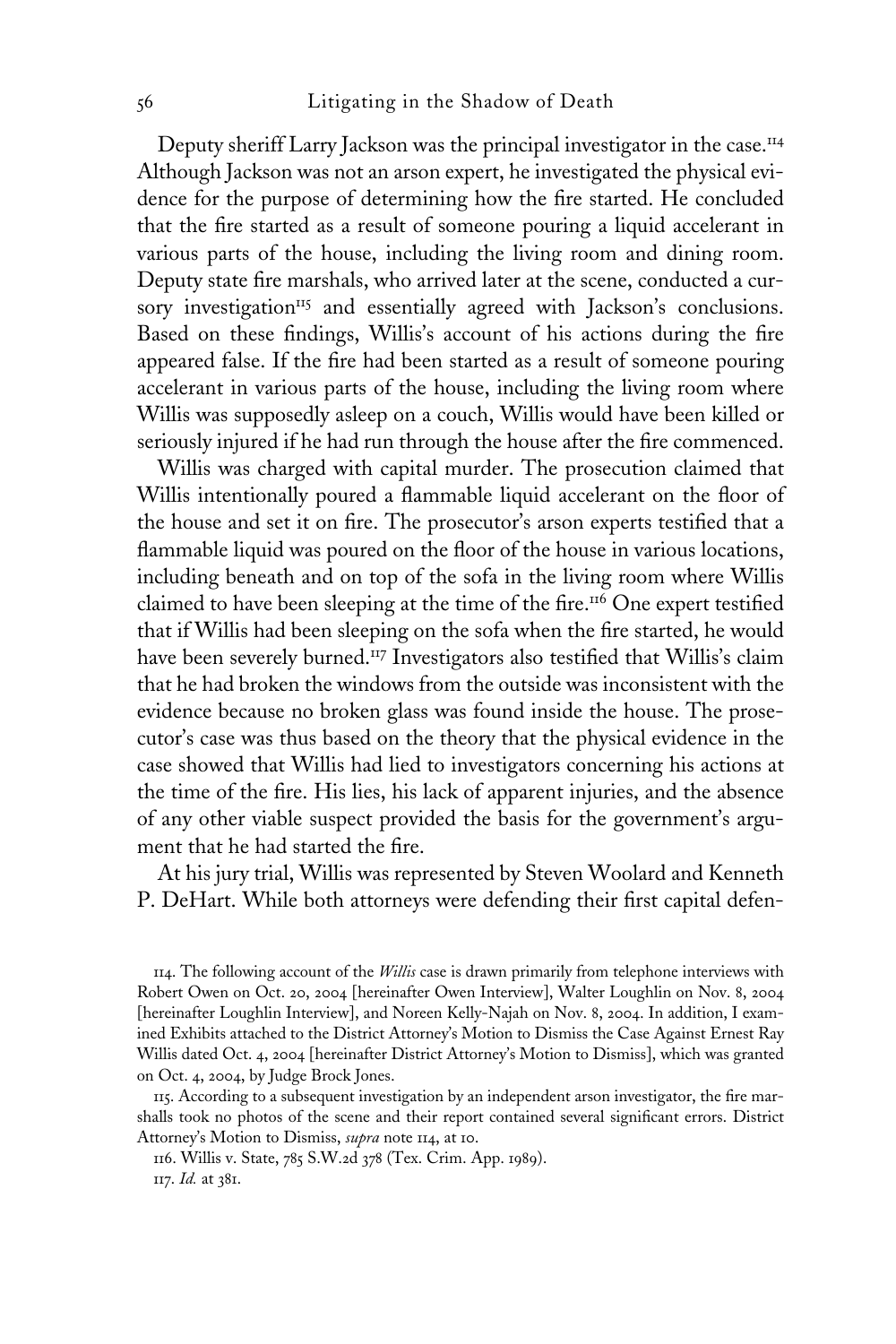Deputy sheriff Larry Jackson was the principal investigator in the case.<sup>114</sup> Although Jackson was not an arson expert, he investigated the physical evidence for the purpose of determining how the fire started. He concluded that the fire started as a result of someone pouring a liquid accelerant in various parts of the house, including the living room and dining room. Deputy state fire marshals, who arrived later at the scene, conducted a cursory investigation<sup>115</sup> and essentially agreed with Jackson's conclusions. Based on these findings, Willis's account of his actions during the fire appeared false. If the fire had been started as a result of someone pouring accelerant in various parts of the house, including the living room where Willis was supposedly asleep on a couch, Willis would have been killed or seriously injured if he had run through the house after the fire commenced.

Willis was charged with capital murder. The prosecution claimed that Willis intentionally poured a flammable liquid accelerant on the floor of the house and set it on fire. The prosecutor's arson experts testified that a flammable liquid was poured on the floor of the house in various locations, including beneath and on top of the sofa in the living room where Willis claimed to have been sleeping at the time of the fire.<sup>116</sup> One expert testified that if Willis had been sleeping on the sofa when the fire started, he would have been severely burned.<sup>117</sup> Investigators also testified that Willis's claim that he had broken the windows from the outside was inconsistent with the evidence because no broken glass was found inside the house. The prosecutor's case was thus based on the theory that the physical evidence in the case showed that Willis had lied to investigators concerning his actions at the time of the fire. His lies, his lack of apparent injuries, and the absence of any other viable suspect provided the basis for the government's argument that he had started the fire.

At his jury trial, Willis was represented by Steven Woolard and Kenneth P. DeHart. While both attorneys were defending their first capital defen-

114. The following account of the *Willis* case is drawn primarily from telephone interviews with Robert Owen on Oct. 20, 2004 [hereinafter Owen Interview], Walter Loughlin on Nov. 8, 2004 [hereinafter Loughlin Interview], and Noreen Kelly-Najah on Nov. 8, 2004. In addition, I examined Exhibits attached to the District Attorney's Motion to Dismiss the Case Against Ernest Ray Willis dated Oct. 4, 2004 [hereinafter District Attorney's Motion to Dismiss], which was granted on Oct. 4, 2004, by Judge Brock Jones.

115. According to a subsequent investigation by an independent arson investigator, the fire marshalls took no photos of the scene and their report contained several significant errors. District Attorney's Motion to Dismiss, *supra* note 114, at 10.

116. Willis v. State, 785 S.W.2d 378 (Tex. Crim. App. 1989). 117. *Id.* at 381.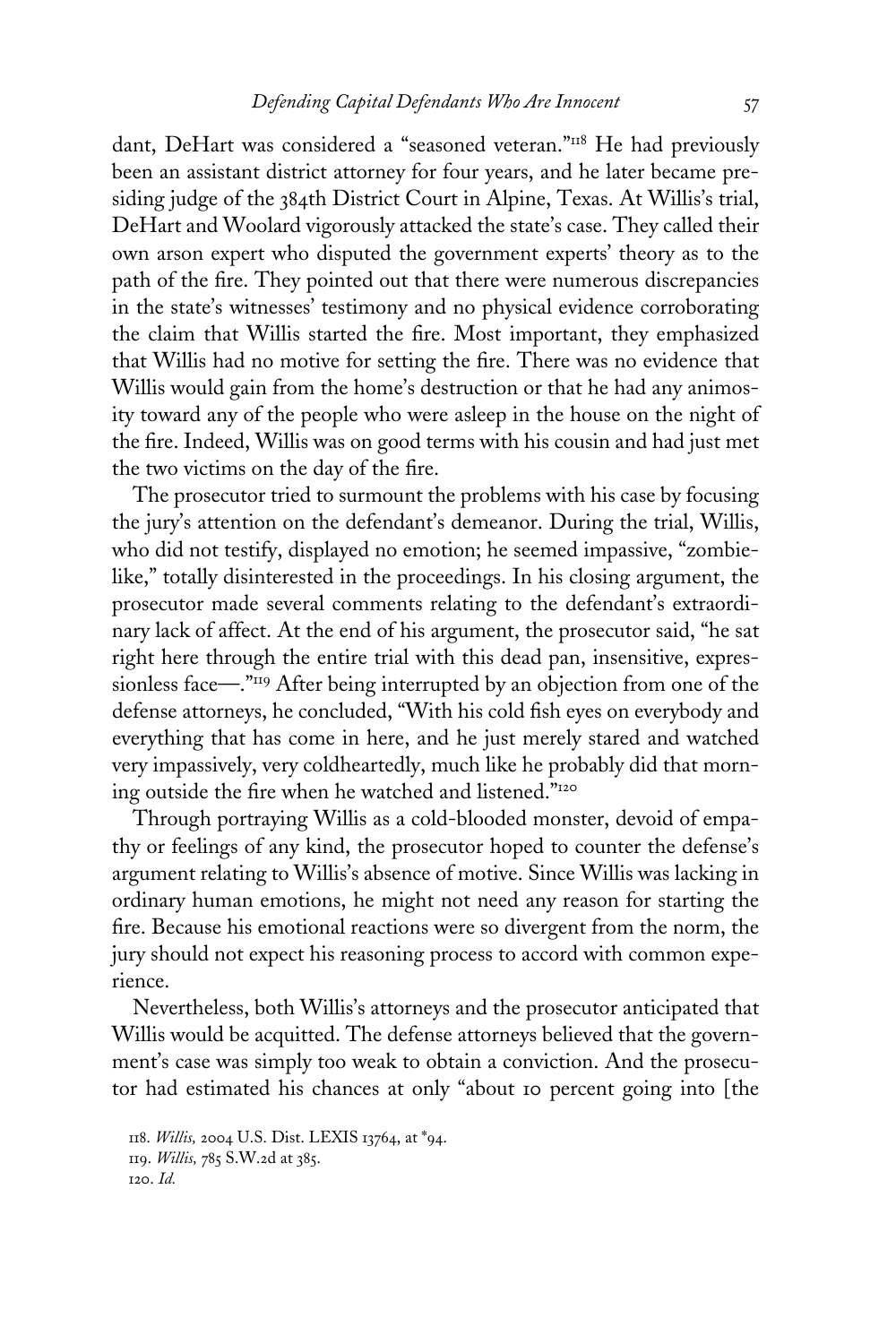dant, DeHart was considered a "seasoned veteran."<sup>118</sup> He had previously been an assistant district attorney for four years, and he later became presiding judge of the 384th District Court in Alpine, Texas. At Willis's trial, DeHart and Woolard vigorously attacked the state's case. They called their own arson expert who disputed the government experts' theory as to the path of the fire. They pointed out that there were numerous discrepancies in the state's witnesses' testimony and no physical evidence corroborating the claim that Willis started the fire. Most important, they emphasized that Willis had no motive for setting the fire. There was no evidence that Willis would gain from the home's destruction or that he had any animosity toward any of the people who were asleep in the house on the night of the fire. Indeed, Willis was on good terms with his cousin and had just met the two victims on the day of the fire.

The prosecutor tried to surmount the problems with his case by focusing the jury's attention on the defendant's demeanor. During the trial, Willis, who did not testify, displayed no emotion; he seemed impassive, "zombielike," totally disinterested in the proceedings. In his closing argument, the prosecutor made several comments relating to the defendant's extraordinary lack of affect. At the end of his argument, the prosecutor said, "he sat right here through the entire trial with this dead pan, insensitive, expressionless face—."<sup>119</sup> After being interrupted by an objection from one of the defense attorneys, he concluded, "With his cold fish eyes on everybody and everything that has come in here, and he just merely stared and watched very impassively, very coldheartedly, much like he probably did that morning outside the fire when he watched and listened."<sup>120</sup>

Through portraying Willis as a cold-blooded monster, devoid of empathy or feelings of any kind, the prosecutor hoped to counter the defense's argument relating to Willis's absence of motive. Since Willis was lacking in ordinary human emotions, he might not need any reason for starting the fire. Because his emotional reactions were so divergent from the norm, the jury should not expect his reasoning process to accord with common experience.

Nevertheless, both Willis's attorneys and the prosecutor anticipated that Willis would be acquitted. The defense attorneys believed that the government's case was simply too weak to obtain a conviction. And the prosecutor had estimated his chances at only "about 10 percent going into [the

<sup>118.</sup> *Willis,* 2004 U.S. Dist. LEXIS 13764, at \*94. 119. *Willis,* 785 S.W.2d at 385. 120. *Id.*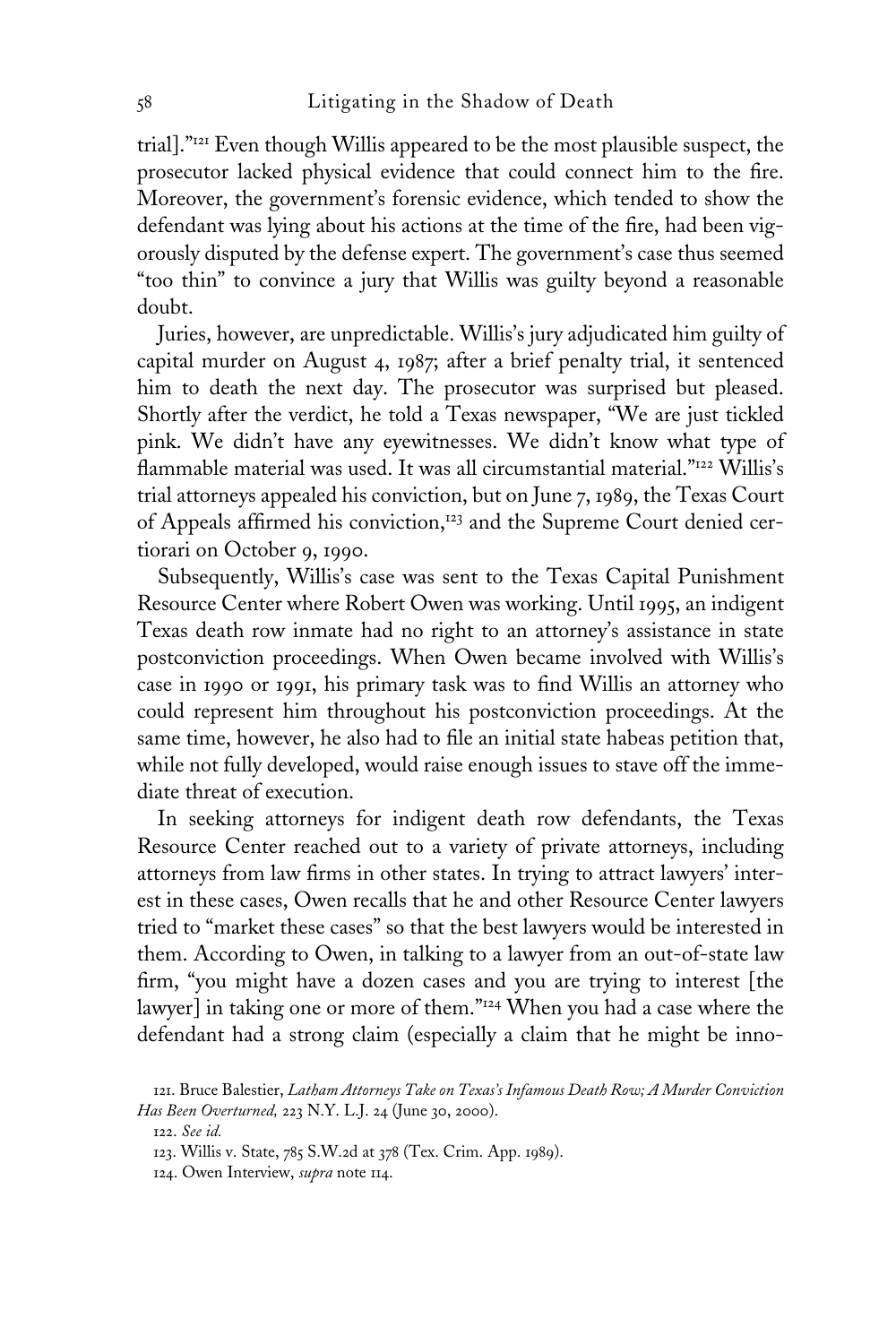trial]."<sup>121</sup> Even though Willis appeared to be the most plausible suspect, the prosecutor lacked physical evidence that could connect him to the fire. Moreover, the government's forensic evidence, which tended to show the defendant was lying about his actions at the time of the fire, had been vigorously disputed by the defense expert. The government's case thus seemed "too thin" to convince a jury that Willis was guilty beyond a reasonable doubt.

Juries, however, are unpredictable. Willis's jury adjudicated him guilty of capital murder on August 4, 1987; after a brief penalty trial, it sentenced him to death the next day. The prosecutor was surprised but pleased. Shortly after the verdict, he told a Texas newspaper, "We are just tickled pink. We didn't have any eyewitnesses. We didn't know what type of flammable material was used. It was all circumstantial material."<sup>122</sup> Willis's trial attorneys appealed his conviction, but on June 7, 1989, the Texas Court of Appeals affirmed his conviction,<sup>123</sup> and the Supreme Court denied certiorari on October 9, 1990.

Subsequently, Willis's case was sent to the Texas Capital Punishment Resource Center where Robert Owen was working. Until 1995, an indigent Texas death row inmate had no right to an attorney's assistance in state postconviction proceedings. When Owen became involved with Willis's case in 1990 or 1991, his primary task was to find Willis an attorney who could represent him throughout his postconviction proceedings. At the same time, however, he also had to file an initial state habeas petition that, while not fully developed, would raise enough issues to stave off the immediate threat of execution.

In seeking attorneys for indigent death row defendants, the Texas Resource Center reached out to a variety of private attorneys, including attorneys from law firms in other states. In trying to attract lawyers' interest in these cases, Owen recalls that he and other Resource Center lawyers tried to "market these cases" so that the best lawyers would be interested in them. According to Owen, in talking to a lawyer from an out-of-state law firm, "you might have a dozen cases and you are trying to interest [the lawyer] in taking one or more of them."<sup>124</sup> When you had a case where the defendant had a strong claim (especially a claim that he might be inno-

<sup>121.</sup> Bruce Balestier, *Latham Attorneys Take on Texas's Infamous Death Row; A Murder Conviction Has Been Overturned,* 223 N.Y. L.J. 24 (June 30, 2000).

<sup>122.</sup> *See id.*

<sup>123.</sup> Willis v. State, 785 S.W.2d at 378 (Tex. Crim. App. 1989).

<sup>124.</sup> Owen Interview, *supra* note 114.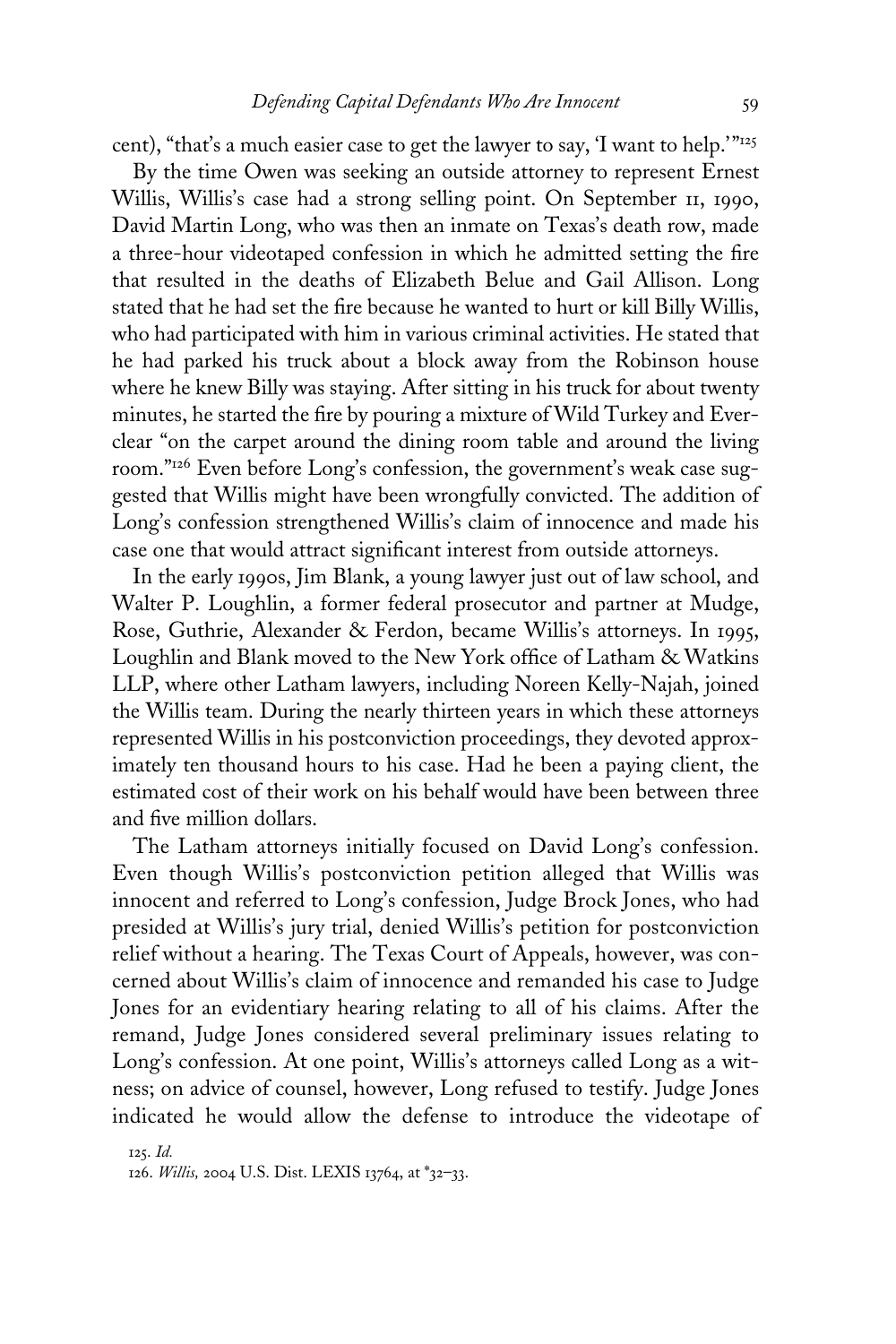cent), "that's a much easier case to get the lawyer to say, 'I want to help.'"125

By the time Owen was seeking an outside attorney to represent Ernest Willis, Willis's case had a strong selling point. On September 11, 1990, David Martin Long, who was then an inmate on Texas's death row, made a three-hour videotaped confession in which he admitted setting the fire that resulted in the deaths of Elizabeth Belue and Gail Allison. Long stated that he had set the fire because he wanted to hurt or kill Billy Willis, who had participated with him in various criminal activities. He stated that he had parked his truck about a block away from the Robinson house where he knew Billy was staying. After sitting in his truck for about twenty minutes, he started the fire by pouring a mixture of Wild Turkey and Everclear "on the carpet around the dining room table and around the living room."<sup>126</sup> Even before Long's confession, the government's weak case suggested that Willis might have been wrongfully convicted. The addition of Long's confession strengthened Willis's claim of innocence and made his case one that would attract significant interest from outside attorneys.

In the early 1990s, Jim Blank, a young lawyer just out of law school, and Walter P. Loughlin, a former federal prosecutor and partner at Mudge, Rose, Guthrie, Alexander & Ferdon, became Willis's attorneys. In 1995, Loughlin and Blank moved to the New York office of Latham & Watkins LLP, where other Latham lawyers, including Noreen Kelly-Najah, joined the Willis team. During the nearly thirteen years in which these attorneys represented Willis in his postconviction proceedings, they devoted approximately ten thousand hours to his case. Had he been a paying client, the estimated cost of their work on his behalf would have been between three and five million dollars.

The Latham attorneys initially focused on David Long's confession. Even though Willis's postconviction petition alleged that Willis was innocent and referred to Long's confession, Judge Brock Jones, who had presided at Willis's jury trial, denied Willis's petition for postconviction relief without a hearing. The Texas Court of Appeals, however, was concerned about Willis's claim of innocence and remanded his case to Judge Jones for an evidentiary hearing relating to all of his claims. After the remand, Judge Jones considered several preliminary issues relating to Long's confession. At one point, Willis's attorneys called Long as a witness; on advice of counsel, however, Long refused to testify. Judge Jones indicated he would allow the defense to introduce the videotape of

125. *Id.* 126. *Willis,* 2004 U.S. Dist. LEXIS 13764, at \*32–33.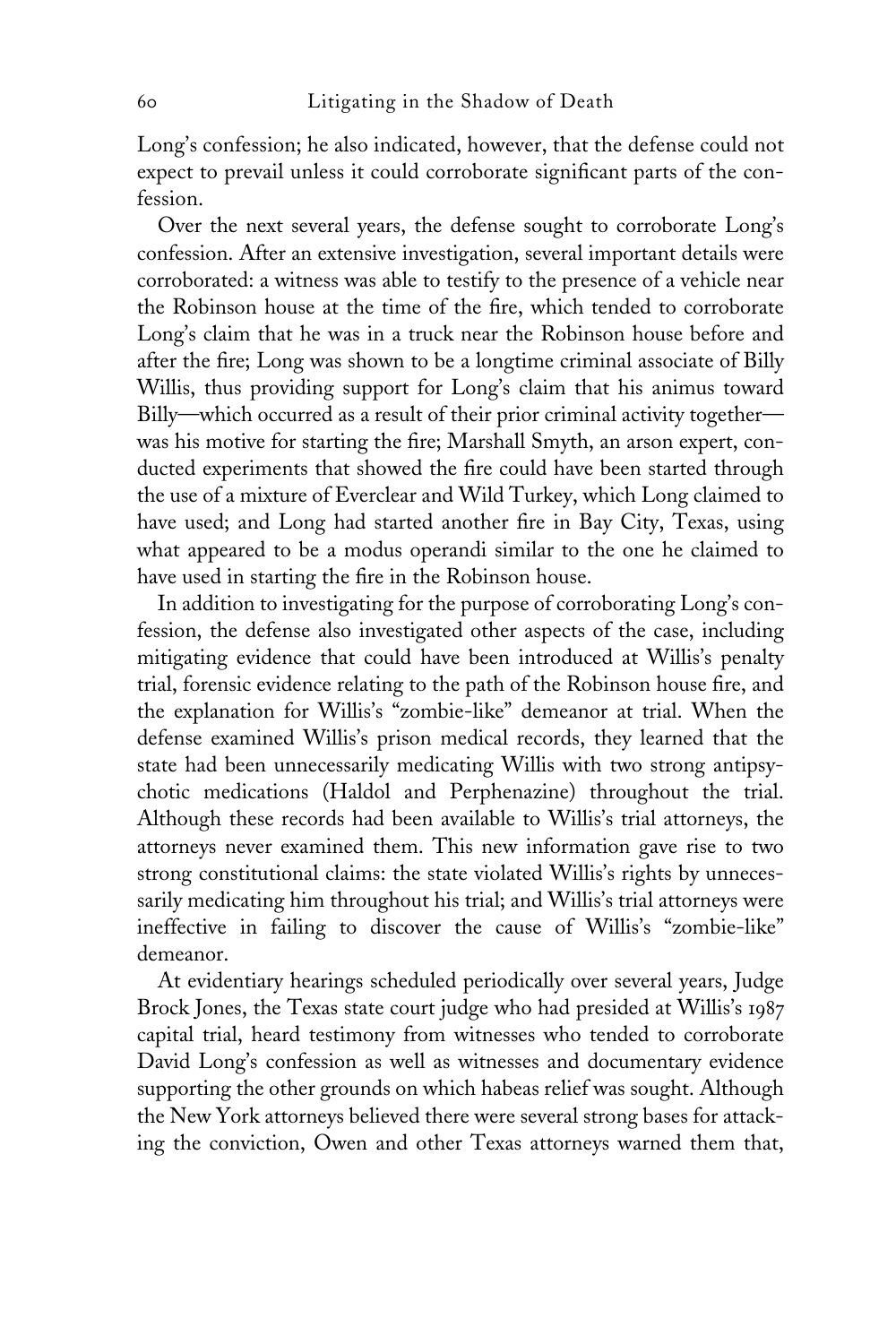Long's confession; he also indicated, however, that the defense could not expect to prevail unless it could corroborate significant parts of the confession.

Over the next several years, the defense sought to corroborate Long's confession. After an extensive investigation, several important details were corroborated: a witness was able to testify to the presence of a vehicle near the Robinson house at the time of the fire, which tended to corroborate Long's claim that he was in a truck near the Robinson house before and after the fire; Long was shown to be a longtime criminal associate of Billy Willis, thus providing support for Long's claim that his animus toward Billy—which occurred as a result of their prior criminal activity together was his motive for starting the fire; Marshall Smyth, an arson expert, conducted experiments that showed the fire could have been started through the use of a mixture of Everclear and Wild Turkey, which Long claimed to have used; and Long had started another fire in Bay City, Texas, using what appeared to be a modus operandi similar to the one he claimed to have used in starting the fire in the Robinson house.

In addition to investigating for the purpose of corroborating Long's confession, the defense also investigated other aspects of the case, including mitigating evidence that could have been introduced at Willis's penalty trial, forensic evidence relating to the path of the Robinson house fire, and the explanation for Willis's "zombie-like" demeanor at trial. When the defense examined Willis's prison medical records, they learned that the state had been unnecessarily medicating Willis with two strong antipsychotic medications (Haldol and Perphenazine) throughout the trial. Although these records had been available to Willis's trial attorneys, the attorneys never examined them. This new information gave rise to two strong constitutional claims: the state violated Willis's rights by unnecessarily medicating him throughout his trial; and Willis's trial attorneys were ineffective in failing to discover the cause of Willis's "zombie-like" demeanor.

At evidentiary hearings scheduled periodically over several years, Judge Brock Jones, the Texas state court judge who had presided at Willis's 1987 capital trial, heard testimony from witnesses who tended to corroborate David Long's confession as well as witnesses and documentary evidence supporting the other grounds on which habeas relief was sought. Although the New York attorneys believed there were several strong bases for attacking the conviction, Owen and other Texas attorneys warned them that,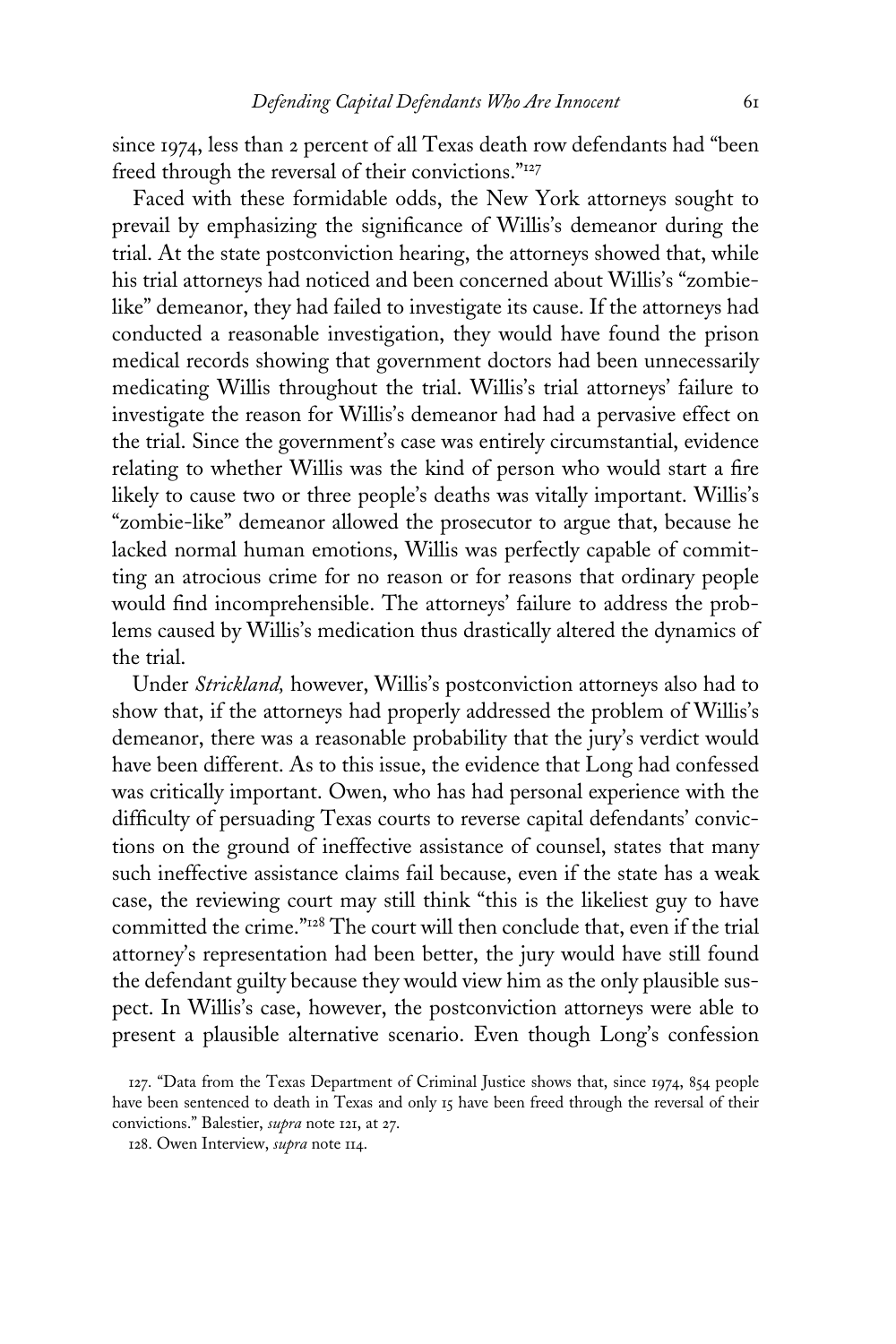since 1974, less than 2 percent of all Texas death row defendants had "been freed through the reversal of their convictions."<sup>127</sup>

Faced with these formidable odds, the New York attorneys sought to prevail by emphasizing the significance of Willis's demeanor during the trial. At the state postconviction hearing, the attorneys showed that, while his trial attorneys had noticed and been concerned about Willis's "zombielike" demeanor, they had failed to investigate its cause. If the attorneys had conducted a reasonable investigation, they would have found the prison medical records showing that government doctors had been unnecessarily medicating Willis throughout the trial. Willis's trial attorneys' failure to investigate the reason for Willis's demeanor had had a pervasive effect on the trial. Since the government's case was entirely circumstantial, evidence relating to whether Willis was the kind of person who would start a fire likely to cause two or three people's deaths was vitally important. Willis's "zombie-like" demeanor allowed the prosecutor to argue that, because he lacked normal human emotions, Willis was perfectly capable of committing an atrocious crime for no reason or for reasons that ordinary people would find incomprehensible. The attorneys' failure to address the problems caused by Willis's medication thus drastically altered the dynamics of the trial.

Under *Strickland,* however, Willis's postconviction attorneys also had to show that, if the attorneys had properly addressed the problem of Willis's demeanor, there was a reasonable probability that the jury's verdict would have been different. As to this issue, the evidence that Long had confessed was critically important. Owen, who has had personal experience with the difficulty of persuading Texas courts to reverse capital defendants' convictions on the ground of ineffective assistance of counsel, states that many such ineffective assistance claims fail because, even if the state has a weak case, the reviewing court may still think "this is the likeliest guy to have committed the crime."128 The court will then conclude that, even if the trial attorney's representation had been better, the jury would have still found the defendant guilty because they would view him as the only plausible suspect. In Willis's case, however, the postconviction attorneys were able to present a plausible alternative scenario. Even though Long's confession

<sup>127. &</sup>quot;Data from the Texas Department of Criminal Justice shows that, since 1974, 854 people have been sentenced to death in Texas and only 15 have been freed through the reversal of their convictions." Balestier, *supra* note 121, at 27.

<sup>128.</sup> Owen Interview, *supra* note 114.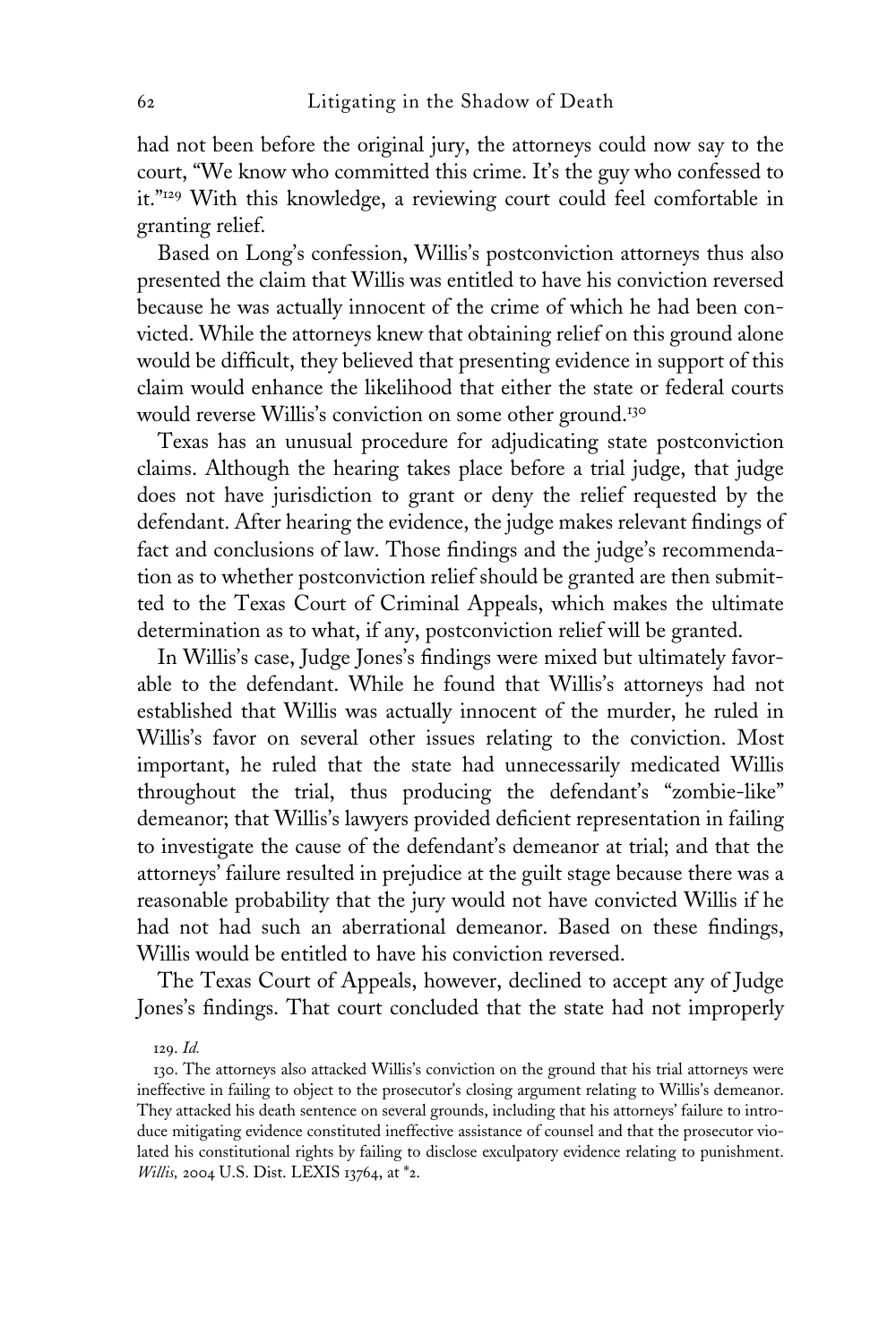had not been before the original jury, the attorneys could now say to the court, "We know who committed this crime. It's the guy who confessed to it."<sup>129</sup> With this knowledge, a reviewing court could feel comfortable in granting relief.

Based on Long's confession, Willis's postconviction attorneys thus also presented the claim that Willis was entitled to have his conviction reversed because he was actually innocent of the crime of which he had been convicted. While the attorneys knew that obtaining relief on this ground alone would be difficult, they believed that presenting evidence in support of this claim would enhance the likelihood that either the state or federal courts would reverse Willis's conviction on some other ground.<sup>130</sup>

Texas has an unusual procedure for adjudicating state postconviction claims. Although the hearing takes place before a trial judge, that judge does not have jurisdiction to grant or deny the relief requested by the defendant. After hearing the evidence, the judge makes relevant findings of fact and conclusions of law. Those findings and the judge's recommendation as to whether postconviction relief should be granted are then submitted to the Texas Court of Criminal Appeals, which makes the ultimate determination as to what, if any, postconviction relief will be granted.

In Willis's case, Judge Jones's findings were mixed but ultimately favorable to the defendant. While he found that Willis's attorneys had not established that Willis was actually innocent of the murder, he ruled in Willis's favor on several other issues relating to the conviction. Most important, he ruled that the state had unnecessarily medicated Willis throughout the trial, thus producing the defendant's "zombie-like" demeanor; that Willis's lawyers provided deficient representation in failing to investigate the cause of the defendant's demeanor at trial; and that the attorneys' failure resulted in prejudice at the guilt stage because there was a reasonable probability that the jury would not have convicted Willis if he had not had such an aberrational demeanor. Based on these findings, Willis would be entitled to have his conviction reversed.

The Texas Court of Appeals, however, declined to accept any of Judge Jones's findings. That court concluded that the state had not improperly

129. *Id.*

130. The attorneys also attacked Willis's conviction on the ground that his trial attorneys were ineffective in failing to object to the prosecutor's closing argument relating to Willis's demeanor. They attacked his death sentence on several grounds, including that his attorneys' failure to introduce mitigating evidence constituted ineffective assistance of counsel and that the prosecutor violated his constitutional rights by failing to disclose exculpatory evidence relating to punishment. *Willis,* 2004 U.S. Dist. LEXIS 13764, at \*2.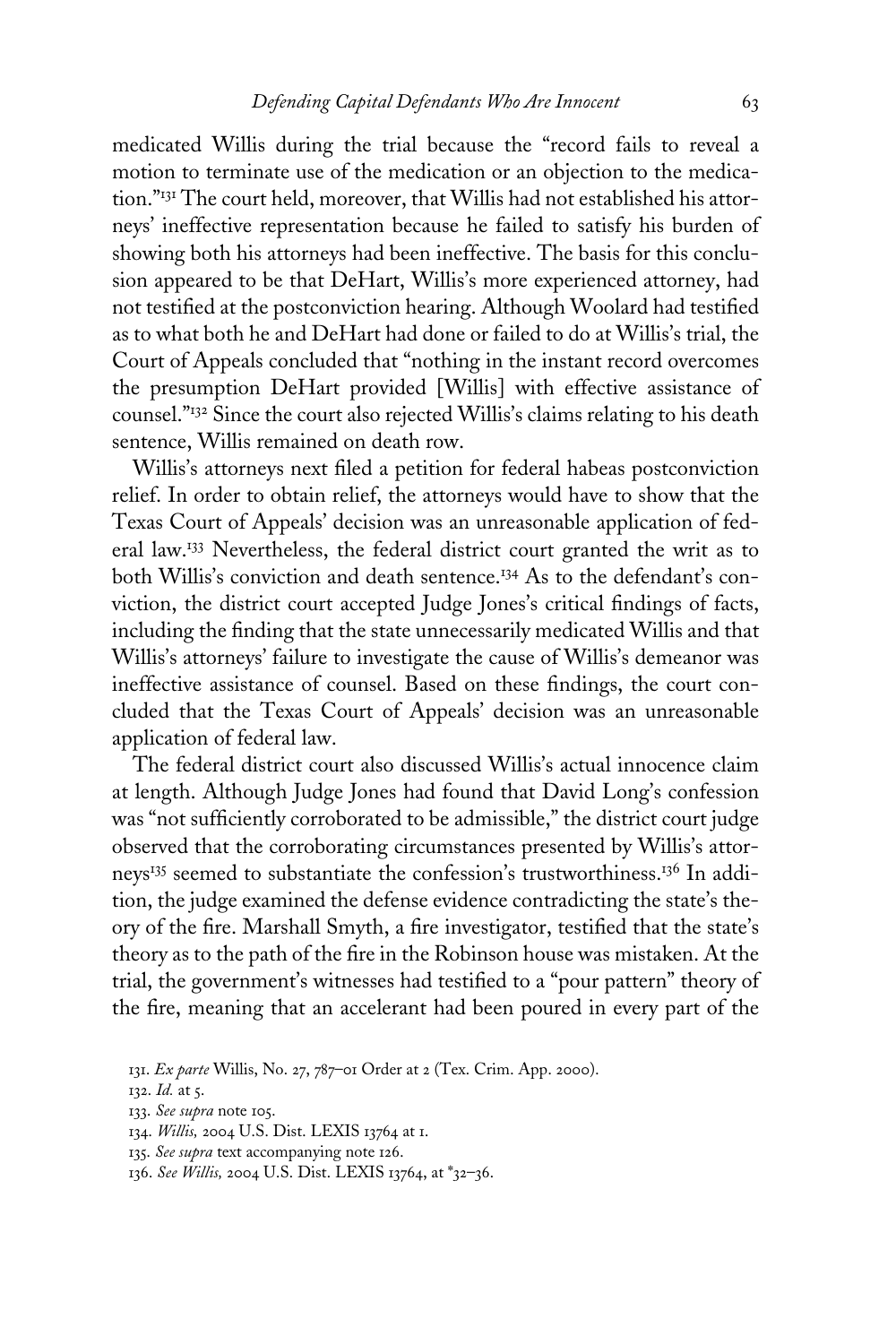medicated Willis during the trial because the "record fails to reveal a motion to terminate use of the medication or an objection to the medication."<sup>131</sup> The court held, moreover, that Willis had not established his attorneys' ineffective representation because he failed to satisfy his burden of showing both his attorneys had been ineffective. The basis for this conclusion appeared to be that DeHart, Willis's more experienced attorney, had not testified at the postconviction hearing. Although Woolard had testified as to what both he and DeHart had done or failed to do at Willis's trial, the Court of Appeals concluded that "nothing in the instant record overcomes the presumption DeHart provided [Willis] with effective assistance of counsel."132 Since the court also rejected Willis's claims relating to his death sentence, Willis remained on death row.

Willis's attorneys next filed a petition for federal habeas postconviction relief. In order to obtain relief, the attorneys would have to show that the Texas Court of Appeals' decision was an unreasonable application of federal law.<sup>133</sup> Nevertheless, the federal district court granted the writ as to both Willis's conviction and death sentence.<sup>134</sup> As to the defendant's conviction, the district court accepted Judge Jones's critical findings of facts, including the finding that the state unnecessarily medicated Willis and that Willis's attorneys' failure to investigate the cause of Willis's demeanor was ineffective assistance of counsel. Based on these findings, the court concluded that the Texas Court of Appeals' decision was an unreasonable application of federal law.

The federal district court also discussed Willis's actual innocence claim at length. Although Judge Jones had found that David Long's confession was "not sufficiently corroborated to be admissible," the district court judge observed that the corroborating circumstances presented by Willis's attorneys<sup>135</sup> seemed to substantiate the confession's trustworthiness.<sup>136</sup> In addition, the judge examined the defense evidence contradicting the state's theory of the fire. Marshall Smyth, a fire investigator, testified that the state's theory as to the path of the fire in the Robinson house was mistaken. At the trial, the government's witnesses had testified to a "pour pattern" theory of the fire, meaning that an accelerant had been poured in every part of the

<sup>131.</sup> *Ex parte* Willis, No. 27, 787–01 Order at 2 (Tex. Crim. App. 2000).

<sup>132.</sup> *Id.* at 5.

<sup>133.</sup> *See supra* note 105.

<sup>134.</sup> *Willis,* 2004 U.S. Dist. LEXIS 13764 at 1.

<sup>135.</sup> *See supra* text accompanying note 126.

<sup>136.</sup> *See Willis,* 2004 U.S. Dist. LEXIS 13764, at \*32–36.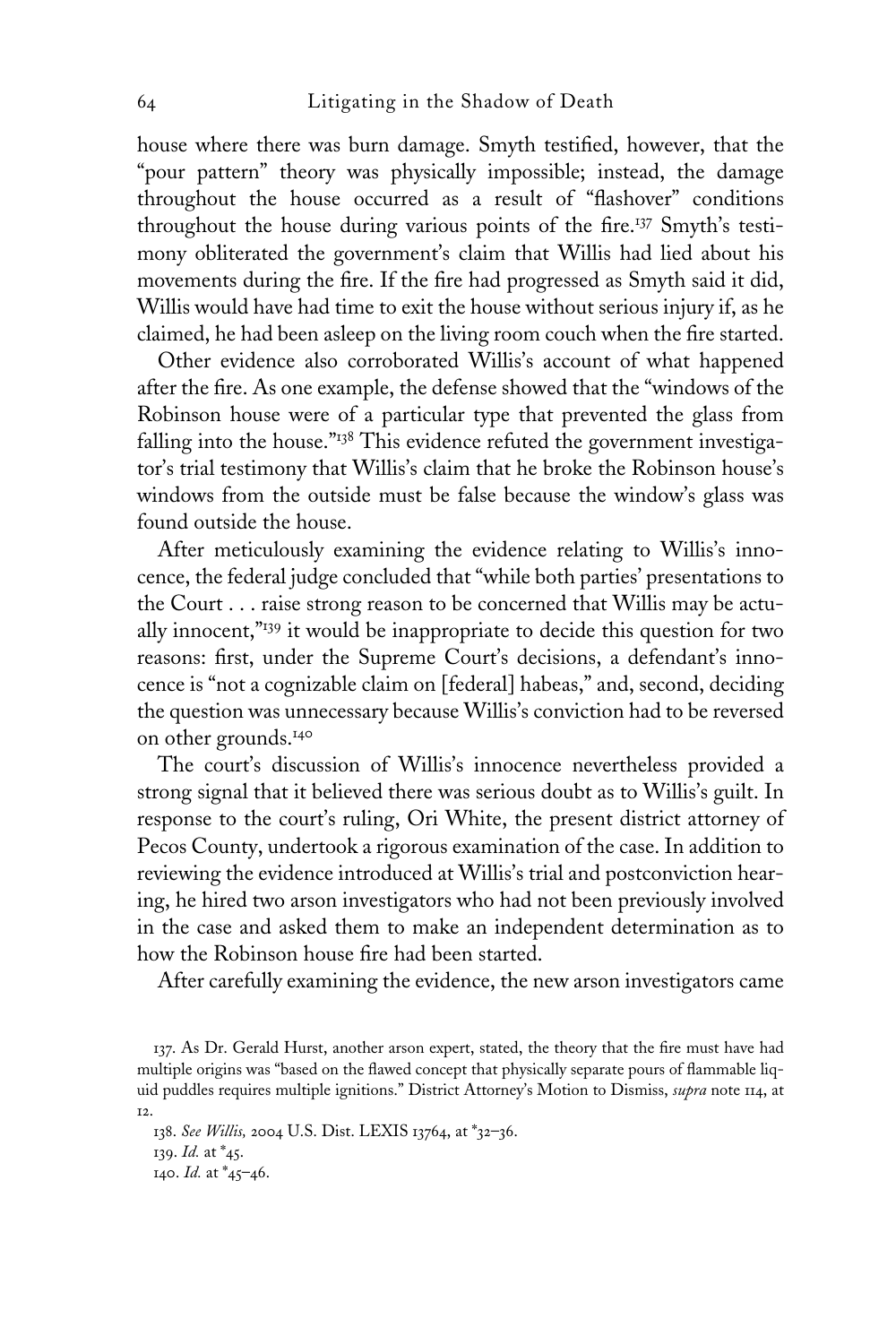house where there was burn damage. Smyth testified, however, that the "pour pattern" theory was physically impossible; instead, the damage throughout the house occurred as a result of "flashover" conditions throughout the house during various points of the fire.<sup>137</sup> Smyth's testimony obliterated the government's claim that Willis had lied about his movements during the fire. If the fire had progressed as Smyth said it did, Willis would have had time to exit the house without serious injury if, as he claimed, he had been asleep on the living room couch when the fire started.

Other evidence also corroborated Willis's account of what happened after the fire. As one example, the defense showed that the "windows of the Robinson house were of a particular type that prevented the glass from falling into the house."<sup>138</sup> This evidence refuted the government investigator's trial testimony that Willis's claim that he broke the Robinson house's windows from the outside must be false because the window's glass was found outside the house.

After meticulously examining the evidence relating to Willis's innocence, the federal judge concluded that "while both parties' presentations to the Court . . . raise strong reason to be concerned that Willis may be actually innocent,"139 it would be inappropriate to decide this question for two reasons: first, under the Supreme Court's decisions, a defendant's innocence is "not a cognizable claim on [federal] habeas," and, second, deciding the question was unnecessary because Willis's conviction had to be reversed on other grounds.140

The court's discussion of Willis's innocence nevertheless provided a strong signal that it believed there was serious doubt as to Willis's guilt. In response to the court's ruling, Ori White, the present district attorney of Pecos County, undertook a rigorous examination of the case. In addition to reviewing the evidence introduced at Willis's trial and postconviction hearing, he hired two arson investigators who had not been previously involved in the case and asked them to make an independent determination as to how the Robinson house fire had been started.

After carefully examining the evidence, the new arson investigators came

<sup>137.</sup> As Dr. Gerald Hurst, another arson expert, stated, the theory that the fire must have had multiple origins was "based on the flawed concept that physically separate pours of flammable liquid puddles requires multiple ignitions." District Attorney's Motion to Dismiss, *supra* note 114, at 12.

<sup>138.</sup> *See Willis,* 2004 U.S. Dist. LEXIS 13764, at \*32–36. 139. *Id.* at \*45. 140. *Id.* at \*45–46.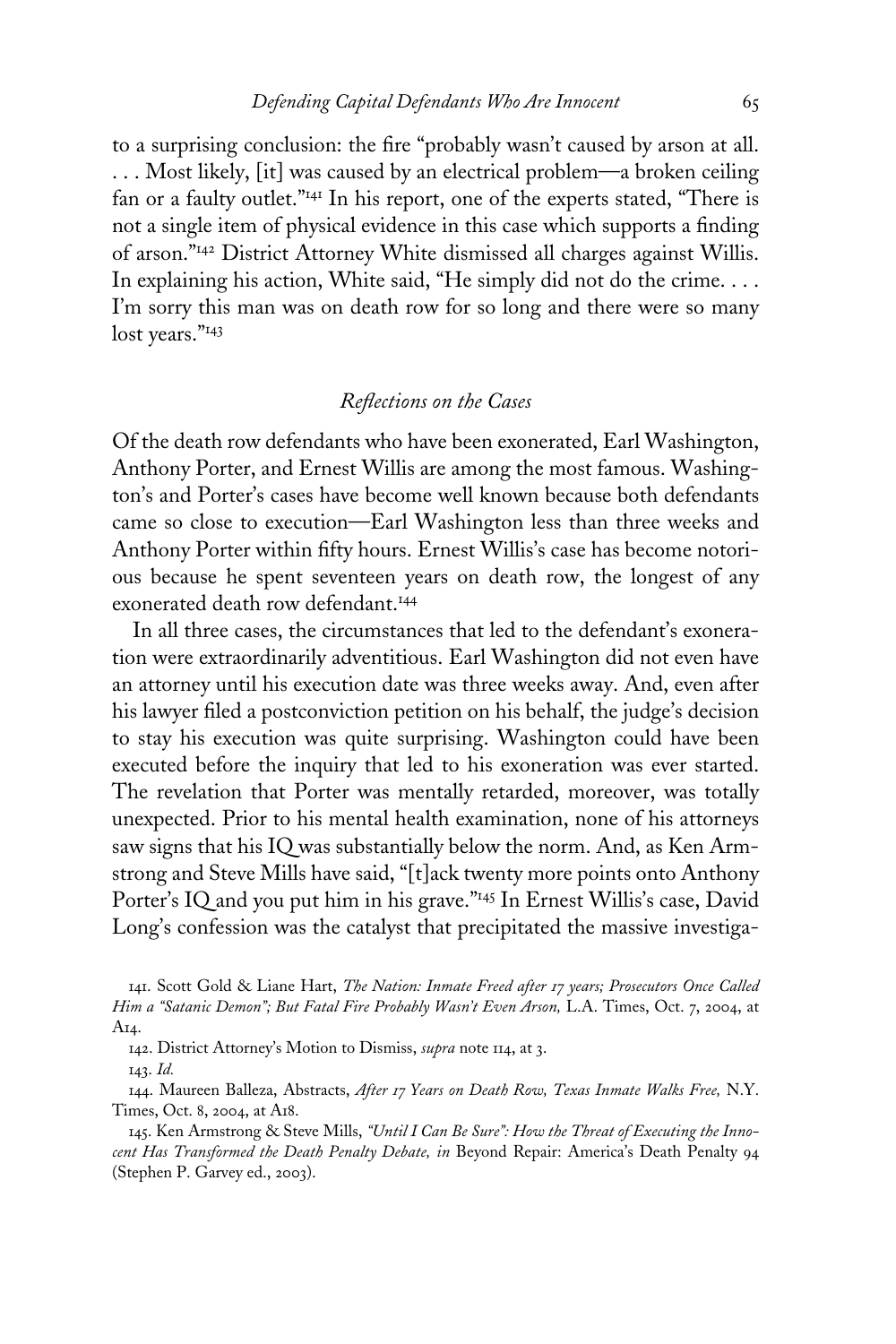to a surprising conclusion: the fire "probably wasn't caused by arson at all. . . . Most likely, [it] was caused by an electrical problem—a broken ceiling fan or a faulty outlet."<sup>141</sup> In his report, one of the experts stated, "There is not a single item of physical evidence in this case which supports a finding of arson."<sup>142</sup> District Attorney White dismissed all charges against Willis. In explaining his action, White said, "He simply did not do the crime.... I'm sorry this man was on death row for so long and there were so many lost years."<sup>143</sup>

### $Reflections$  on the Cases

Of the death row defendants who have been exonerated, Earl Washington, Anthony Porter, and Ernest Willis are among the most famous. Washington's and Porter's cases have become well known because both defendants came so close to execution—Earl Washington less than three weeks and Anthony Porter within fifty hours. Ernest Willis's case has become notorious because he spent seventeen years on death row, the longest of any exonerated death row defendant.144

In all three cases, the circumstances that led to the defendant's exoneration were extraordinarily adventitious. Earl Washington did not even have an attorney until his execution date was three weeks away. And, even after his lawyer filed a postconviction petition on his behalf, the judge's decision to stay his execution was quite surprising. Washington could have been executed before the inquiry that led to his exoneration was ever started. The revelation that Porter was mentally retarded, moreover, was totally unexpected. Prior to his mental health examination, none of his attorneys saw signs that his IQ was substantially below the norm. And, as Ken Armstrong and Steve Mills have said, "[t]ack twenty more points onto Anthony Porter's IQ and you put him in his grave."145 In Ernest Willis's case, David Long's confession was the catalyst that precipitated the massive investiga-

<sup>141.</sup> Scott Gold & Liane Hart, *The Nation: Inmate Freed after 17 years; Prosecutors Once Called Him a "Satanic Demon"; But Fatal Fire Probably Wasn't Even Arson,* L.A. Times, Oct. 7, 2004, at A14.

<sup>142.</sup> District Attorney's Motion to Dismiss, *supra* note 114, at 3.

<sup>143.</sup> *Id.*

<sup>144.</sup> Maureen Balleza, Abstracts, *After 17 Years on Death Row, Texas Inmate Walks Free,* N.Y. Times, Oct. 8, 2004, at A18.

<sup>145.</sup> Ken Armstrong & Steve Mills, *"Until I Can Be Sure": How the Threat of Executing the Innocent Has Transformed the Death Penalty Debate, in* Beyond Repair: America's Death Penalty 94 (Stephen P. Garvey ed., 2003).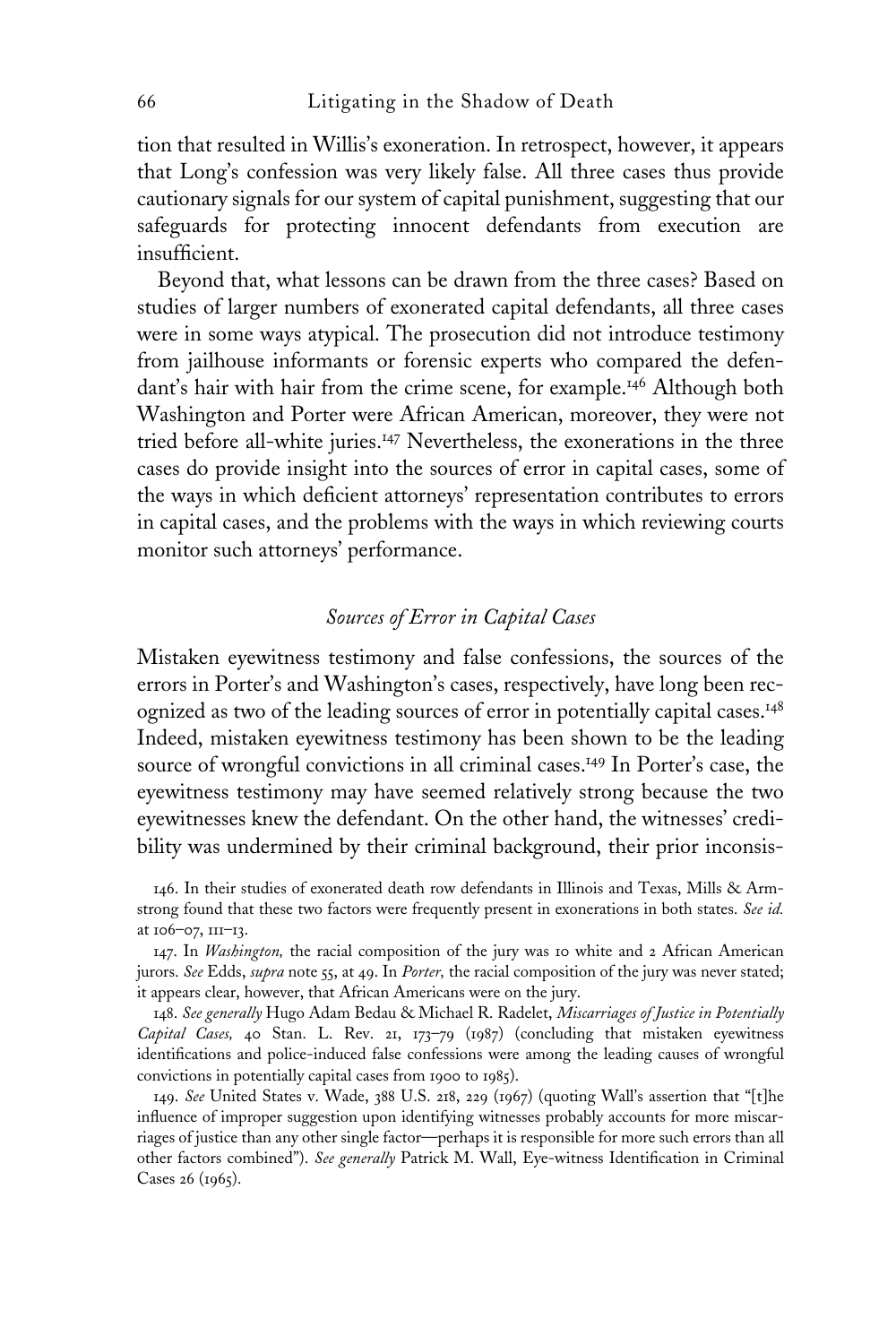tion that resulted in Willis's exoneration. In retrospect, however, it appears that Long's confession was very likely false. All three cases thus provide cautionary signals for our system of capital punishment, suggesting that our safeguards for protecting innocent defendants from execution are insufficient.

Beyond that, what lessons can be drawn from the three cases? Based on studies of larger numbers of exonerated capital defendants, all three cases were in some ways atypical. The prosecution did not introduce testimony from jailhouse informants or forensic experts who compared the defendant's hair with hair from the crime scene, for example.<sup>146</sup> Although both Washington and Porter were African American, moreover, they were not tried before all-white juries.<sup>147</sup> Nevertheless, the exonerations in the three cases do provide insight into the sources of error in capital cases, some of the ways in which deficient attorneys' representation contributes to errors in capital cases, and the problems with the ways in which reviewing courts monitor such attorneys' performance.

# *Sources of Error in Capital Cases*

Mistaken eyewitness testimony and false confessions, the sources of the errors in Porter's and Washington's cases, respectively, have long been recognized as two of the leading sources of error in potentially capital cases.<sup>148</sup> Indeed, mistaken eyewitness testimony has been shown to be the leading source of wrongful convictions in all criminal cases.<sup>149</sup> In Porter's case, the eyewitness testimony may have seemed relatively strong because the two eyewitnesses knew the defendant. On the other hand, the witnesses' credibility was undermined by their criminal background, their prior inconsis-

146. In their studies of exonerated death row defendants in Illinois and Texas, Mills & Armstrong found that these two factors were frequently present in exonerations in both states. *See id.* at 106–07, 111–13.

147. In *Washington,* the racial composition of the jury was 10 white and 2 African American jurors. *See* Edds, *supra* note 55, at 49. In *Porter,* the racial composition of the jury was never stated; it appears clear, however, that African Americans were on the jury.

148. *See generally* Hugo Adam Bedau & Michael R. Radelet, *Miscarriages of Justice in Potentially Capital Cases,* 40 Stan. L. Rev. 21, 173–79 (1987) (concluding that mistaken eyewitness identifications and police-induced false confessions were among the leading causes of wrongful convictions in potentially capital cases from 1900 to 1985).

149. *See* United States v. Wade, 388 U.S. 218, 229 (1967) (quoting Wall's assertion that "[t]he influence of improper suggestion upon identifying witnesses probably accounts for more miscarriages of justice than any other single factor—perhaps it is responsible for more such errors than all other factors combined"). See generally Patrick M. Wall, Eye-witness Identification in Criminal Cases 26 (1965).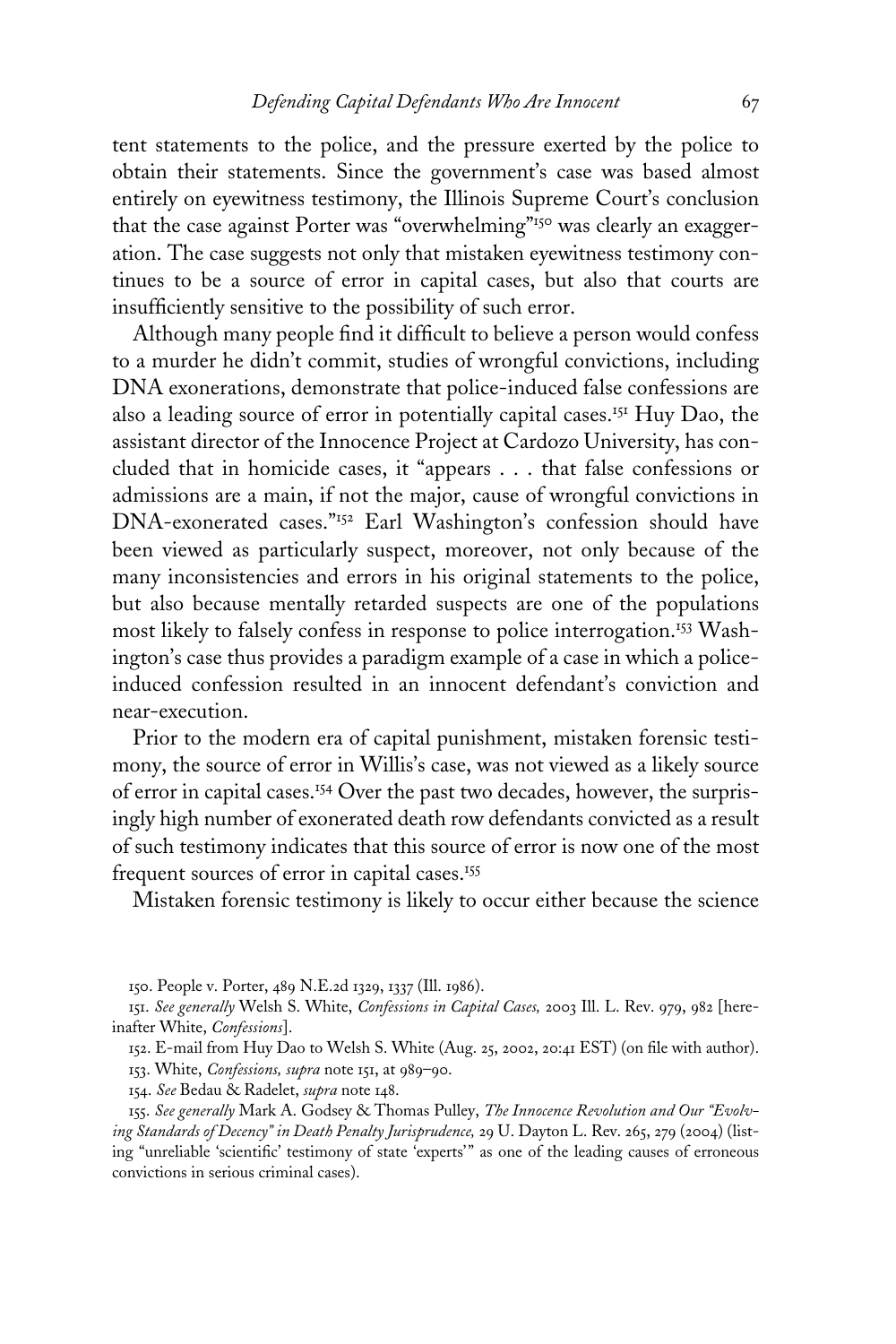tent statements to the police, and the pressure exerted by the police to obtain their statements. Since the government's case was based almost entirely on eyewitness testimony, the Illinois Supreme Court's conclusion that the case against Porter was "overwhelming"<sup>150</sup> was clearly an exaggeration. The case suggests not only that mistaken eyewitness testimony continues to be a source of error in capital cases, but also that courts are insufficiently sensitive to the possibility of such error.

Although many people find it difficult to believe a person would confess to a murder he didn't commit, studies of wrongful convictions, including DNA exonerations, demonstrate that police-induced false confessions are also a leading source of error in potentially capital cases.<sup>151</sup> Huy Dao, the assistant director of the Innocence Project at Cardozo University, has concluded that in homicide cases, it "appears . . . that false confessions or admissions are a main, if not the major, cause of wrongful convictions in DNA-exonerated cases."<sup>152</sup> Earl Washington's confession should have been viewed as particularly suspect, moreover, not only because of the many inconsistencies and errors in his original statements to the police, but also because mentally retarded suspects are one of the populations most likely to falsely confess in response to police interrogation.<sup>153</sup> Washington's case thus provides a paradigm example of a case in which a policeinduced confession resulted in an innocent defendant's conviction and near-execution.

Prior to the modern era of capital punishment, mistaken forensic testimony, the source of error in Willis's case, was not viewed as a likely source of error in capital cases.<sup>154</sup> Over the past two decades, however, the surprisingly high number of exonerated death row defendants convicted as a result of such testimony indicates that this source of error is now one of the most frequent sources of error in capital cases.<sup>155</sup>

Mistaken forensic testimony is likely to occur either because the science

150. People v. Porter, 489 N.E.2d 1329, 1337 (Ill. 1986).

151. *See generally* Welsh S. White, *Confessions in Capital Cases,* 2003 Ill. L. Rev. 979, 982 [hereinafter White, *Confessions*].

152. E-mail from Huy Dao to Welsh S. White (Aug. 25, 2002, 20:41 EST) (on file with author).

153. White, *Confessions, supra* note 151, at 989–90.

154. *See* Bedau & Radelet, *supra* note 148.

155. *See generally* Mark A. Godsey & Thomas Pulley, *The Innocence Revolution and Our "Evolving Standards of Decency" in Death Penalty Jurisprudence,* 29 U. Dayton L. Rev. 265, 279 (2004) (listing "unreliable 'scientific' testimony of state 'experts'" as one of the leading causes of erroneous convictions in serious criminal cases).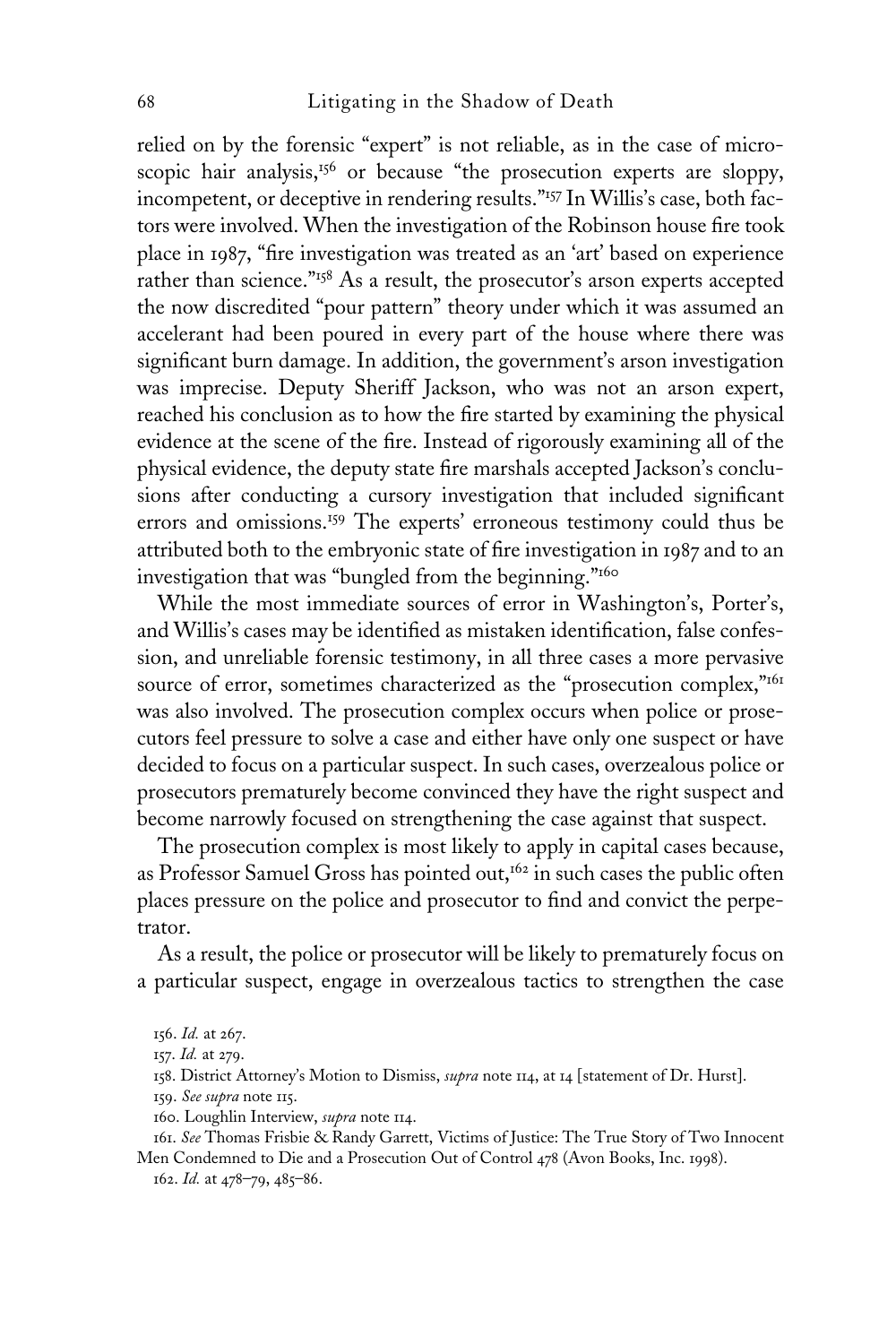relied on by the forensic "expert" is not reliable, as in the case of microscopic hair analysis,<sup>156</sup> or because "the prosecution experts are sloppy, incompetent, or deceptive in rendering results."<sup>157</sup> In Willis's case, both factors were involved. When the investigation of the Robinson house fire took place in 1987, "fire investigation was treated as an 'art' based on experience rather than science."<sup>158</sup> As a result, the prosecutor's arson experts accepted the now discredited "pour pattern" theory under which it was assumed an accelerant had been poured in every part of the house where there was significant burn damage. In addition, the government's arson investigation was imprecise. Deputy Sheriff Jackson, who was not an arson expert, reached his conclusion as to how the fire started by examining the physical evidence at the scene of the fire. Instead of rigorously examining all of the physical evidence, the deputy state fire marshals accepted Jackson's conclusions after conducting a cursory investigation that included significant errors and omissions.<sup>159</sup> The experts' erroneous testimony could thus be attributed both to the embryonic state of fire investigation in 1987 and to an investigation that was "bungled from the beginning."<sup>160</sup>

While the most immediate sources of error in Washington's, Porter's, and Willis's cases may be identified as mistaken identification, false confession, and unreliable forensic testimony, in all three cases a more pervasive source of error, sometimes characterized as the "prosecution complex,"161 was also involved. The prosecution complex occurs when police or prosecutors feel pressure to solve a case and either have only one suspect or have decided to focus on a particular suspect. In such cases, overzealous police or prosecutors prematurely become convinced they have the right suspect and become narrowly focused on strengthening the case against that suspect.

The prosecution complex is most likely to apply in capital cases because, as Professor Samuel Gross has pointed out,<sup>162</sup> in such cases the public often places pressure on the police and prosecutor to find and convict the perpetrator.

As a result, the police or prosecutor will be likely to prematurely focus on a particular suspect, engage in overzealous tactics to strengthen the case

- 158. District Attorney's Motion to Dismiss, *supra* note 114, at 14 [statement of Dr. Hurst].
- 159. *See supra* note 115.
- 160. Loughlin Interview, *supra* note 114.

161. *See* Thomas Frisbie & Randy Garrett, Victims of Justice: The True Story of Two Innocent Men Condemned to Die and a Prosecution Out of Control 478 (Avon Books, Inc. 1998).

<sup>156.</sup> *Id.* at 267.

<sup>157.</sup> *Id.* at 279.

<sup>162.</sup> *Id.* at 478-79, 485-86.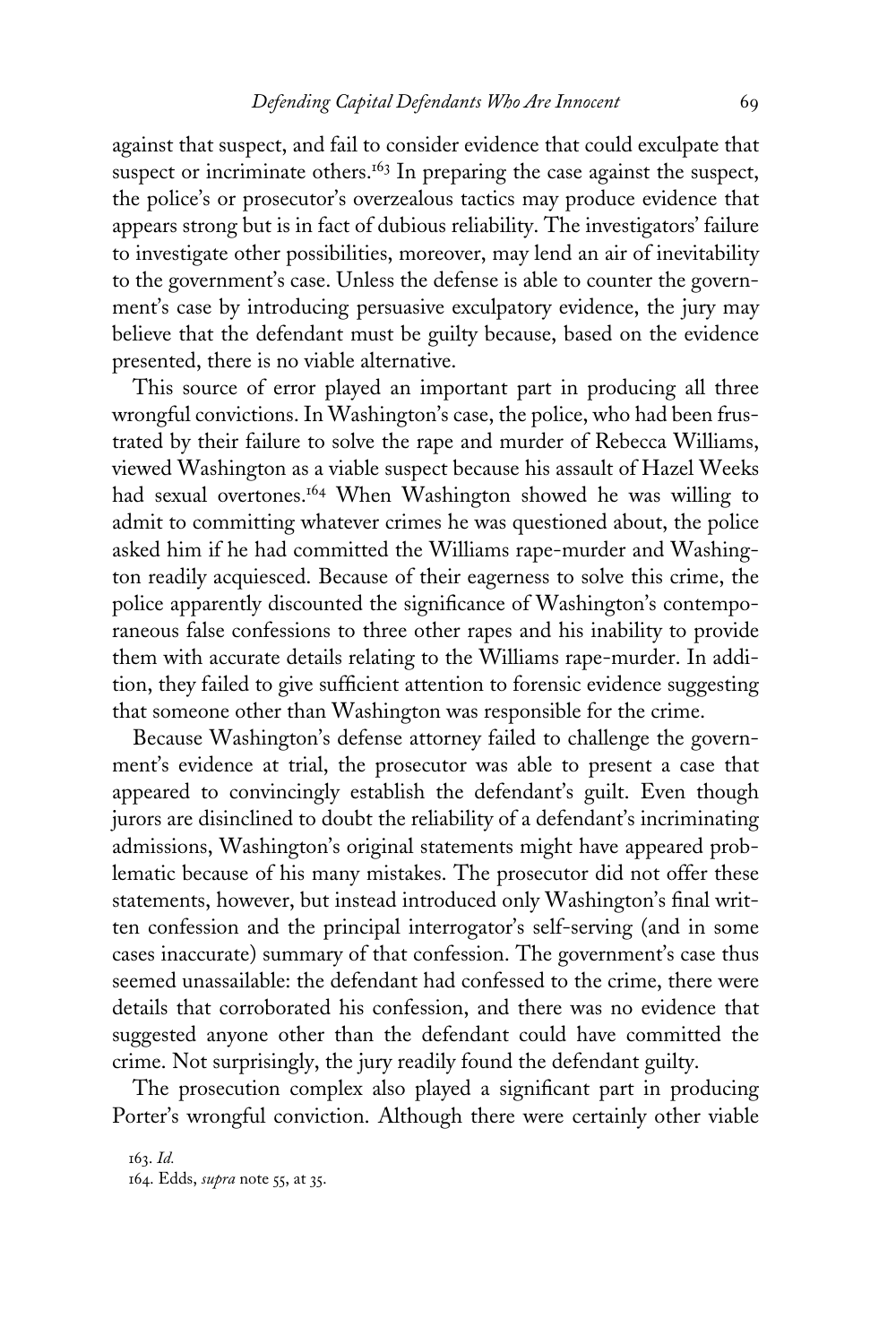against that suspect, and fail to consider evidence that could exculpate that suspect or incriminate others.<sup>163</sup> In preparing the case against the suspect, the police's or prosecutor's overzealous tactics may produce evidence that appears strong but is in fact of dubious reliability. The investigators' failure to investigate other possibilities, moreover, may lend an air of inevitability to the government's case. Unless the defense is able to counter the government's case by introducing persuasive exculpatory evidence, the jury may believe that the defendant must be guilty because, based on the evidence presented, there is no viable alternative.

This source of error played an important part in producing all three wrongful convictions. In Washington's case, the police, who had been frustrated by their failure to solve the rape and murder of Rebecca Williams, viewed Washington as a viable suspect because his assault of Hazel Weeks had sexual overtones.<sup>164</sup> When Washington showed he was willing to admit to committing whatever crimes he was questioned about, the police asked him if he had committed the Williams rape-murder and Washington readily acquiesced. Because of their eagerness to solve this crime, the police apparently discounted the significance of Washington's contemporaneous false confessions to three other rapes and his inability to provide them with accurate details relating to the Williams rape-murder. In addition, they failed to give sufficient attention to forensic evidence suggesting that someone other than Washington was responsible for the crime.

Because Washington's defense attorney failed to challenge the government's evidence at trial, the prosecutor was able to present a case that appeared to convincingly establish the defendant's guilt. Even though jurors are disinclined to doubt the reliability of a defendant's incriminating admissions, Washington's original statements might have appeared problematic because of his many mistakes. The prosecutor did not offer these statements, however, but instead introduced only Washington's final written confession and the principal interrogator's self-serving (and in some cases inaccurate) summary of that confession. The government's case thus seemed unassailable: the defendant had confessed to the crime, there were details that corroborated his confession, and there was no evidence that suggested anyone other than the defendant could have committed the crime. Not surprisingly, the jury readily found the defendant guilty.

The prosecution complex also played a significant part in producing Porter's wrongful conviction. Although there were certainly other viable

163. *Id.* 164. Edds, *supra* note 55, at 35.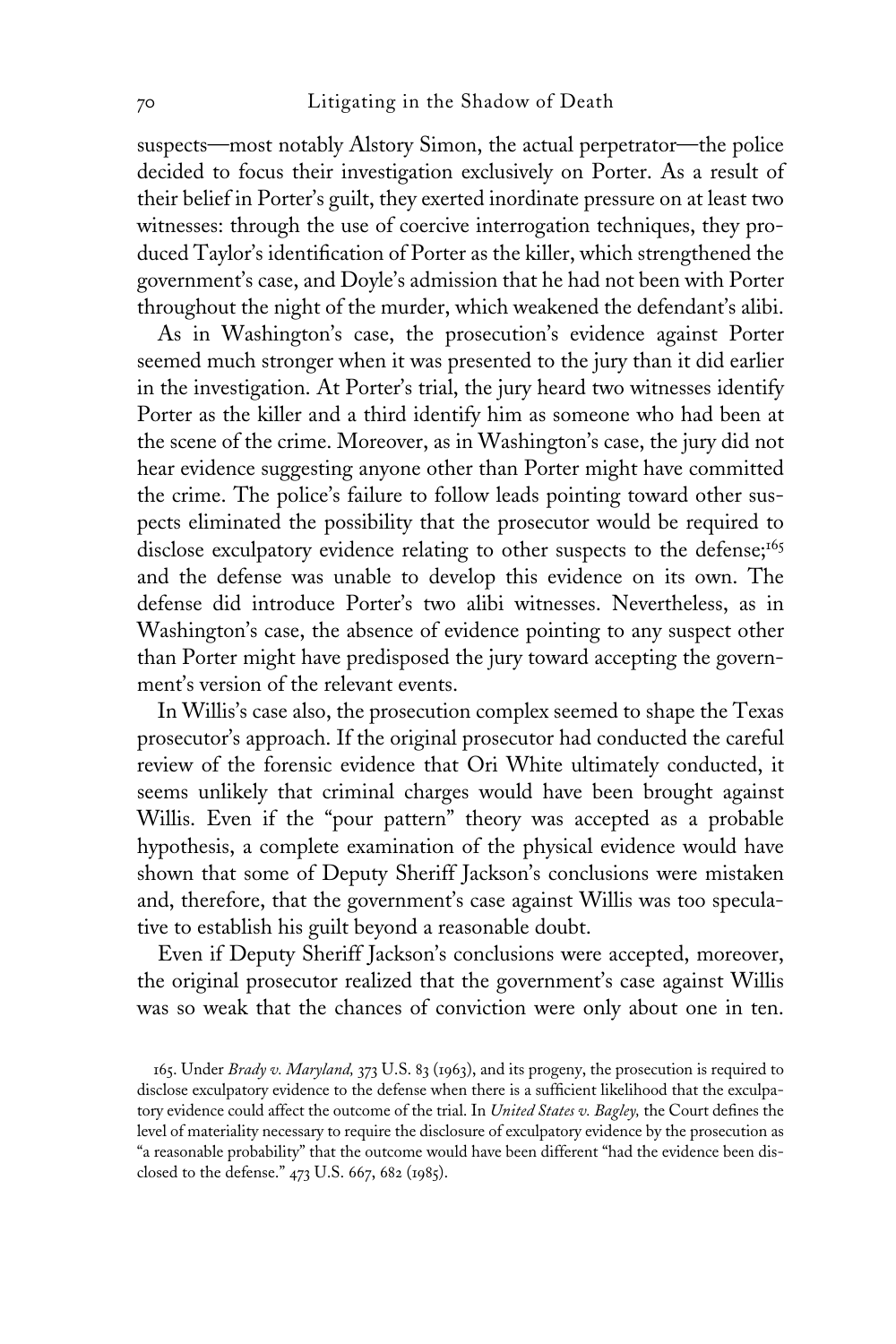suspects—most notably Alstory Simon, the actual perpetrator—the police decided to focus their investigation exclusively on Porter. As a result of their belief in Porter's guilt, they exerted inordinate pressure on at least two witnesses: through the use of coercive interrogation techniques, they produced Taylor's identification of Porter as the killer, which strengthened the government's case, and Doyle's admission that he had not been with Porter throughout the night of the murder, which weakened the defendant's alibi.

As in Washington's case, the prosecution's evidence against Porter seemed much stronger when it was presented to the jury than it did earlier in the investigation. At Porter's trial, the jury heard two witnesses identify Porter as the killer and a third identify him as someone who had been at the scene of the crime. Moreover, as in Washington's case, the jury did not hear evidence suggesting anyone other than Porter might have committed the crime. The police's failure to follow leads pointing toward other suspects eliminated the possibility that the prosecutor would be required to disclose exculpatory evidence relating to other suspects to the defense;<sup>165</sup> and the defense was unable to develop this evidence on its own. The defense did introduce Porter's two alibi witnesses. Nevertheless, as in Washington's case, the absence of evidence pointing to any suspect other than Porter might have predisposed the jury toward accepting the government's version of the relevant events.

In Willis's case also, the prosecution complex seemed to shape the Texas prosecutor's approach. If the original prosecutor had conducted the careful review of the forensic evidence that Ori White ultimately conducted, it seems unlikely that criminal charges would have been brought against Willis. Even if the "pour pattern" theory was accepted as a probable hypothesis, a complete examination of the physical evidence would have shown that some of Deputy Sheriff Jackson's conclusions were mistaken and, therefore, that the government's case against Willis was too speculative to establish his guilt beyond a reasonable doubt.

Even if Deputy Sheriff Jackson's conclusions were accepted, moreover, the original prosecutor realized that the government's case against Willis was so weak that the chances of conviction were only about one in ten.

165. Under *Brady v. Maryland,* 373 U.S. 83 (1963), and its progeny, the prosecution is required to disclose exculpatory evidence to the defense when there is a sufficient likelihood that the exculpatory evidence could affect the outcome of the trial. In *United States v. Bagley*, the Court defines the level of materiality necessary to require the disclosure of exculpatory evidence by the prosecution as "a reasonable probability" that the outcome would have been different "had the evidence been disclosed to the defense." 473 U.S. 667, 682 (1985).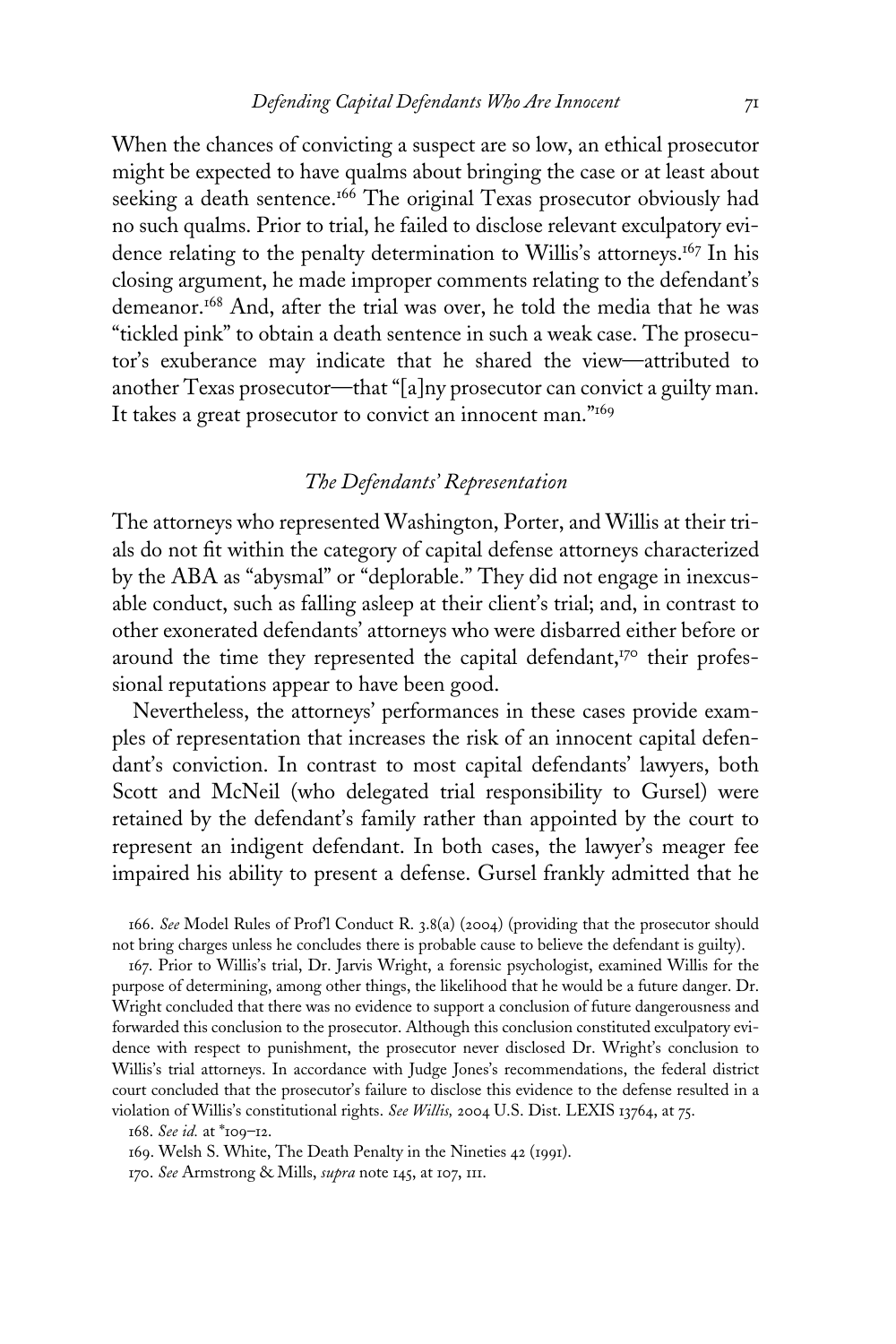When the chances of convicting a suspect are so low, an ethical prosecutor might be expected to have qualms about bringing the case or at least about seeking a death sentence.<sup>166</sup> The original Texas prosecutor obviously had no such qualms. Prior to trial, he failed to disclose relevant exculpatory evidence relating to the penalty determination to Willis's attorneys.<sup>167</sup> In his closing argument, he made improper comments relating to the defendant's demeanor.<sup>168</sup> And, after the trial was over, he told the media that he was "tickled pink" to obtain a death sentence in such a weak case. The prosecutor's exuberance may indicate that he shared the view—attributed to another Texas prosecutor—that "[a]ny prosecutor can convict a guilty man. It takes a great prosecutor to convict an innocent man."<sup>169</sup>

# *The Defendants' Representation*

The attorneys who represented Washington, Porter, and Willis at their trials do not fit within the category of capital defense attorneys characterized by the ABA as "abysmal" or "deplorable." They did not engage in inexcusable conduct, such as falling asleep at their client's trial; and, in contrast to other exonerated defendants' attorneys who were disbarred either before or around the time they represented the capital defendant,<sup>170</sup> their professional reputations appear to have been good.

Nevertheless, the attorneys' performances in these cases provide examples of representation that increases the risk of an innocent capital defendant's conviction. In contrast to most capital defendants' lawyers, both Scott and McNeil (who delegated trial responsibility to Gursel) were retained by the defendant's family rather than appointed by the court to represent an indigent defendant. In both cases, the lawyer's meager fee impaired his ability to present a defense. Gursel frankly admitted that he

166. *See* Model Rules of Prof'l Conduct R. 3.8(a) (2004) (providing that the prosecutor should not bring charges unless he concludes there is probable cause to believe the defendant is guilty).

167. Prior to Willis's trial, Dr. Jarvis Wright, a forensic psychologist, examined Willis for the purpose of determining, among other things, the likelihood that he would be a future danger. Dr. Wright concluded that there was no evidence to support a conclusion of future dangerousness and forwarded this conclusion to the prosecutor. Although this conclusion constituted exculpatory evidence with respect to punishment, the prosecutor never disclosed Dr. Wright's conclusion to Willis's trial attorneys. In accordance with Judge Jones's recommendations, the federal district court concluded that the prosecutor's failure to disclose this evidence to the defense resulted in a violation of Willis's constitutional rights. *See Willis,* 2004 U.S. Dist. LEXIS 13764, at 75.

168. *See id.* at \*109–12.

169. Welsh S. White, The Death Penalty in the Nineties 42 (1991).

170. *See* Armstrong & Mills, *supra* note 145, at 107, 111.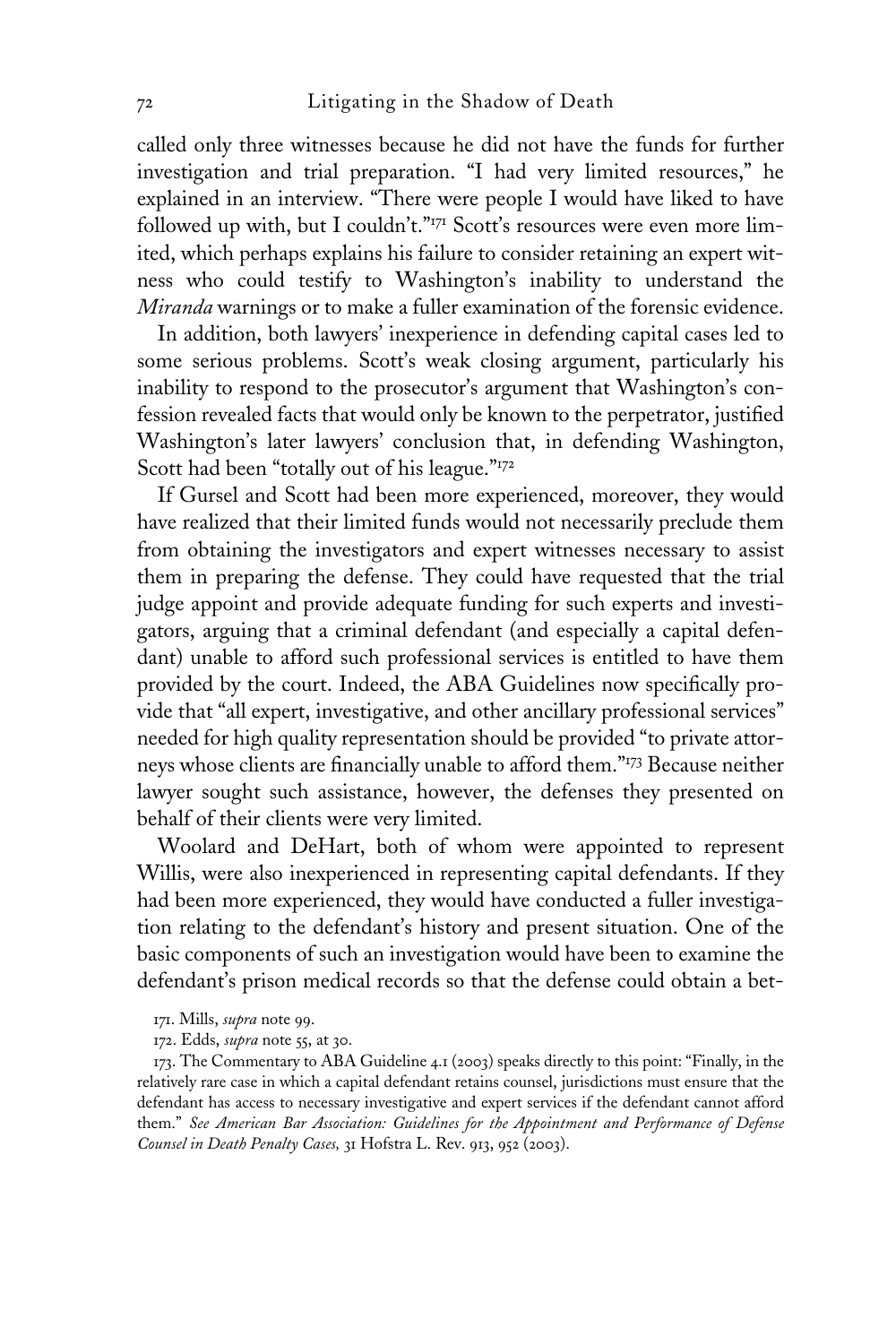called only three witnesses because he did not have the funds for further investigation and trial preparation. "I had very limited resources," he explained in an interview. "There were people I would have liked to have followed up with, but I couldn't."<sup>171</sup> Scott's resources were even more limited, which perhaps explains his failure to consider retaining an expert witness who could testify to Washington's inability to understand the *Miranda* warnings or to make a fuller examination of the forensic evidence.

In addition, both lawyers' inexperience in defending capital cases led to some serious problems. Scott's weak closing argument, particularly his inability to respond to the prosecutor's argument that Washington's confession revealed facts that would only be known to the perpetrator, justified Washington's later lawyers' conclusion that, in defending Washington, Scott had been "totally out of his league."<sup>172</sup>

If Gursel and Scott had been more experienced, moreover, they would have realized that their limited funds would not necessarily preclude them from obtaining the investigators and expert witnesses necessary to assist them in preparing the defense. They could have requested that the trial judge appoint and provide adequate funding for such experts and investigators, arguing that a criminal defendant (and especially a capital defendant) unable to afford such professional services is entitled to have them provided by the court. Indeed, the ABA Guidelines now specifically provide that "all expert, investigative, and other ancillary professional services" needed for high quality representation should be provided "to private attorneys whose clients are financially unable to afford them."173 Because neither lawyer sought such assistance, however, the defenses they presented on behalf of their clients were very limited.

Woolard and DeHart, both of whom were appointed to represent Willis, were also inexperienced in representing capital defendants. If they had been more experienced, they would have conducted a fuller investigation relating to the defendant's history and present situation. One of the basic components of such an investigation would have been to examine the defendant's prison medical records so that the defense could obtain a bet-

<sup>171.</sup> Mills, *supra* note 99.

<sup>172.</sup> Edds, *supra* note 55, at 30.

<sup>173.</sup> The Commentary to ABA Guideline 4.1 (2003) speaks directly to this point: "Finally, in the relatively rare case in which a capital defendant retains counsel, jurisdictions must ensure that the defendant has access to necessary investigative and expert services if the defendant cannot afford them." *See American Bar Association: Guidelines for the Appointment and Performance of Defense Counsel in Death Penalty Cases,* 31 Hofstra L. Rev. 913, 952 (2003).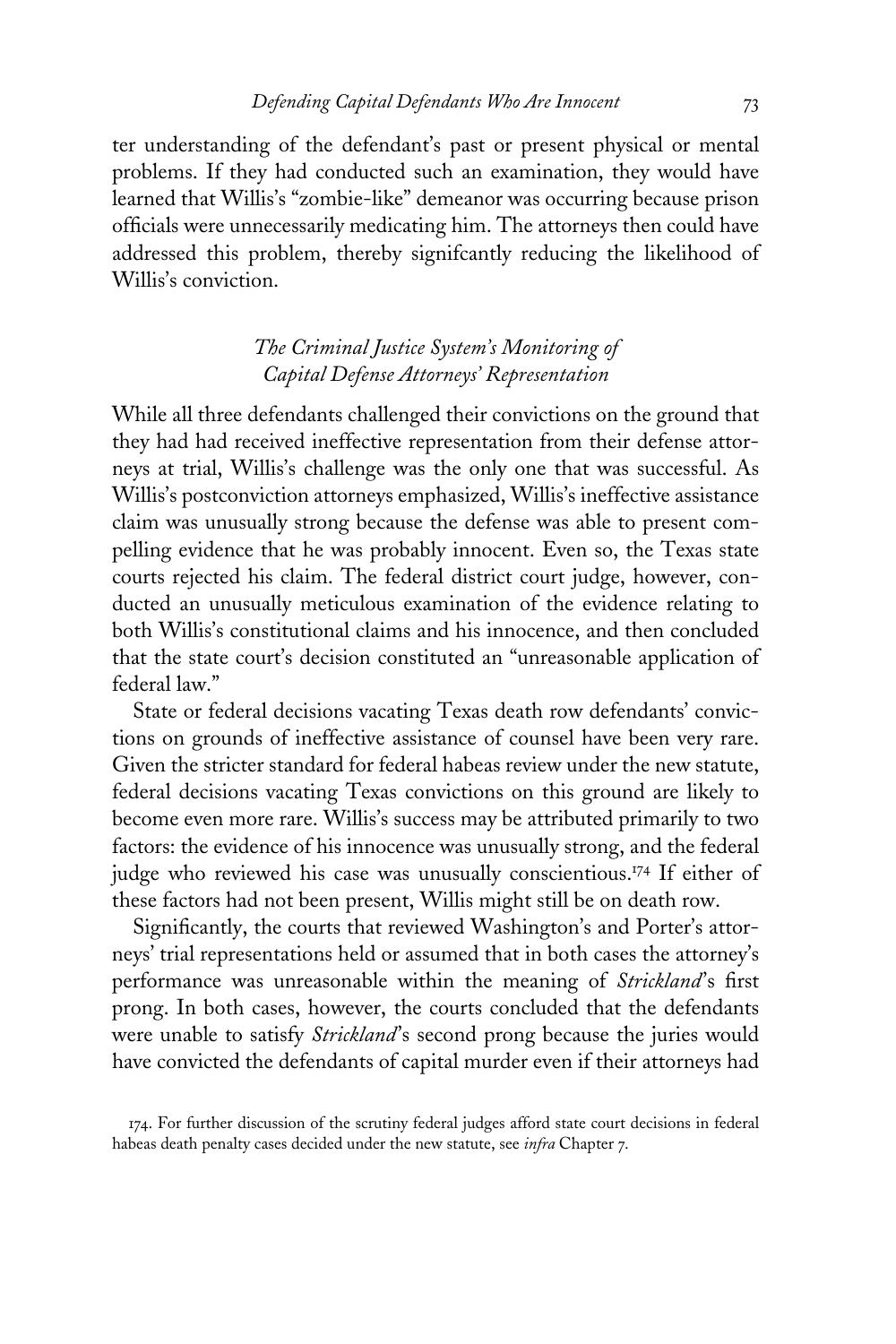ter understanding of the defendant's past or present physical or mental problems. If they had conducted such an examination, they would have learned that Willis's "zombie-like" demeanor was occurring because prison officials were unnecessarily medicating him. The attorneys then could have addressed this problem, thereby signifcantly reducing the likelihood of Willis's conviction.

# *The Criminal Justice System's Monitoring of Capital Defense Attorneys' Representation*

While all three defendants challenged their convictions on the ground that they had had received ineffective representation from their defense attorneys at trial, Willis's challenge was the only one that was successful. As Willis's postconviction attorneys emphasized, Willis's ineffective assistance claim was unusually strong because the defense was able to present compelling evidence that he was probably innocent. Even so, the Texas state courts rejected his claim. The federal district court judge, however, conducted an unusually meticulous examination of the evidence relating to both Willis's constitutional claims and his innocence, and then concluded that the state court's decision constituted an "unreasonable application of federal law."

State or federal decisions vacating Texas death row defendants' convictions on grounds of ineffective assistance of counsel have been very rare. Given the stricter standard for federal habeas review under the new statute, federal decisions vacating Texas convictions on this ground are likely to become even more rare. Willis's success may be attributed primarily to two factors: the evidence of his innocence was unusually strong, and the federal judge who reviewed his case was unusually conscientious.<sup>174</sup> If either of these factors had not been present, Willis might still be on death row.

Significantly, the courts that reviewed Washington's and Porter's attorneys' trial representations held or assumed that in both cases the attorney's performance was unreasonable within the meaning of *Strickland*'s first prong. In both cases, however, the courts concluded that the defendants were unable to satisfy *Strickland*'s second prong because the juries would have convicted the defendants of capital murder even if their attorneys had

174. For further discussion of the scrutiny federal judges afford state court decisions in federal habeas death penalty cases decided under the new statute, see *infra* Chapter 7.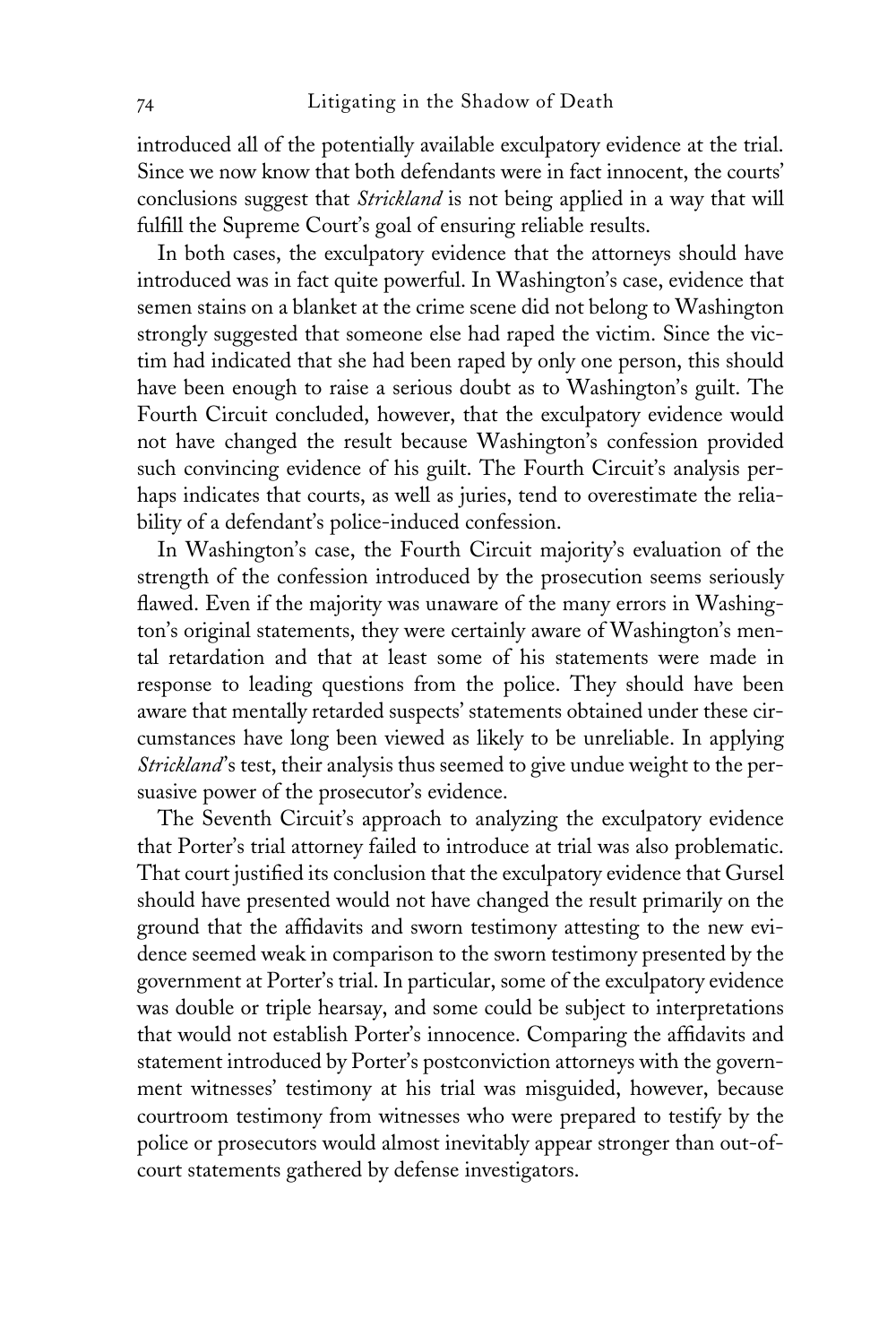introduced all of the potentially available exculpatory evidence at the trial. Since we now know that both defendants were in fact innocent, the courts' conclusions suggest that *Strickland* is not being applied in a way that will fulfill the Supreme Court's goal of ensuring reliable results.

In both cases, the exculpatory evidence that the attorneys should have introduced was in fact quite powerful. In Washington's case, evidence that semen stains on a blanket at the crime scene did not belong to Washington strongly suggested that someone else had raped the victim. Since the victim had indicated that she had been raped by only one person, this should have been enough to raise a serious doubt as to Washington's guilt. The Fourth Circuit concluded, however, that the exculpatory evidence would not have changed the result because Washington's confession provided such convincing evidence of his guilt. The Fourth Circuit's analysis perhaps indicates that courts, as well as juries, tend to overestimate the reliability of a defendant's police-induced confession.

In Washington's case, the Fourth Circuit majority's evaluation of the strength of the confession introduced by the prosecution seems seriously flawed. Even if the majority was unaware of the many errors in Washington's original statements, they were certainly aware of Washington's mental retardation and that at least some of his statements were made in response to leading questions from the police. They should have been aware that mentally retarded suspects' statements obtained under these circumstances have long been viewed as likely to be unreliable. In applying *Strickland*'s test, their analysis thus seemed to give undue weight to the persuasive power of the prosecutor's evidence.

The Seventh Circuit's approach to analyzing the exculpatory evidence that Porter's trial attorney failed to introduce at trial was also problematic. That court justified its conclusion that the exculpatory evidence that Gursel should have presented would not have changed the result primarily on the ground that the affidavits and sworn testimony attesting to the new evidence seemed weak in comparison to the sworn testimony presented by the government at Porter's trial. In particular, some of the exculpatory evidence was double or triple hearsay, and some could be subject to interpretations that would not establish Porter's innocence. Comparing the affidavits and statement introduced by Porter's postconviction attorneys with the government witnesses' testimony at his trial was misguided, however, because courtroom testimony from witnesses who were prepared to testify by the police or prosecutors would almost inevitably appear stronger than out-ofcourt statements gathered by defense investigators.